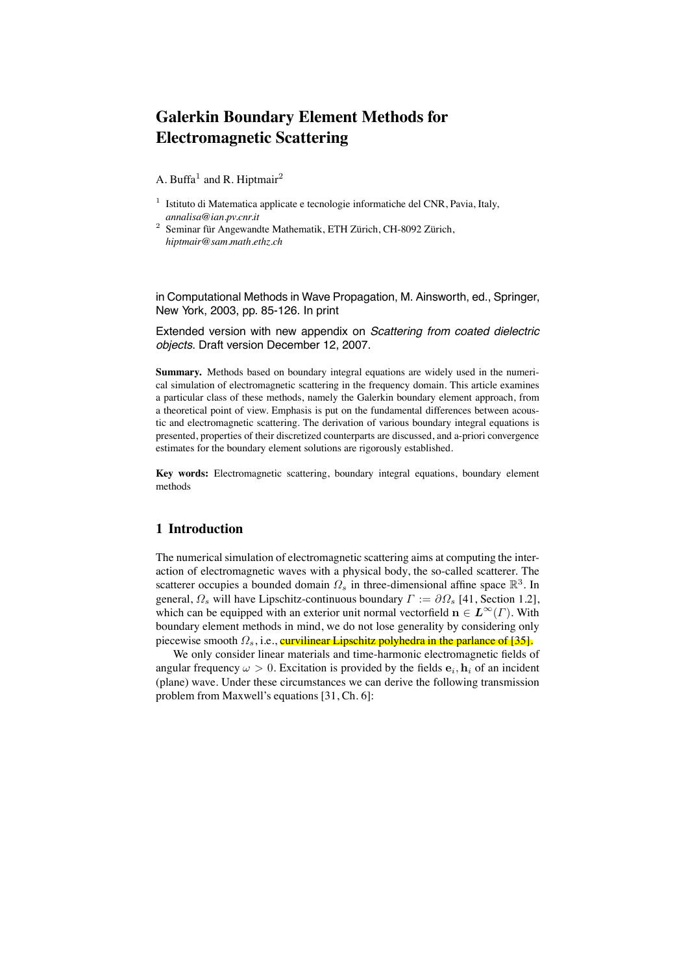# **Galerkin Boundary Element Methods for Electromagnetic Scattering**

A. Buffa<sup>1</sup> and R. Hiptmair<sup>2</sup>

- $1$  Istituto di Matematica applicate e tecnologie informatiche del CNR, Pavia, Italy, *annalisa@ian.pv.cnr.it*
- $2 \overline{\text{Seminar für Angewandte Mathematik, ETH Zürich, CH-8092 Zürich, }}$ *hiptmair@sam.math.ethz.ch*

in Computational Methods in Wave Propagation, M. Ainsworth, ed., Springer, New York, 2003, pp. 85-126. In print

Extended version with new appendix on *Scattering from coated dielectric objects*. Draft version December 12, 2007.

**Summary.** Methods based on boundary integral equations are widely used in the numerical simulation of electromagnetic scattering in the frequency domain. This article examines a particular class of these methods, namely the Galerkin boundary element approach, from a theoretical point of view. Emphasis is put on the fundamental differences between acoustic and electromagnetic scattering. The derivation of various boundary integral equations is presented, properties of their discretized counterparts are discussed, and a-priori convergence estimates for the boundary element solutions are rigorously established.

**Key words:** Electromagnetic scattering, boundary integral equations, boundary element methods

# **1 Introduction**

The numerical simulation of electromagnetic scattering aims at computing the interaction of electromagnetic waves with a physical body, the so-called scatterer. The scatterer occupies a bounded domain  $\Omega_s$  in three-dimensional affine space  $\mathbb{R}^3$ . In general,  $\Omega_s$  will have Lipschitz-continuous boundary  $\Gamma := \partial \Omega_s$  [41, Section 1.2], which can be equipped with an exterior unit normal vectorfield  $\mathbf{n} \in L^{\infty}(\Gamma)$ . With boundary element methods in mind, we do not lose generality by considering only piecewise smooth  $\Omega_s$ , i.e., curvilinear Lipschitz polyhedra in the parlance of [35].

We only consider linear materials and time-harmonic electromagnetic fields of angular frequency  $\omega > 0$ . Excitation is provided by the fields  $e_i, h_i$  of an incident (plane) wave. Under these circumstances we can derive the following transmission problem from Maxwell's equations [31, Ch. 6]: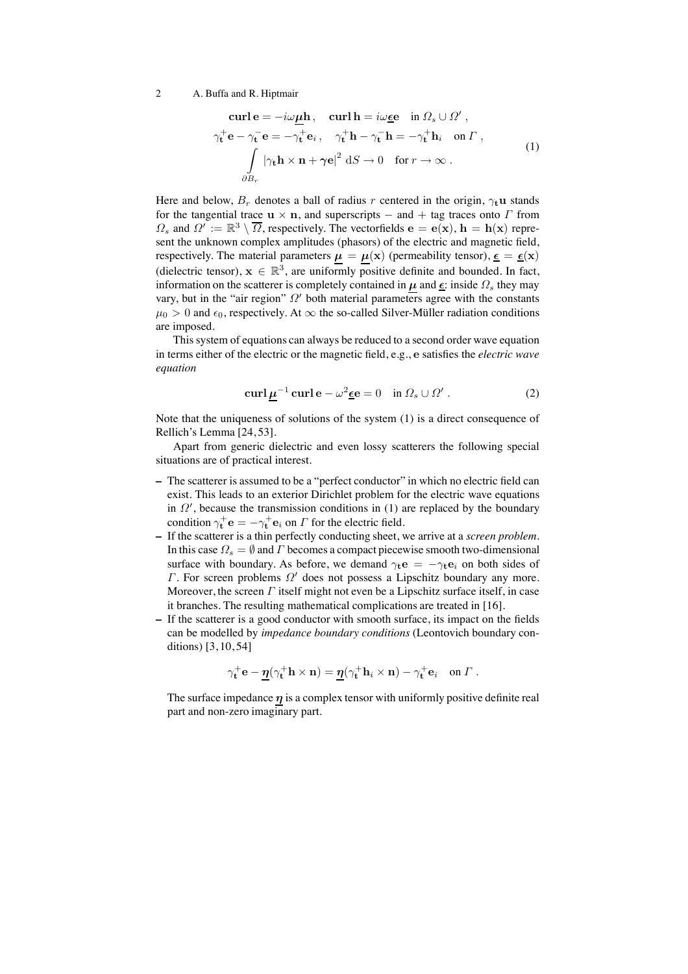$$
\text{curl}\,\mathbf{e} = -i\omega\underline{\mu}\mathbf{h}, \quad \text{curl}\,\mathbf{h} = i\omega\underline{\epsilon}\mathbf{e} \quad \text{in } \Omega_s \cup \Omega',
$$
\n
$$
\gamma_\mathbf{t}^+ \mathbf{e} - \gamma_\mathbf{t}^- \mathbf{e} = -\gamma_\mathbf{t}^+ \mathbf{e}_i, \quad \gamma_\mathbf{t}^+ \mathbf{h} - \gamma_\mathbf{t}^- \mathbf{h} = -\gamma_\mathbf{t}^+ \mathbf{h}_i \quad \text{on } \Gamma \,,
$$
\n
$$
\int\limits_{\partial B_r} |\gamma_\mathbf{t}\mathbf{h} \times \mathbf{n} + \gamma \mathbf{e}|^2 \, \text{d}S \to 0 \quad \text{for } r \to \infty \,.
$$
\n(1)

Here and below,  $B_r$  denotes a ball of radius r centered in the origin,  $\gamma_t$ **u** stands for the tangential trace  $\mathbf{u} \times \mathbf{n}$ , and superscripts – and + tag traces onto  $\Gamma$  from  $\Omega_s$  and  $\Omega' := \mathbb{R}^3 \setminus \overline{\Omega}$ , respectively. The vectorfields  $\mathbf{e} = \mathbf{e}(\mathbf{x})$ ,  $\mathbf{h} = \mathbf{h}(\mathbf{x})$  represent the unknown complex amplitudes (phasors) of the electric and magnetic field, respectively. The material parameters  $\mu = \mu(\mathbf{x})$  (permeability tensor),  $\underline{\epsilon} = \underline{\epsilon}(\mathbf{x})$ (dielectric tensor),  $x \in \mathbb{R}^3$ , are uniformly positive definite and bounded. In fact, information on the scatterer is completely contained in  $\mu$  and  $\underline{\epsilon}$ : inside  $\Omega$ <sub>s</sub> they may vary, but in the "air region"  $\Omega'$  both material parameters agree with the constants  $\mu_0 > 0$  and  $\epsilon_0$ , respectively. At  $\infty$  the so-called Silver-Müller radiation conditions are imposed.

This system of equations can always be reduced to a second order wave equation in terms either of the electric or the magnetic field, e.g., e satisfies the *electric wave equation*

$$
\operatorname{curl} \underline{\mu}^{-1} \operatorname{curl} \mathbf{e} - \omega^2 \underline{\epsilon} \mathbf{e} = 0 \quad \text{in } \Omega_s \cup \Omega' \,. \tag{2}
$$

Note that the uniqueness of solutions of the system (1) is a direct consequence of Rellich's Lemma [24, 53].

Apart from generic dielectric and even lossy scatterers the following special situations are of practical interest.

- **–** The scatterer is assumed to be a "perfect conductor" in which no electric field can exist. This leads to an exterior Dirichlet problem for the electric wave equations in  $\Omega'$ , because the transmission conditions in (1) are replaced by the boundary condition  $\gamma_t^+ \mathbf{e} = -\gamma_t^+ \mathbf{e}_i$  on  $\Gamma$  for the electric field.
- **–** If the scatterer is a thin perfectly conducting sheet, we arrive at a *screen problem*. In this case  $\Omega_s = \emptyset$  and  $\Gamma$  becomes a compact piecewise smooth two-dimensional surface with boundary. As before, we demand  $\gamma_t e = -\gamma_t e_i$  on both sides of Γ. For screen problems  $Ω'$  does not possess a Lipschitz boundary any more. Moreover, the screen  $\Gamma$  itself might not even be a Lipschitz surface itself, in case it branches. The resulting mathematical complications are treated in [16].
- **–** If the scatterer is a good conductor with smooth surface, its impact on the fields can be modelled by *impedance boundary conditions* (Leontovich boundary conditions) [3, 10, 54]

$$
\gamma_{\mathbf{t}}^+ \mathbf{e} - \underline{\eta} (\gamma_{\mathbf{t}}^+ \mathbf{h} \times \mathbf{n}) = \underline{\eta} (\gamma_{\mathbf{t}}^+ \mathbf{h}_i \times \mathbf{n}) - \gamma_{\mathbf{t}}^+ \mathbf{e}_i \quad \text{on } \Gamma.
$$

The surface impedance  $\eta$  is a complex tensor with uniformly positive definite real part and non-zero imaginary part.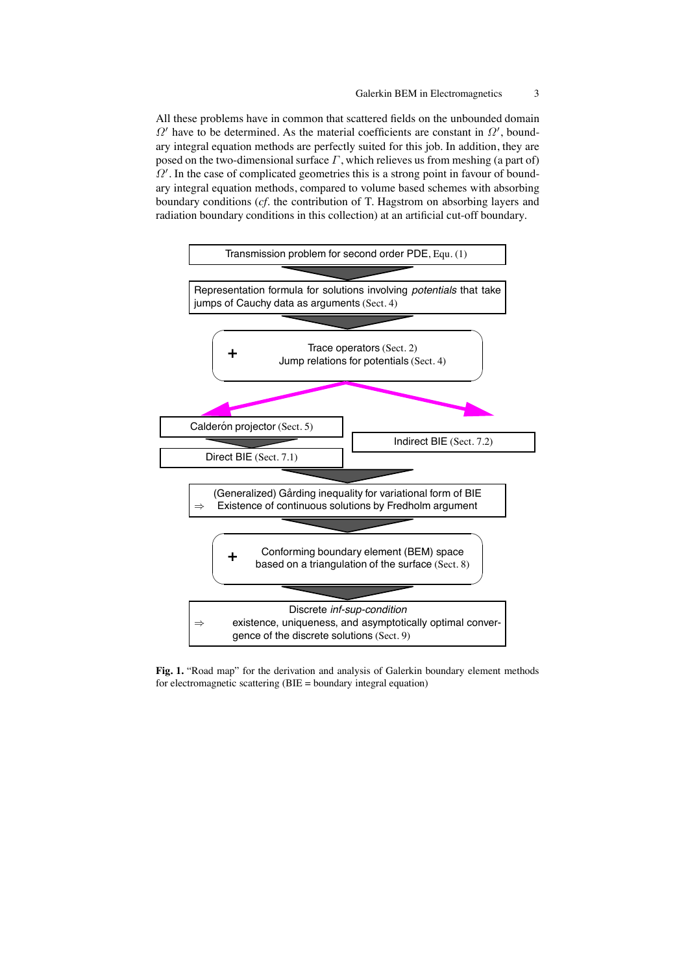All these problems have in common that scattered fields on the unbounded domain  $\Omega'$  have to be determined. As the material coefficients are constant in  $\Omega'$ , boundary integral equation methods are perfectly suited for this job. In addition, they are posed on the two-dimensional surface  $\Gamma$ , which relieves us from meshing (a part of) Ω′ . In the case of complicated geometries this is a strong point in favour of boundary integral equation methods, compared to volume based schemes with absorbing boundary conditions (*cf.* the contribution of T. Hagstrom on absorbing layers and radiation boundary conditions in this collection) at an artificial cut-off boundary.



**Fig. 1.** "Road map" for the derivation and analysis of Galerkin boundary element methods for electromagnetic scattering (BIE = boundary integral equation)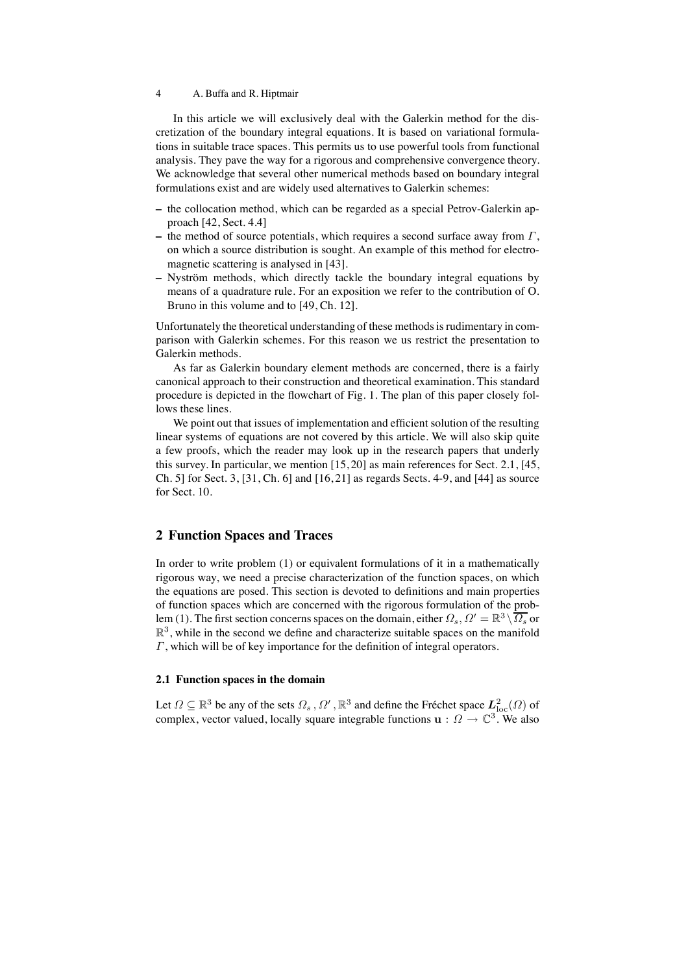In this article we will exclusively deal with the Galerkin method for the discretization of the boundary integral equations. It is based on variational formulations in suitable trace spaces. This permits us to use powerful tools from functional analysis. They pave the way for a rigorous and comprehensive convergence theory. We acknowledge that several other numerical methods based on boundary integral formulations exist and are widely used alternatives to Galerkin schemes:

- **–** the collocation method, which can be regarded as a special Petrov-Galerkin approach [42, Sect. 4.4]
- **–** the method of source potentials, which requires a second surface away from Γ, on which a source distribution is sought. An example of this method for electromagnetic scattering is analysed in [43].
- Nyström methods, which directly tackle the boundary integral equations by means of a quadrature rule. For an exposition we refer to the contribution of O. Bruno in this volume and to [49, Ch. 12].

Unfortunately the theoretical understanding of these methods is rudimentary in comparison with Galerkin schemes. For this reason we us restrict the presentation to Galerkin methods.

As far as Galerkin boundary element methods are concerned, there is a fairly canonical approach to their construction and theoretical examination. This standard procedure is depicted in the flowchart of Fig. 1. The plan of this paper closely follows these lines.

We point out that issues of implementation and efficient solution of the resulting linear systems of equations are not covered by this article. We will also skip quite a few proofs, which the reader may look up in the research papers that underly this survey. In particular, we mention [15, 20] as main references for Sect. 2.1, [45, Ch. 5] for Sect. 3, [31, Ch. 6] and [16, 21] as regards Sects. 4-9, and [44] as source for Sect. 10.

# **2 Function Spaces and Traces**

In order to write problem (1) or equivalent formulations of it in a mathematically rigorous way, we need a precise characterization of the function spaces, on which the equations are posed. This section is devoted to definitions and main properties of function spaces which are concerned with the rigorous formulation of the problem (1). The first section concerns spaces on the domain, either  $\Omega_s$ ,  $\Omega' = \mathbb{R}^3 \setminus \overline{\Omega_s}$  or  $\mathbb{R}^3$ , while in the second we define and characterize suitable spaces on the manifold Γ, which will be of key importance for the definition of integral operators.

# **2.1 Function spaces in the domain**

Let  $\Omega \subseteq \mathbb{R}^3$  be any of the sets  $\Omega_s$ ,  $\Omega'$ ,  $\mathbb{R}^3$  and define the Fréchet space  $L^2_{\text{loc}}(\Omega)$  of complex, vector valued, locally square integrable functions  $\mathbf{u} : \Omega \to \mathbb{C}^3$ . We also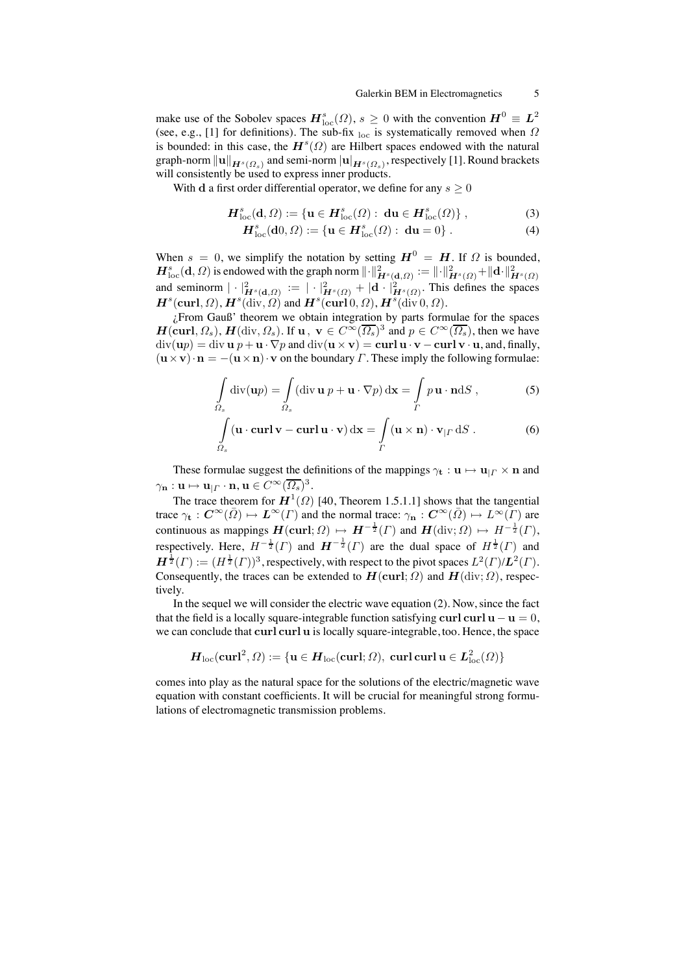make use of the Sobolev spaces  $H^s_{\text{loc}}(\Omega)$ ,  $s \geq 0$  with the convention  $H^0 \equiv L^2$ (see, e.g., [1] for definitions). The sub-fix loc is systematically removed when  $\Omega$ is bounded: in this case, the  $H^s(\Omega)$  are Hilbert spaces endowed with the natural graph-norm  $\|{\bf u}\|_{\bm{H}^s(\varOmega_s)}$  and semi-norm  $|{\bf u}|_{\bm{H}^s(\varOmega_s)}$ , respectively [1]. Round brackets will consistently be used to express inner products.

With d a first order differential operator, we define for any  $s \geq 0$ 

$$
\boldsymbol{H}_{\text{loc}}^s(\mathbf{d},\Omega) := \{ \mathbf{u} \in \boldsymbol{H}_{\text{loc}}^s(\Omega) : \ \mathbf{du} \in \boldsymbol{H}_{\text{loc}}^s(\Omega) \},\tag{3}
$$

$$
\boldsymbol{H}_{\text{loc}}^{s}(\mathbf{d}0,\Omega) := \{ \mathbf{u} \in \boldsymbol{H}_{\text{loc}}^{s}(\Omega) : \ \mathbf{d}\mathbf{u} = 0 \} . \tag{4}
$$

When  $s = 0$ , we simplify the notation by setting  $H^0 = H$ . If  $\Omega$  is bounded,  $\bm{H}_{\mathrm{loc}}^s(\mathbf{d},\varOmega)$  is endowed with the graph norm  $\lVert \cdot \rVert^2_{\bm{H}^s(\mathbf{d},\varOmega)} := \lVert \cdot \rVert^2_{\bm{H}^s(\varOmega)} + \lVert \mathbf{d} \cdot \rVert^2_{\bm{H}^s(\varOmega)}$ and seminorm  $|\cdot|^2_{\bm{H}^s(\mathbf{d},\Omega)} := |\cdot|^2_{\bm{H}^s(\Omega)} + |\mathbf{d} \cdot|^2_{\bm{H}^s(\Omega)}$ . This defines the spaces  $\boldsymbol{H}^{s}(\textbf{curl},\Omega),\boldsymbol{H}^{s}(\text{div},\Omega)$  and  $\boldsymbol{H}^{s}(\textbf{curl}[0,\Omega),\boldsymbol{H}^{s}(\text{div}[0,\Omega)).$ 

¿From Gauß' theorem we obtain integration by parts formulae for the spaces  $H(\text{curl}, \Omega_s)$ ,  $H(\text{div}, \Omega_s)$ . If  $u, v \in C^{\infty}(\overline{\Omega_s})^3$  and  $p \in C^{\infty}(\overline{\Omega_s})$ , then we have  $\text{div}(\mathbf{u}p) = \text{div} \mathbf{u} p + \mathbf{u} \cdot \nabla p$  and  $\text{div}(\mathbf{u} \times \mathbf{v}) = \text{curl} \mathbf{u} \cdot \mathbf{v} - \text{curl} \mathbf{v} \cdot \mathbf{u}$ , and, finally,  $(\mathbf{u} \times \mathbf{v}) \cdot \mathbf{n} = -(\mathbf{u} \times \mathbf{n}) \cdot \mathbf{v}$  on the boundary *Γ*. These imply the following formulae:

$$
\int_{\Omega_s} \text{div}(\mathbf{u}p) = \int_{\Omega_s} (\text{div}\,\mathbf{u}\,p + \mathbf{u}\cdot\nabla p) \,d\mathbf{x} = \int_{\Gamma} p\,\mathbf{u}\cdot\mathbf{n} dS ,
$$
\n(5)

$$
\int_{\Omega_s} (\mathbf{u} \cdot \mathbf{curl} \, \mathbf{v} - \mathbf{curl} \, \mathbf{u} \cdot \mathbf{v}) \, \mathrm{d}\mathbf{x} = \int_{\Gamma} (\mathbf{u} \times \mathbf{n}) \cdot \mathbf{v}_{|\Gamma} \, \mathrm{d}S \,. \tag{6}
$$

These formulae suggest the definitions of the mappings  $\gamma_t : \mathbf{u} \mapsto \mathbf{u}_{| \Gamma} \times \mathbf{n}$  and  $\gamma_{\mathbf{n}}: \mathbf{u} \mapsto \mathbf{u}_{\mid \varGamma} \cdot \mathbf{n}, \mathbf{u} \in C^{\infty}(\overline{\Omega_s})^3.$ 

The trace theorem for  $\mathbf{H}^{1}(\Omega)$  [40, Theorem 1.5.1.1] shows that the tangential trace  $\gamma_t : C^{\infty}(\bar{\Omega}) \mapsto L^{\infty}(\Gamma)$  and the normal trace:  $\gamma_n : C^{\infty}(\bar{\Omega}) \mapsto L^{\infty}(\Gamma)$  are continuous as mappings  $\boldsymbol{H}(\textbf{curl};\Omega) \mapsto \boldsymbol{H}^{-\frac{1}{2}}(\Gamma)$  and  $\boldsymbol{H}(\text{div};\Omega) \mapsto \boldsymbol{H}^{-\frac{1}{2}}(\Gamma)$ , respectively. Here,  $H^{-\frac{1}{2}}(\Gamma)$  and  $H^{-\frac{1}{2}}(\Gamma)$  are the dual space of  $H^{\frac{1}{2}}(\Gamma)$  and  $H^{\frac{1}{2}}(\Gamma) := (H^{\frac{1}{2}}(\Gamma))^3$ , respectively, with respect to the pivot spaces  $L^2(\Gamma)/L^2(\Gamma)$ . Consequently, the traces can be extended to  $H(\text{curl}; \Omega)$  and  $H(\text{div}; \Omega)$ , respectively.

In the sequel we will consider the electric wave equation (2). Now, since the fact that the field is a locally square-integrable function satisfying curl curl  $\mathbf{u} - \mathbf{u} = 0$ , we can conclude that curl curl u is locally square-integrable, too. Hence, the space

$$
\boldsymbol{H}_{\rm loc}(\boldsymbol{\operatorname{curl}}^2,\varOmega):=\{\boldsymbol{u}\in \boldsymbol{H}_{\rm loc}(\boldsymbol{\operatorname{curl}};\varOmega),\;\boldsymbol{\operatorname{curl}}\,\boldsymbol{\operatorname{curl}}\,\boldsymbol{u}\in \boldsymbol{L}^2_{\rm loc}(\varOmega)\}
$$

comes into play as the natural space for the solutions of the electric/magnetic wave equation with constant coefficients. It will be crucial for meaningful strong formulations of electromagnetic transmission problems.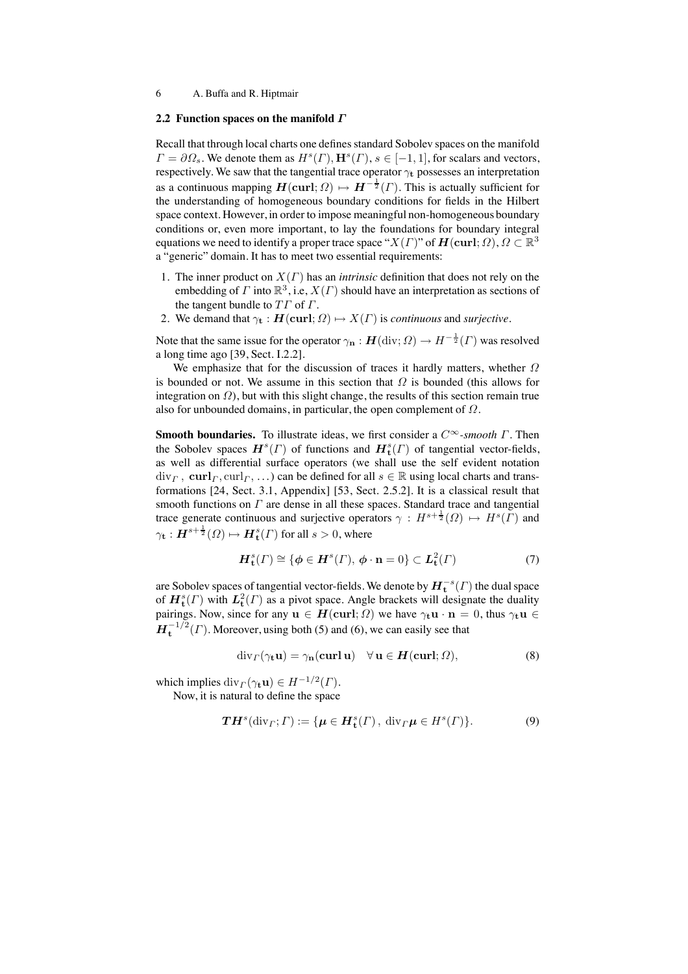#### **2.2 Function spaces on the manifold** Γ

Recall that through local charts one defines standard Sobolev spaces on the manifold  $\Gamma = \partial \Omega_s$ . We denote them as  $H^s(\Gamma), H^s(\Gamma), s \in [-1, 1]$ , for scalars and vectors, respectively. We saw that the tangential trace operator  $\gamma_t$  possesses an interpretation as a continuous mapping  $\mathbf{H}(\text{curl};\Omega) \mapsto \mathbf{H}^{-\frac{1}{2}}(\Gamma)$ . This is actually sufficient for the understanding of homogeneous boundary conditions for fields in the Hilbert space context. However, in order to impose meaningful non-homogeneous boundary conditions or, even more important, to lay the foundations for boundary integral equations we need to identify a proper trace space " $X(\Gamma)$ " of  $H(\text{curl}; \Omega)$ ,  $\Omega \subset \mathbb{R}^3$ a "generic" domain. It has to meet two essential requirements:

- 1. The inner product on X(Γ) has an *intrinsic* definition that does not rely on the embedding of  $\Gamma$  into  $\mathbb{R}^3$ , i.e,  $X(\Gamma)$  should have an interpretation as sections of the tangent bundle to  $T\Gamma$  of  $\Gamma$ .
- 2. We demand that  $\gamma_t : H(\text{curl}; \Omega) \mapsto X(\Gamma)$  is *continuous* and *surjective*.

Note that the same issue for the operator  $\gamma_{\bf n} : \bm{H}(\text{div};\Omega) \to H^{-\frac{1}{2}}(\Gamma)$  was resolved a long time ago [39, Sect. I.2.2].

We emphasize that for the discussion of traces it hardly matters, whether  $\Omega$ is bounded or not. We assume in this section that  $\Omega$  is bounded (this allows for integration on  $\Omega$ ), but with this slight change, the results of this section remain true also for unbounded domains, in particular, the open complement of  $\Omega$ .

**Smooth boundaries.** To illustrate ideas, we first consider a C<sup>∞</sup>*-smooth* Γ. Then the Sobolev spaces  $\mathbf{H}^{s}(\Gamma)$  of functions and  $\mathbf{H}_{t}^{s}(\Gamma)$  of tangential vector-fields, as well as differential surface operators (we shall use the self evident notation  $div_\Gamma$ , curl $_\Gamma$ , curl $_\Gamma$ , ...) can be defined for all  $s \in \mathbb{R}$  using local charts and transformations [24, Sect. 3.1, Appendix] [53, Sect. 2.5.2]. It is a classical result that smooth functions on  $\Gamma$  are dense in all these spaces. Standard trace and tangential trace generate continuous and surjective operators  $\gamma : H^{s+\frac{1}{2}}(\Omega) \mapsto H^s(\overline{\Gamma})$  and  $\gamma_{\mathbf{t}}: \boldsymbol{H}^{s+\frac{1}{2}}(\varOmega) \mapsto \boldsymbol{H}_{\mathbf{t}}^{s}(\varGamma)$  for all  $s > 0$ , where

$$
\boldsymbol{H}_{\mathbf{t}}^{s}(\Gamma) \cong \{ \boldsymbol{\phi} \in \boldsymbol{H}^{s}(\Gamma), \, \boldsymbol{\phi} \cdot \mathbf{n} = 0 \} \subset \boldsymbol{L}_{\mathbf{t}}^{2}(\Gamma) \tag{7}
$$

are Sobolev spaces of tangential vector-fields. We denote by  $\bm{H}_{\mathbf{t}}^{-s}(\varGamma)$  the dual space of  $\mathbf{H}_{\mathbf{t}}^{s}(\Gamma)$  with  $\mathbf{L}_{\mathbf{t}}^{2}(\Gamma)$  as a pivot space. Angle brackets will designate the duality pairings. Now, since for any  $\mathbf{u} \in H(\text{curl}; \Omega)$  we have  $\gamma_t \mathbf{u} \cdot \mathbf{n} = 0$ , thus  $\gamma_t \mathbf{u} \in$  $H<sub>t</sub><sup>-1/2</sup>(\Gamma)$ . Moreover, using both (5) and (6), we can easily see that

$$
\operatorname{div}_{\Gamma}(\gamma_{\mathbf{t}} \mathbf{u}) = \gamma_{\mathbf{n}}(\operatorname{curl} \mathbf{u}) \quad \forall \mathbf{u} \in \mathbf{H}(\operatorname{curl}; \Omega), \tag{8}
$$

which implies  $\text{div}_\Gamma(\gamma_t \mathbf{u}) \in H^{-1/2}(\Gamma)$ .

Now, it is natural to define the space

$$
\boldsymbol{TH}^s(\text{div}_\Gamma; \Gamma) := \{ \boldsymbol{\mu} \in \boldsymbol{H}_t^s(\Gamma), \text{ div}_\Gamma \boldsymbol{\mu} \in H^s(\Gamma) \}. \tag{9}
$$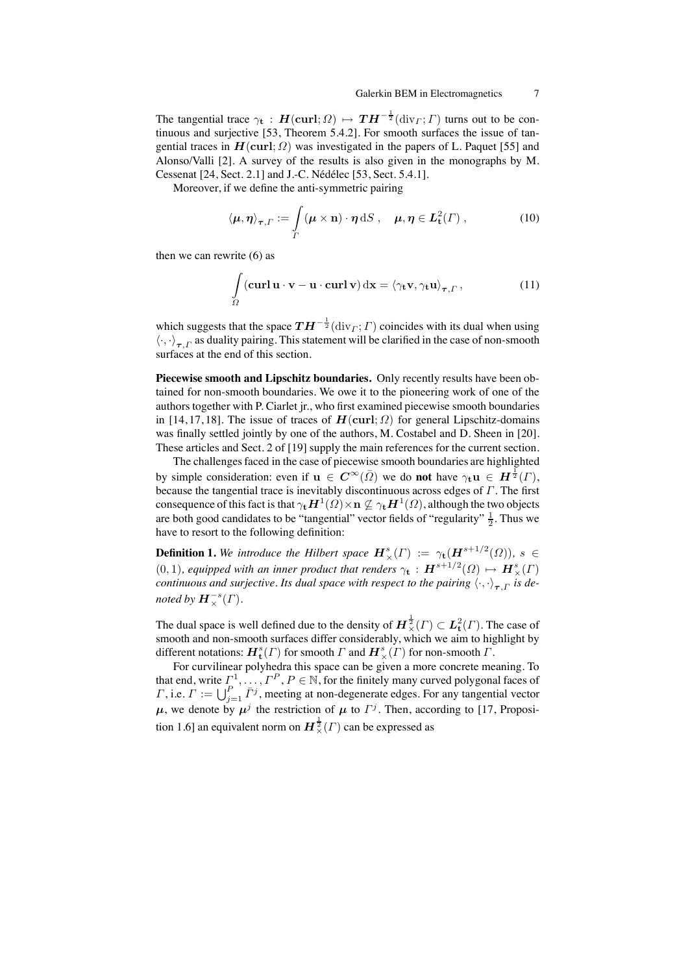The tangential trace  $\gamma_t : H(\text{curl}; \Omega) \mapsto TH^{-\frac{1}{2}}(\text{div}_\Gamma; \Gamma)$  turns out to be continuous and surjective [53, Theorem 5.4.2]. For smooth surfaces the issue of tangential traces in  $H(\text{curl}; \Omega)$  was investigated in the papers of L. Paquet [55] and Alonso/Valli [2]. A survey of the results is also given in the monographs by M. Cessenat [24, Sect. 2.1] and J.-C. Nédélec [53, Sect. 5.4.1].

Moreover, if we define the anti-symmetric pairing

$$
\langle \mu, \eta \rangle_{\tau, \Gamma} := \int\limits_{\Gamma} (\mu \times \mathbf{n}) \cdot \eta \, dS \,, \quad \mu, \eta \in L^2_{\mathbf{t}}(\Gamma) \,, \tag{10}
$$

then we can rewrite (6) as

$$
\int_{\Omega} (\mathbf{curl} \, \mathbf{u} \cdot \mathbf{v} - \mathbf{u} \cdot \mathbf{curl} \, \mathbf{v}) \, \mathrm{d}\mathbf{x} = \langle \gamma_t \mathbf{v}, \gamma_t \mathbf{u} \rangle_{\tau, \Gamma}, \tag{11}
$$

which suggests that the space  $TH^{-\frac{1}{2}}(\text{div}_\Gamma; \Gamma)$  coincides with its dual when using  $\langle \cdot, \cdot \rangle_{\tau}$  as duality pairing. This statement will be clarified in the case of non-smooth surfaces at the end of this section.

**Piecewise smooth and Lipschitz boundaries.** Only recently results have been obtained for non-smooth boundaries. We owe it to the pioneering work of one of the authors together with P. Ciarlet jr., who first examined piecewise smooth boundaries in [14, 17, 18]. The issue of traces of  $H(\text{curl}; \Omega)$  for general Lipschitz-domains was finally settled jointly by one of the authors, M. Costabel and D. Sheen in [20]. These articles and Sect. 2 of [19] supply the main references for the current section.

The challenges faced in the case of piecewise smooth boundaries are highlighted by simple consideration: even if  $\mathbf{u} \in \mathbf{C}^{\infty}(\bar{\Omega})$  we do **not** have  $\gamma_t \mathbf{u} \in \mathbf{H}^{\frac{1}{2}}(\Gamma)$ , because the tangential trace is inevitably discontinuous across edges of  $\Gamma$ . The first consequence of this fact is that  $\gamma_t H^1(\Omega) \times n \nsubseteq \gamma_t H^1(\Omega)$ , although the two objects are both good candidates to be "tangential" vector fields of "regularity"  $\frac{1}{2}$ . Thus we have to resort to the following definition:

**Definition 1.** We introduce the Hilbert space  $H^s_\times(\Gamma) := \gamma_t(H^{s+1/2}(\Omega))$ ,  $s \in$  $(0, 1)$ *, equipped with an inner product that renders*  $\gamma_{\mathbf{t}}$  :  $\mathbf{H}^{s+1/2}(\Omega) \mapsto \mathbf{H}^{s}_{\times}(\Gamma)$ *continuous and surjective. Its dual space with respect to the pairing*  $\langle \cdot, \cdot \rangle_{\tau}$  *F is denoted by*  $H_\times^{-s}(\Gamma)$ *.* 

The dual space is well defined due to the density of  $\mathbf{H} \frac{1}{\times} (I) \subset \mathbf{L}^2_{\mathbf{t}} (I)$ . The case of smooth and non-smooth surfaces differ considerably, which we aim to highlight by different notations:  $\bm{H}_{\mathbf{t}}^s(\varGamma)$  for smooth  $\varGamma$  and  $\bm{H}_{\times}^s(\varGamma)$  for non-smooth  $\varGamma$ .

For curvilinear polyhedra this space can be given a more concrete meaning. To that end, write  $\Gamma^1, \ldots, \Gamma^P, P \in \mathbb{N}$ , for the finitely many curved polygonal faces of *Γ*, i.e.  $\Gamma := \bigcup_{j=1}^{P} \bar{\Gamma}^j$ , meeting at non-degenerate edges. For any tangential vector  $\mu$ , we denote by  $\mu^{j}$  the restriction of  $\mu$  to  $\Gamma^{j}$ . Then, according to [17, Proposition 1.6] an equivalent norm on  $\boldsymbol{H}^{\frac{1}{2}}_{\times}( \Gamma)$  can be expressed as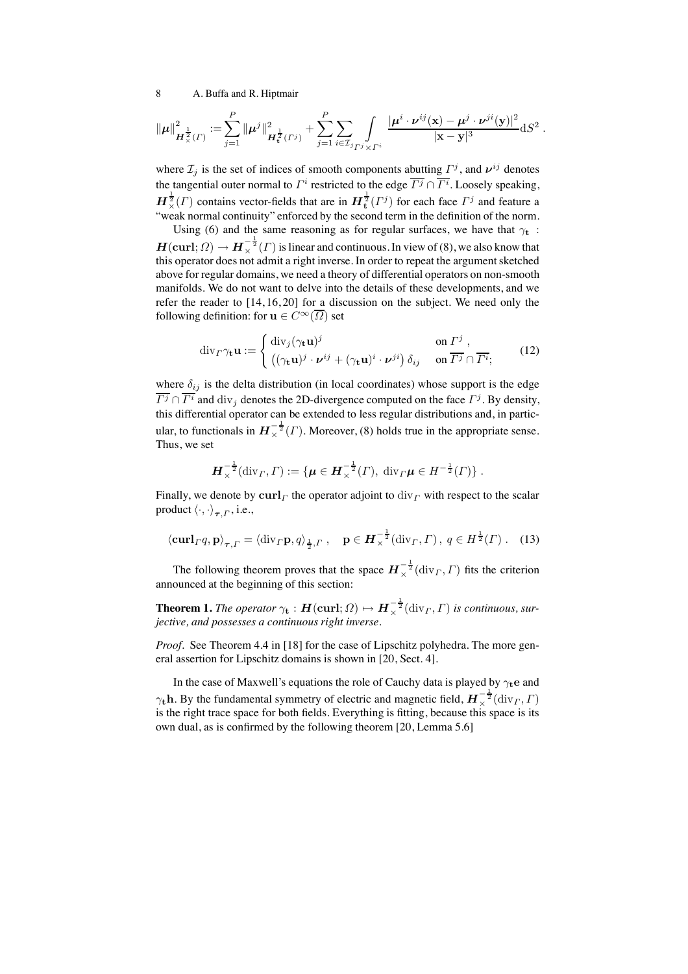$$
\|\mu\|_{\mathbf{H}_{\times}^{\frac{1}{2}}(\Gamma)}^2 := \sum_{j=1}^P \|\mu^j\|_{\mathbf{H}_{\mathbf{t}}^{\frac{1}{2}}(\Gamma^j)}^2 + \sum_{j=1}^P \sum_{i \in \mathcal{I}_{j}} \int_{\Gamma^j \times \Gamma^i} \frac{|\mu^i \cdot \nu^{ij}(\mathbf{x}) - \mu^j \cdot \nu^{ji}(\mathbf{y})|^2}{|\mathbf{x} - \mathbf{y}|^3} \mathrm{d}S^2.
$$

where  $\mathcal{I}_j$  is the set of indices of smooth components abutting  $\Gamma^j$ , and  $v^{ij}$  denotes the tangential outer normal to  $\Gamma^i$  restricted to the edge  $\overline{\Gamma^j} \cap \overline{\Gamma^i}$ . Loosely speaking,  $\bm{H}_{\times}^{\frac{1}{2}}(\Gamma)$  contains vector-fields that are in  $\bm{H}_{\mathbf{t}}^{\frac{1}{2}}(\Gamma^j)$  for each face  $\Gamma^j$  and feature a "weak normal continuity" enforced by the second term in the definition of the norm.

Using (6) and the same reasoning as for regular surfaces, we have that  $\gamma_t$ :  $H(\text{curl};\Omega) \to H^{-\frac{1}{2}}_{\times}(I)$  is linear and continuous. In view of (8), we also know that this operator does not admit a right inverse. In order to repeat the argument sketched above for regular domains, we need a theory of differential operators on non-smooth manifolds. We do not want to delve into the details of these developments, and we refer the reader to [14, 16, 20] for a discussion on the subject. We need only the following definition: for  $\mathbf{u} \in C^{\infty}(\overline{\Omega})$  set

$$
\operatorname{div}_{\Gamma}\gamma_{\mathbf{t}}\mathbf{u} := \begin{cases} \operatorname{div}_{j}(\gamma_{\mathbf{t}}\mathbf{u})^{j} & \text{on } \Gamma^{j} , \\ \left( (\gamma_{\mathbf{t}}\mathbf{u})^{j} \cdot \boldsymbol{\nu}^{ij} + (\gamma_{\mathbf{t}}\mathbf{u})^{i} \cdot \boldsymbol{\nu}^{ji} \right) \delta_{ij} & \text{on } \overline{\Gamma^{j}} \cap \overline{\Gamma^{i}}; \end{cases}
$$
(12)

where  $\delta_{ij}$  is the delta distribution (in local coordinates) whose support is the edge  $\overline{\Gamma^j} \cap \overline{\Gamma^i}$  and  $\text{div}_j$  denotes the 2D-divergence computed on the face  $\Gamma^j$ . By density, this differential operator can be extended to less regular distributions and, in particular, to functionals in  $\overline{H}_{\times}^{-\frac{1}{2}}(\Gamma)$ . Moreover, (8) holds true in the appropriate sense. Thus, we set

$$
\boldsymbol{H}_{\times}^{-\frac{1}{2}}(\mathrm{div}_{\Gamma}, \Gamma) := \{ \boldsymbol{\mu} \in \boldsymbol{H}_{\times}^{-\frac{1}{2}}(\Gamma), \ \mathrm{div}_{\Gamma} \boldsymbol{\mu} \in H^{-\frac{1}{2}}(\Gamma) \} .
$$

Finally, we denote by  $\operatorname{curl}_\Gamma$  the operator adjoint to  $\operatorname{div}_\Gamma$  with respect to the scalar product  $\langle \cdot, \cdot \rangle_{\tau}$ , i.e.,

$$
\langle \mathbf{curl}_{\Gamma} q, \mathbf{p} \rangle_{\boldsymbol{\tau}, \Gamma} = \langle \text{div}_{\Gamma} \mathbf{p}, q \rangle_{\frac{1}{2}, \Gamma}, \quad \mathbf{p} \in \boldsymbol{H}_{\times}^{-\frac{1}{2}}(\text{div}_{\Gamma}, \Gamma), \ q \in H^{\frac{1}{2}}(\Gamma) \ .
$$
 (13)

The following theorem proves that the space  $H_{\times}^{-\frac{1}{2}}(\text{div}_\Gamma, \Gamma)$  fits the criterion announced at the beginning of this section:

**Theorem 1.** *The operator*  $\gamma_t$  :  $\mathbf{H}(\textbf{curl};\Omega) \mapsto \mathbf{H}_\times^{-\frac{1}{2}}(\text{div}_\Gamma,\Gamma)$  is continuous, sur*jective, and possesses a continuous right inverse.*

*Proof.* See Theorem 4.4 in [18] for the case of Lipschitz polyhedra. The more general assertion for Lipschitz domains is shown in [20, Sect. 4].

In the case of Maxwell's equations the role of Cauchy data is played by  $\gamma_t e$  and  $\gamma_t$ h. By the fundamental symmetry of electric and magnetic field,  $H_{\times}^{-\frac{1}{2}}(\text{div}_\Gamma, \Gamma)$ is the right trace space for both fields. Everything is fitting, because this space is its own dual, as is confirmed by the following theorem [20, Lemma 5.6]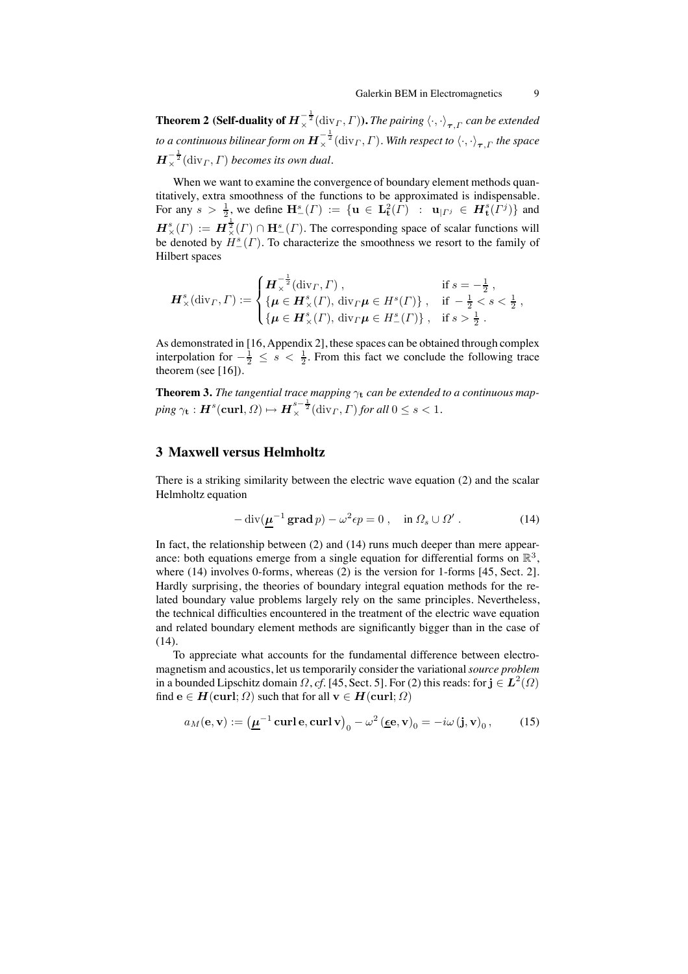**Theorem 2 (Self-duality of**  $\bm{H}_{\times}^{-\frac{1}{2}}(\text{div}_\varGamma,\varGamma)$ **).** *The pairing*  $\langle\cdot,\cdot\rangle_{\bm{\tau},\varGamma}$  *can be extended* to a continuous bilinear form on  $\bm{H}_{\times}^{-\frac{1}{2}}(\mathrm{div}_\varGamma,\varGamma).$  With respect to  $\langle\cdot,\cdot\rangle_{\bm{\tau},\varGamma}$  the space  $\boldsymbol{H}_{\times}^{-\frac{1}{2}}(\operatorname{div}_{\varGamma},\varGamma)$  becomes its own dual.

When we want to examine the convergence of boundary element methods quantitatively, extra smoothness of the functions to be approximated is indispensable. For any  $s > \frac{1}{2}$ , we define  $\mathbf{H}^s_-(\Gamma) := \{ \mathbf{u} \in \mathbf{L}^2_{\mathbf{t}}(\Gamma) : \mathbf{u}_{|\Gamma^j} \in H^s_{\mathbf{t}}(\Gamma^j) \}$  and  $\mathbf{H}^s_\times(\Gamma) := \mathbf{H}^{\frac{1}{2}}_\times(\Gamma) \cap \mathbf{H}^s_-(\Gamma)$ . The corresponding space of scalar functions will be denoted by  $H_-^s(\Gamma)$ . To characterize the smoothness we resort to the family of Hilbert spaces

$$
\boldsymbol{H}_{\times}^{s}(\text{div}_{\Gamma},\Gamma) := \begin{cases} \boldsymbol{H}_{\times}^{-\frac{1}{2}}(\text{div}_{\Gamma},\Gamma) , & \text{if } s = -\frac{1}{2} \,, \\ \{\boldsymbol{\mu} \in \boldsymbol{H}_{\times}^{s}(\Gamma), \, \text{div}_{\Gamma}\boldsymbol{\mu} \in H^{s}(\Gamma) \}, & \text{if } -\frac{1}{2} < s < \frac{1}{2} \,, \\ \{\boldsymbol{\mu} \in \boldsymbol{H}_{\times}^{s}(\Gamma), \, \text{div}_{\Gamma}\boldsymbol{\mu} \in H^{s}_{-}(\Gamma) \}, & \text{if } s > \frac{1}{2} \,. \end{cases}
$$

As demonstrated in [16, Appendix 2], these spaces can be obtained through complex interpolation for  $-\frac{1}{2} \leq s < \frac{1}{2}$ . From this fact we conclude the following trace theorem (see [16]).

**Theorem 3.** *The tangential trace mapping*  $\gamma_t$  *can be extended to a continuous map-* $\text{ping } \gamma_{\mathbf{t}}: \boldsymbol{H}^s(\boldsymbol{\mathrm{curl}}, \Omega) \mapsto \boldsymbol{H}^{s-\frac{1}{2}}_{\times}(\mathrm{div}_\varGamma, \varGamma) \, \text{for all } 0 \leq s < 1.$ 

# **3 Maxwell versus Helmholtz**

There is a striking similarity between the electric wave equation (2) and the scalar Helmholtz equation

$$
-\operatorname{div}(\underline{\mu}^{-1}\operatorname{grad} p) - \omega^2 \epsilon p = 0 , \quad \text{in } \Omega_s \cup \Omega' . \tag{14}
$$

In fact, the relationship between (2) and (14) runs much deeper than mere appearance: both equations emerge from a single equation for differential forms on  $\mathbb{R}^3$ , where (14) involves 0-forms, whereas (2) is the version for 1-forms [45, Sect. 2]. Hardly surprising, the theories of boundary integral equation methods for the related boundary value problems largely rely on the same principles. Nevertheless, the technical difficulties encountered in the treatment of the electric wave equation and related boundary element methods are significantly bigger than in the case of (14).

To appreciate what accounts for the fundamental difference between electromagnetism and acoustics, let us temporarily consider the variational*source problem* in a bounded Lipschitz domain  $\Omega$ , *cf.* [45, Sect. 5]. For (2) this reads: for  $\mathbf{j} \in L^2(\Omega)$ find  $e \in H(\text{curl}; \Omega)$  such that for all  $v \in H(\text{curl}; \Omega)$ 

$$
a_M(\mathbf{e}, \mathbf{v}) := \left(\underline{\boldsymbol{\mu}}^{-1} \operatorname{curl} \mathbf{e}, \operatorname{curl} \mathbf{v}\right)_0 - \omega^2 \left(\underline{\boldsymbol{\epsilon}} \mathbf{e}, \mathbf{v}\right)_0 = -i\omega \left(\mathbf{j}, \mathbf{v}\right)_0,\tag{15}
$$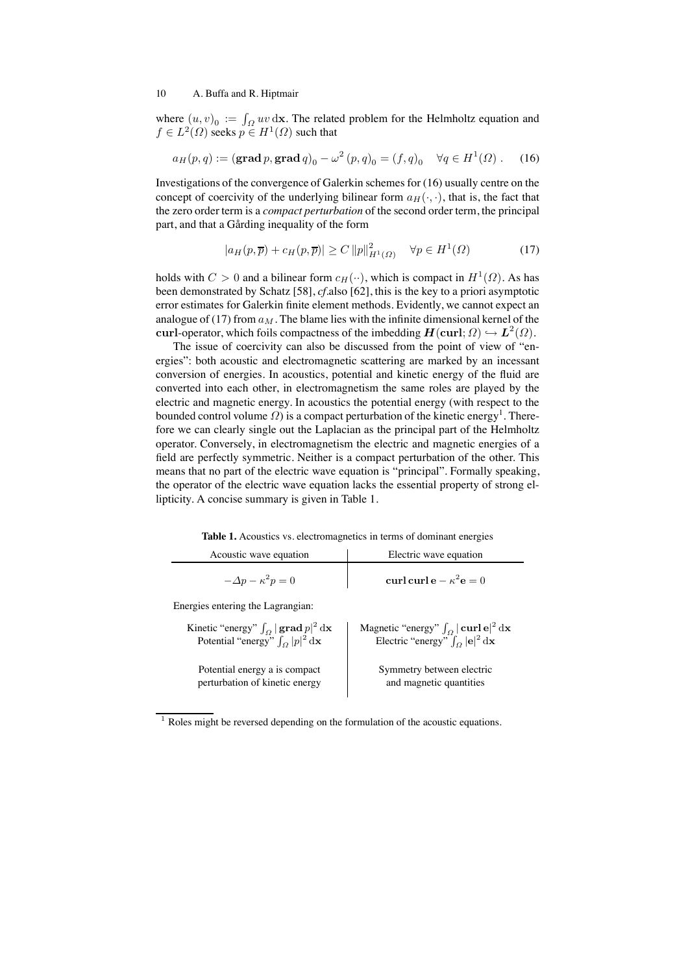where  $(u, v)_0 := \int_{\Omega} uv \, dx$ . The related problem for the Helmholtz equation and  $f \in L^2(\Omega)$  seeks  $p \in H^1(\Omega)$  such that

$$
a_H(p,q) := (\text{grad } p, \text{grad } q)_0 - \omega^2 (p,q)_0 = (f,q)_0 \quad \forall q \in H^1(\Omega)
$$
. (16)

Investigations of the convergence of Galerkin schemes for (16) usually centre on the concept of coercivity of the underlying bilinear form  $a_H(\cdot, \cdot)$ , that is, the fact that the zero order term is a *compact perturbation* of the second order term, the principal part, and that a Gårding inequality of the form

$$
|a_H(p,\overline{p}) + c_H(p,\overline{p})| \ge C ||p||^2_{H^1(\Omega)} \quad \forall p \in H^1(\Omega)
$$
 (17)

holds with  $C > 0$  and a bilinear form  $c_H(\cdot)$ , which is compact in  $H^1(\Omega)$ . As has been demonstrated by Schatz [58], *cf.*also [62], this is the key to a priori asymptotic error estimates for Galerkin finite element methods. Evidently, we cannot expect an analogue of (17) from  $a_M$ . The blame lies with the infinite dimensional kernel of the curl-operator, which foils compactness of the imbedding  $H(\text{curl}; \Omega) \hookrightarrow L^2(\Omega)$ .

The issue of coercivity can also be discussed from the point of view of "energies": both acoustic and electromagnetic scattering are marked by an incessant conversion of energies. In acoustics, potential and kinetic energy of the fluid are converted into each other, in electromagnetism the same roles are played by the electric and magnetic energy. In acoustics the potential energy (with respect to the bounded control volume  $\Omega$ ) is a compact perturbation of the kinetic energy<sup>1</sup>. Therefore we can clearly single out the Laplacian as the principal part of the Helmholtz operator. Conversely, in electromagnetism the electric and magnetic energies of a field are perfectly symmetric. Neither is a compact perturbation of the other. This means that no part of the electric wave equation is "principal". Formally speaking, the operator of the electric wave equation lacks the essential property of strong ellipticity. A concise summary is given in Table 1.

**Table 1.** Acoustics vs. electromagnetics in terms of dominant energies

| Acoustic wave equation                                                                                                   | Electric wave equation                                                                                                                                     |
|--------------------------------------------------------------------------------------------------------------------------|------------------------------------------------------------------------------------------------------------------------------------------------------------|
| $-\Delta p - \kappa^2 p = 0$                                                                                             | curl curl e $-\kappa^2$ e = 0                                                                                                                              |
| Energies entering the Lagrangian:                                                                                        |                                                                                                                                                            |
| Kinetic "energy" $\int_{\Omega}  \mathbf{grad} p ^2 d\mathbf{x}$<br>Potential "energy" $\int_{\Omega}  p ^2 d\mathbf{x}$ | Magnetic "energy" $\int_{\Omega}  \mathbf{curl} \, \mathbf{e} ^2 \, \mathrm{d} \mathbf{x}$<br>Electric "energy" $\int_{\Omega}  \mathbf{e} ^2 d\mathbf{x}$ |
| Potential energy a is compact<br>perturbation of kinetic energy                                                          | Symmetry between electric<br>and magnetic quantities                                                                                                       |

 $1$  Roles might be reversed depending on the formulation of the acoustic equations.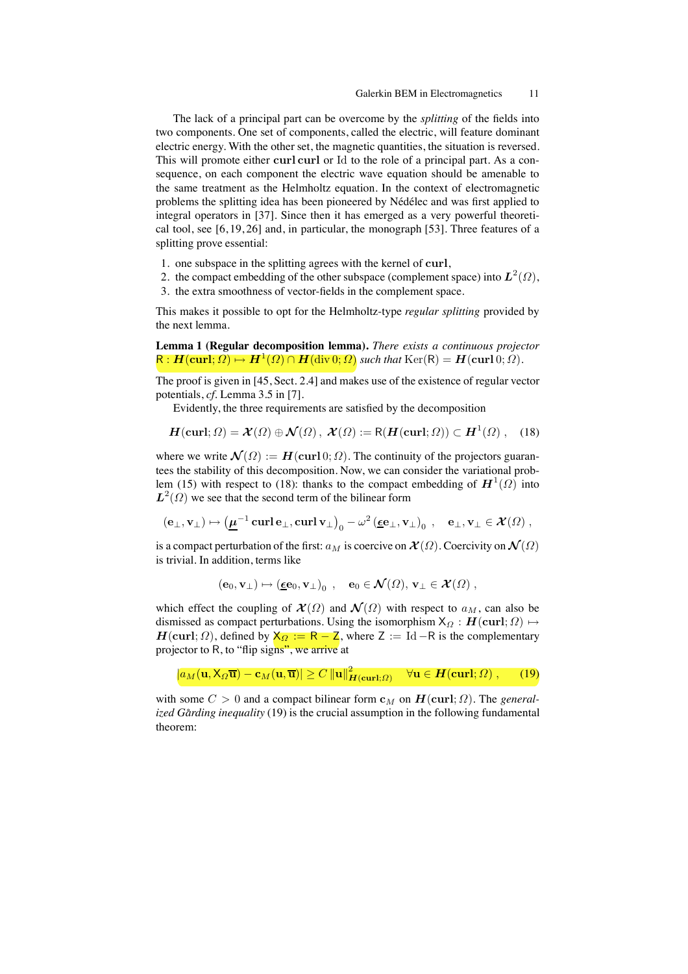The lack of a principal part can be overcome by the *splitting* of the fields into two components. One set of components, called the electric, will feature dominant electric energy. With the other set, the magnetic quantities, the situation is reversed. This will promote either curl curl or Id to the role of a principal part. As a consequence, on each component the electric wave equation should be amenable to the same treatment as the Helmholtz equation. In the context of electromagnetic problems the splitting idea has been pioneered by Nédélec and was first applied to integral operators in [37]. Since then it has emerged as a very powerful theoretical tool, see [6, 19, 26] and, in particular, the monograph [53]. Three features of a splitting prove essential:

- 1. one subspace in the splitting agrees with the kernel of curl,
- 2. the compact embedding of the other subspace (complement space) into  $L^2(\Omega)$ ,
- 3. the extra smoothness of vector-fields in the complement space.

This makes it possible to opt for the Helmholtz-type *regular splitting* provided by the next lemma.

**Lemma 1 (Regular decomposition lemma).** *There exists a continuous projector*  $R: H(\text{curl}; \Omega) \mapsto H^1(\Omega) \cap H(\text{div}\,0; \Omega)$  *such that*  $\text{Ker}(R) = H(\text{curl}\,0; \Omega)$ *.* 

The proof is given in [45, Sect. 2.4] and makes use of the existence of regular vector potentials, *cf.* Lemma 3.5 in [7].

Evidently, the three requirements are satisfied by the decomposition

$$
\boldsymbol{H}(\mathbf{curl};\Omega) = \boldsymbol{\mathcal{X}}(\Omega) \oplus \boldsymbol{\mathcal{N}}(\Omega), \ \boldsymbol{\mathcal{X}}(\Omega) := \mathsf{R}(\boldsymbol{H}(\mathbf{curl};\Omega)) \subset \boldsymbol{H}^1(\Omega), \quad (18)
$$

where we write  $\mathcal{N}(\Omega) := \mathbf{H}(\text{curl } 0; \Omega)$ . The continuity of the projectors guarantees the stability of this decomposition. Now, we can consider the variational problem (15) with respect to (18): thanks to the compact embedding of  $H^1(\Omega)$  into  $L^2(\Omega)$  we see that the second term of the bilinear form

$$
(\mathbf{e}_{\perp}, \mathbf{v}_{\perp}) \mapsto (\underline{\mu}^{-1} \operatorname{curl} \mathbf{e}_{\perp}, \operatorname{curl} \mathbf{v}_{\perp})_{0} - \omega^{2} (\underline{\epsilon} \mathbf{e}_{\perp}, \mathbf{v}_{\perp})_{0} , \quad \mathbf{e}_{\perp}, \mathbf{v}_{\perp} \in \mathcal{X}(\Omega) ,
$$

is a compact perturbation of the first:  $a_M$  is coercive on  $\mathcal{X}(\Omega)$ . Coercivity on  $\mathcal{N}(\Omega)$ is trivial. In addition, terms like

$$
(\mathbf{e}_0,\mathbf{v}_\perp)\mapsto (\underline{\boldsymbol{\epsilon}}\mathbf{e}_0,\mathbf{v}_\perp)_0\ ,\quad \mathbf{e}_0\in \mathcal{N}(\Omega),\,\mathbf{v}_\perp\in \mathcal{X}(\Omega)\ ,
$$

which effect the coupling of  $\mathcal{X}(\Omega)$  and  $\mathcal{N}(\Omega)$  with respect to  $a_M$ , can also be dismissed as compact perturbations. Using the isomorphism  $X_{\Omega} : H(\text{curl}; \Omega) \mapsto$  $H(\text{curl}; \Omega)$ , defined by  $X_{\Omega} := R - Z$ , where  $Z := Id - R$  is the complementary projector to R, to "flip signs", we arrive at

 $|a_M (\mathbf{u}, \mathsf{X}_{\Omega} \overline{\mathbf{u}}) - \mathbf{c}_M (\mathbf{u}, \overline{\mathbf{u}})| \geq C ||\mathbf{u}||^2_{\boldsymbol{H}(\mathbf{curl};\Omega)} \quad \forall \mathbf{u} \in \boldsymbol{H}(\mathbf{curl};\Omega) , \tag{19}$ 

with some  $C > 0$  and a compact bilinear form  $c_M$  on  $H(\text{curl}; \Omega)$ . The *generalized Gårding inequality* (19) is the crucial assumption in the following fundamental theorem: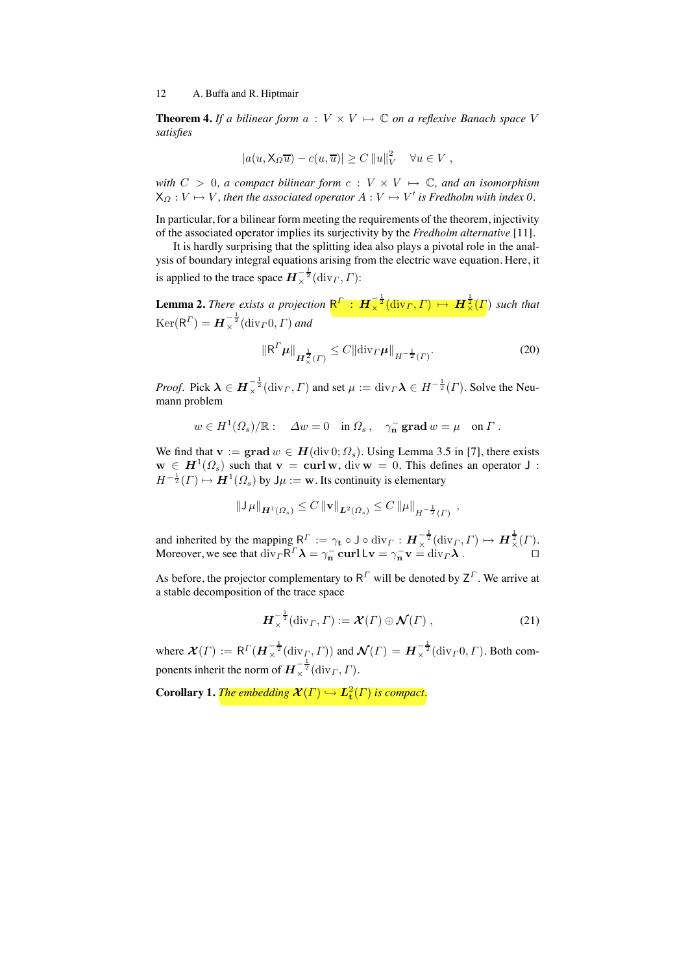**Theorem 4.** If a bilinear form  $a: V \times V \mapsto \mathbb{C}$  on a reflexive Banach space V *satisfies*

$$
|a(u, \mathsf{X}_{\Omega}\overline{u}) - c(u, \overline{u})| \geq C ||u||_V^2 \quad \forall u \in V,
$$

*with*  $C > 0$ , a compact bilinear form  $c : V \times V \mapsto \mathbb{C}$ , and an isomorphism  $X_{\Omega}: V \mapsto V$ , then the associated operator  $A: V \mapsto V'$  is Fredholm with index 0.

In particular, for a bilinear form meeting the requirements of the theorem, injectivity of the associated operator implies its surjectivity by the *Fredholm alternative* [11].

It is hardly surprising that the splitting idea also plays a pivotal role in the analysis of boundary integral equations arising from the electric wave equation. Here, it is applied to the trace space  $\boldsymbol{H}^{-\frac{1}{2}}_\times(\text{div}_\varGamma,\varGamma)$ :

**Lemma 2.** *There exists a projection*  $R^{\Gamma}$  :  $\mathbf{H}_{\times}^{-\frac{1}{2}}(\text{div}_{\Gamma}, \Gamma) \mapsto \mathbf{H}_{\times}^{\frac{1}{2}}(\Gamma)$  such that  $\mathrm{Ker}(\mathsf{R}^{\Gamma}) = \boldsymbol{H}_{\times}^{-\frac{1}{2}}(\mathrm{div}_{\Gamma} \mathbf{0}, \Gamma)$  and

$$
\|\mathsf{R}^{\Gamma}\boldsymbol{\mu}\|_{\boldsymbol{H}_{\times}^{\frac{1}{2}}(\Gamma)} \leq C \|\text{div}_{\Gamma}\boldsymbol{\mu}\|_{H^{-\frac{1}{2}}(\Gamma)}.
$$
 (20)

*Proof.* Pick  $\lambda \in H_{\times}^{-\frac{1}{2}}(\text{div}_\Gamma, \Gamma)$  and set  $\mu := \text{div}_\Gamma \lambda \in H^{-\frac{1}{2}}(\Gamma)$ . Solve the Neumann problem

$$
w \in H^1(\Omega_s)/\mathbb{R}
$$
:  $\Delta w = 0$  in  $\Omega_s$ ,  $\gamma_n^-$  grad  $w = \mu$  on  $\Gamma$ .

We find that  $\mathbf{v} := \mathbf{grad}\, w \in \mathbf{H}(\text{div}\, 0; \Omega_s)$ . Using Lemma 3.5 in [7], there exists  $\mathbf{w} \in \mathbf{H}^{1}(\Omega_{s})$  such that  $\mathbf{v} = \mathbf{curl}\,\mathbf{w}$ , div  $\mathbf{w} = 0$ . This defines an operator J:  $H^{-\frac{1}{2}}(\Gamma) \mapsto H^1(\Omega_s)$  by  $\mathsf{J}\mu := \mathbf{w}$ . Its continuity is elementary

$$
\|\mathsf{J}\,\mu\|_{\mathbf{H}^1(\Omega_s)} \leq C \, \|\mathbf{v}\|_{\mathbf{L}^2(\Omega_s)} \leq C \, \|\mu\|_{H^{-\frac{1}{2}}(\Gamma)} \, ,
$$

and inherited by the mapping  $R^{\Gamma} := \gamma_{\mathbf{t}} \circ \mathsf{J} \circ \text{div}_{\Gamma} : \mathbf{H}^{-\frac{1}{2}}_{\times}(\text{div}_{\Gamma}, \Gamma) \mapsto \mathbf{H}^{\frac{1}{2}}_{\times}(\Gamma)$ . Moreover, we see that  $\text{div}_\Gamma \mathsf{R}^\Gamma \boldsymbol{\lambda} = \gamma_{\mathbf{n}}^- \mathbf{curl} \mathsf{L} \mathbf{v} = \gamma_{\mathbf{n}}^- \mathbf{v} = \text{div}_\Gamma \boldsymbol{\lambda}$ .

As before, the projector complementary to  $R^T$  will be denoted by  $Z^T$ . We arrive at a stable decomposition of the trace space

$$
\boldsymbol{H}_{\times}^{-\frac{1}{2}}(\text{div}_{\Gamma}, \Gamma) := \boldsymbol{\mathcal{X}}(\Gamma) \oplus \boldsymbol{\mathcal{N}}(\Gamma) ,
$$
 (21)

where  $\mathcal{X}(\Gamma) := \mathsf{R}(\mathcal{H}^{-\frac{1}{2}}_{\times}(\text{div}_{\Gamma}, \Gamma))$  and  $\mathcal{N}(\Gamma) = \mathcal{H}^{-\frac{1}{2}}_{\times}(\text{div}_{\Gamma}(\Gamma), \Gamma)$ . Both components inherit the norm of  $\boldsymbol{H}^{-\frac{1}{2}}_\times(\text{div}_\varGamma,\varGamma).$ 

 $\bf{Corollary 1.}$  The embedding  $\mathcal{X}(\Gamma) \hookrightarrow L^2_{\bf t}(\Gamma)$  is compact.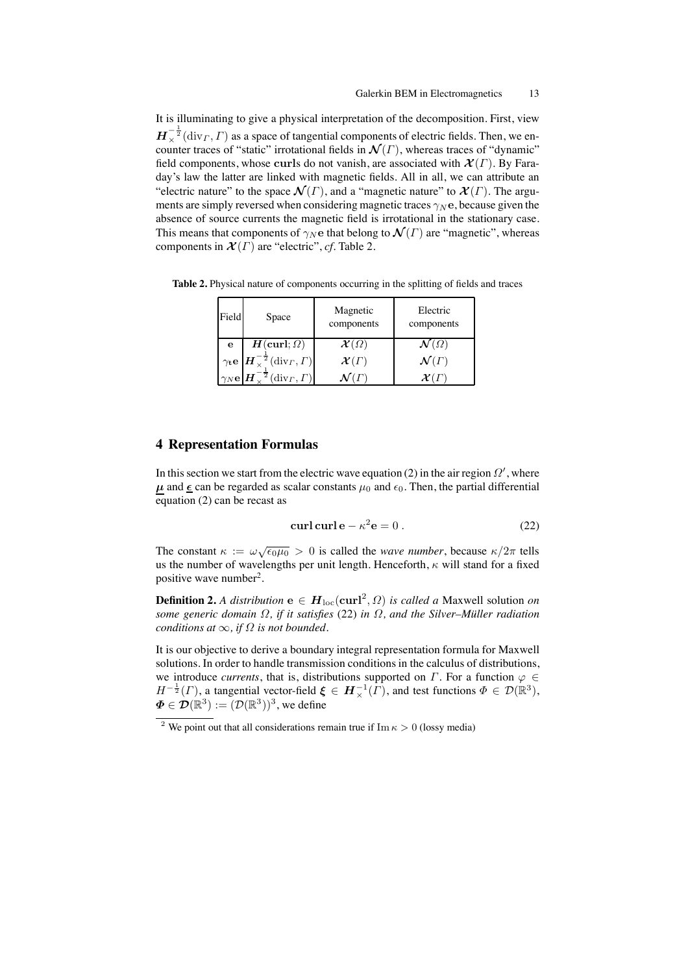It is illuminating to give a physical interpretation of the decomposition. First, view  $\bm{H}_{\times}^{-\frac{1}{2}}(\text{div}_\varGamma,\varGamma)$  as a space of tangential components of electric fields. Then, we encounter traces of "static" irrotational fields in  $\mathcal{N}(\Gamma)$ , whereas traces of "dynamic" field components, whose curls do not vanish, are associated with  $\mathcal{X}(\Gamma)$ . By Faraday's law the latter are linked with magnetic fields. All in all, we can attribute an "electric nature" to the space  $\mathcal{N}(\Gamma)$ , and a "magnetic nature" to  $\mathcal{X}(\Gamma)$ . The arguments are simply reversed when considering magnetic traces  $\gamma_N$ e, because given the absence of source currents the magnetic field is irrotational in the stationary case. This means that components of  $\gamma_N$ e that belong to  $\mathcal{N}(\Gamma)$  are "magnetic", whereas components in  $\mathcal{X}(\Gamma)$  are "electric", *cf*. Table 2.

**Table 2.** Physical nature of components occurring in the splitting of fields and traces

| Field        | Space                                                                                                 | Magnetic<br>components | Electric<br>components              |
|--------------|-------------------------------------------------------------------------------------------------------|------------------------|-------------------------------------|
| e            | $H(\text{curl};\Omega)$                                                                               | $\mathcal{X}(\Omega)$  | $\mathcal{N}\left(\varOmega\right)$ |
|              | $\gamma_t$ e $\left  \boldsymbol{H}^{-\frac{1}{2}}_{\times}(\text{div}_\varGamma, \varGamma) \right $ | $\mathcal{X}(\Gamma)$  | $\mathcal{N}(\Gamma)$               |
| $\gamma_N$ e | $\sqrt[2]{\operatorname{div}}_{\Gamma}, \Gamma)$                                                      |                        | $\mathcal{X}(\varGamma$             |

### **4 Representation Formulas**

In this section we start from the electric wave equation (2) in the air region  $\Omega'$ , where  $\mu$  and  $\underline{\epsilon}$  can be regarded as scalar constants  $\mu_0$  and  $\epsilon_0$ . Then, the partial differential equation  $(2)$  can be recast as

$$
\operatorname{curl} \operatorname{curl} \mathbf{e} - \kappa^2 \mathbf{e} = 0 \,. \tag{22}
$$

The constant  $\kappa := \omega \sqrt{\epsilon_0 \mu_0} > 0$  is called the *wave number*, because  $\kappa/2\pi$  tells us the number of wavelengths per unit length. Henceforth,  $\kappa$  will stand for a fixed positive wave number2.

**Definition 2.** *A distribution*  $e \in H_{loc}(curl^2, \Omega)$  *is called a Maxwell solution on some generic domain*  $\Omega$ , *if it satisfies* (22) *in*  $\Omega$ , *and the Silver–Müller radiation conditions at*  $\infty$ *, if*  $\Omega$  *is not bounded.* 

It is our objective to derive a boundary integral representation formula for Maxwell solutions. In order to handle transmission conditions in the calculus of distributions, we introduce *currents*, that is, distributions supported on  $\Gamma$ . For a function  $\varphi \in$  $H^{-\frac{1}{2}}(\Gamma)$ , a tangential vector-field  $\xi \in H^{-1}_{\times}(\Gamma)$ , and test functions  $\Phi \in \mathcal{D}(\mathbb{R}^3)$ ,  $\boldsymbol{\Phi} \in \mathcal{D}(\mathbb{R}^3) := (\mathcal{D}(\mathbb{R}^3))^3$ , we define

<sup>&</sup>lt;sup>2</sup> We point out that all considerations remain true if Im  $\kappa > 0$  (lossy media)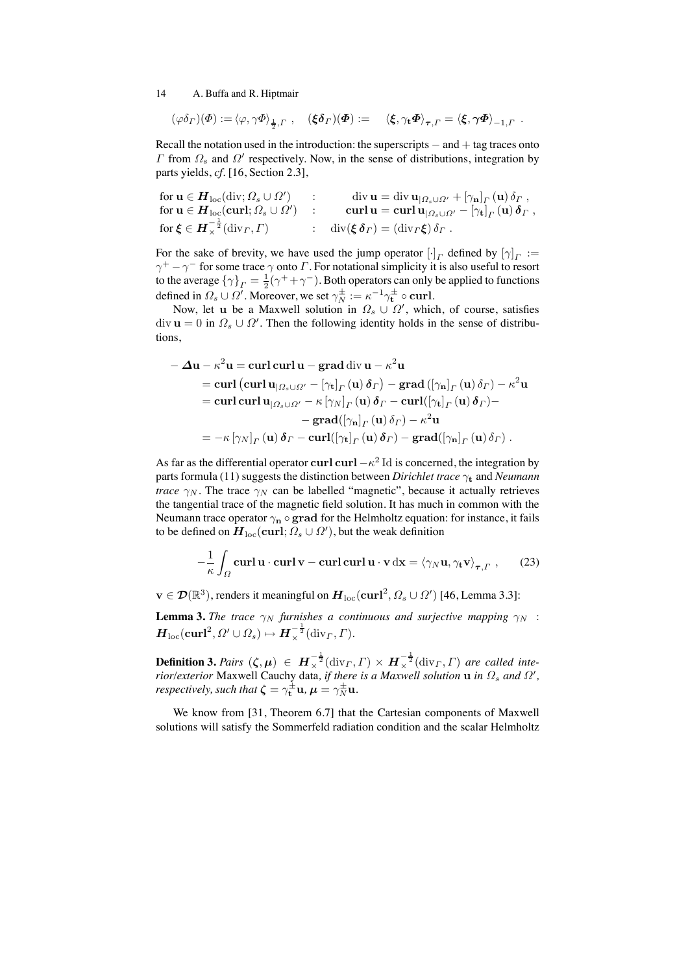$$
(\varphi \delta_\Gamma)(\varPhi) := \langle \varphi, \gamma \varPhi \rangle_{\frac{1}{2}, \Gamma} , \quad (\xi \delta_\Gamma)(\varPhi) := \langle \xi, \gamma_t \varPhi \rangle_{\tau, \Gamma} = \langle \xi, \gamma \varPhi \rangle_{-1, \Gamma} .
$$

Recall the notation used in the introduction: the superscripts  $-$  and  $+$  tag traces onto Γ from  $\Omega_s$  and  $\Omega'$  respectively. Now, in the sense of distributions, integration by parts yields, *cf.* [16, Section 2.3],

$$
\begin{array}{ll}\n\text{for } \mathbf{u} \in \mathbf{H}_{\text{loc}}(\text{div}; \Omega_s \cup \Omega') & \mathbf{u} = \text{div } \mathbf{u}_{|\Omega_s \cup \Omega'} + [\gamma_{\mathbf{n}}]_F(\mathbf{u}) \, \delta_F \,, \\
\text{for } \mathbf{u} \in \mathbf{H}_{\text{loc}}(\textbf{curl}; \Omega_s \cup \Omega') & \mathbf{u} = \textbf{curl } \mathbf{u} = \textbf{curl } \mathbf{u}_{|\Omega_s \cup \Omega'} - [\gamma_{\mathbf{t}}]_F(\mathbf{u}) \, \delta_F \,, \\
\text{for } \boldsymbol{\xi} \in \mathbf{H}_\times^{-\frac{1}{2}}(\text{div}_F, \Gamma) & \mathbf{u} = \text{div}(\boldsymbol{\xi}) \, \delta_F \, .\n\end{array}
$$

For the sake of brevity, we have used the jump operator  $[\cdot]_T$  defined by  $[\gamma]_T :=$  $\gamma^+ - \gamma^-$  for some trace  $\gamma$  onto  $\Gamma$ . For notational simplicity it is also useful to resort to the average  $\{\gamma\}_\Gamma = \frac{1}{2}(\gamma^+ + \gamma^-)$ . Both operators can only be applied to functions defined in  $\Omega_s \cup \Omega'$ . Moreover, we set  $\gamma_N^{\pm} := \kappa^{-1} \gamma_t^{\pm} \circ \text{curl}$ .

Now, let u be a Maxwell solution in  $\Omega_s \cup \Omega'$ , which, of course, satisfies  $\text{div } \mathbf{u} = 0$  in  $\Omega_s \cup \Omega'$ . Then the following identity holds in the sense of distributions,

$$
-\Delta u - \kappa^2 u = \operatorname{curl} \operatorname{curl} u - \operatorname{grad} \operatorname{div} u - \kappa^2 u
$$
  
\n
$$
= \operatorname{curl} (\operatorname{curl} u_{|\Omega_s \cup \Omega'} - [\gamma_t]_{\Gamma}(u) \delta_{\Gamma}) - \operatorname{grad} ([\gamma_n]_{\Gamma}(u) \delta_{\Gamma}) - \kappa^2 u
$$
  
\n
$$
= \operatorname{curl} \operatorname{curl} u_{|\Omega_s \cup \Omega'} - \kappa [\gamma_N]_{\Gamma}(u) \delta_{\Gamma} - \operatorname{curl} ([\gamma_t]_{\Gamma}(u) \delta_{\Gamma}) -
$$
  
\n
$$
- \operatorname{grad} ([\gamma_n]_{\Gamma}(u) \delta_{\Gamma}) - \kappa^2 u
$$
  
\n
$$
= -\kappa [\gamma_N]_{\Gamma}(u) \delta_{\Gamma} - \operatorname{curl} ([\gamma_t]_{\Gamma}(u) \delta_{\Gamma}) - \operatorname{grad} ([\gamma_n]_{\Gamma}(u) \delta_{\Gamma}).
$$

As far as the differential operator curl curl  $-\kappa^2$  Id is concerned, the integration by parts formula (11) suggests the distinction between *Dirichlet trace* γ<sup>t</sup> and *Neumann trace*  $\gamma_N$ . The trace  $\gamma_N$  can be labelled "magnetic", because it actually retrieves the tangential trace of the magnetic field solution. It has much in common with the Neumann trace operator  $\gamma_n \circ \textbf{grad}$  for the Helmholtz equation: for instance, it fails to be defined on  $\boldsymbol{H}_{\text{loc}}(\mathbf{curl};\Omega_s\cup\Omega'),$  but the weak definition

$$
-\frac{1}{\kappa} \int_{\Omega} \mathbf{curl} \, \mathbf{u} \cdot \mathbf{curl} \, \mathbf{v} - \mathbf{curl} \, \mathbf{curl} \, \mathbf{u} \cdot \mathbf{v} \, \mathrm{dx} = \langle \gamma_N \mathbf{u}, \gamma_\mathbf{t} \mathbf{v} \rangle_{\tau, \Gamma} \;, \tag{23}
$$

 $\mathbf{v} \in \mathcal{D}(\mathbb{R}^3)$ , renders it meaningful on  $\bm{H}_{\mathrm{loc}}(\mathbf{curl}^2,\bm{\Omega_s}\cup\bm{\Omega'})$  [46, Lemma 3.3]:

**Lemma 3.** *The trace*  $\gamma_N$  *furnishes a continuous and surjective mapping*  $\gamma_N$  :  $\boldsymbol{H}_{\rm loc}(\boldsymbol{\operatorname{curl}}^2,\varOmega'\cup\varOmega_s)\mapsto \boldsymbol{H}_{\times}^{-\frac{1}{2}}({\rm div}_\varGamma,\varGamma).$ 

**Definition 3.** *Pairs*  $(\zeta, \mu) \in H^{-\frac{1}{2}}_{\times}(\text{div}_\Gamma, \Gamma) \times H^{-\frac{1}{2}}_{\times}(\text{div}_\Gamma, \Gamma)$  are called inte*rior/exterior* Maxwell Cauchy data, *if there is a Maxwell solution*  $\bf{u}$  *in*  $\Omega_s$  *and*  $\Omega'$ , *respectively, such that*  $\boldsymbol{\zeta} = \gamma^{\pm}_{\mathbf{t}} \mathbf{u}$ ,  $\boldsymbol{\mu} = \gamma^{\pm}_{N} \mathbf{u}$ .

We know from [31, Theorem 6.7] that the Cartesian components of Maxwell solutions will satisfy the Sommerfeld radiation condition and the scalar Helmholtz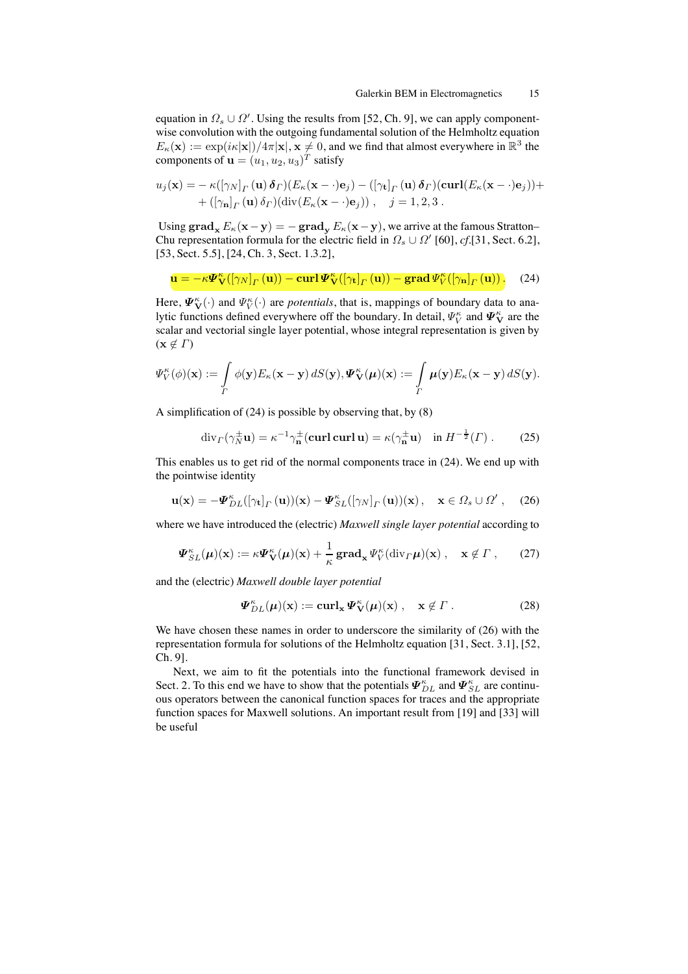equation in  $\Omega_s \cup \Omega'$ . Using the results from [52, Ch. 9], we can apply componentwise convolution with the outgoing fundamental solution of the Helmholtz equation  $E_{\kappa}(\mathbf{x}) := \exp(i \kappa |\mathbf{x}|)/4\pi |\mathbf{x}|, \mathbf{x} \neq 0$ , and we find that almost everywhere in  $\mathbb{R}^3$  the components of  $\mathbf{u} = (u_1, u_2, u_3)^T$  satisfy

$$
u_j(\mathbf{x}) = -\kappa([\gamma_N]_\Gamma(\mathbf{u}) \, \boldsymbol{\delta}_\Gamma)(E_\kappa(\mathbf{x}-\cdot)\mathbf{e}_j) - ([\gamma_t]_\Gamma(\mathbf{u}) \, \boldsymbol{\delta}_\Gamma)(\operatorname{curl}(E_\kappa(\mathbf{x}-\cdot)\mathbf{e}_j)) + \\ + ([\gamma_n]_\Gamma(\mathbf{u}) \, \delta_\Gamma)(\operatorname{div}(E_\kappa(\mathbf{x}-\cdot)\mathbf{e}_j)), \quad j = 1, 2, 3 \, .
$$

Using  $\operatorname{grad}_{\mathbf{x}} E_{\kappa}(\mathbf{x}-\mathbf{y}) = -\operatorname{grad}_{\mathbf{y}} E_{\kappa}(\mathbf{x}-\mathbf{y})$ , we arrive at the famous Stratton– Chu representation formula for the electric field in  $\Omega_s \cup \Omega'$  [60], *cf.*[31, Sect. 6.2], [53, Sect. 5.5], [24, Ch. 3, Sect. 1.3.2],

$$
\mathbf{u} = -\kappa \mathbf{\Psi}_{\mathbf{V}}^{\kappa}([\gamma_N]_{\Gamma}(\mathbf{u})) - \operatorname{curl} \mathbf{\Psi}_{\mathbf{V}}^{\kappa}([\gamma_{\mathbf{t}}]_{\Gamma}(\mathbf{u})) - \operatorname{grad} \mathbf{\Psi}_{V}^{\kappa}([\gamma_{\mathbf{n}}]_{\Gamma}(\mathbf{u})). \tag{24}
$$

Here,  $\Psi_{\mathbf{V}}^{\kappa}(\cdot)$  and  $\Psi_{V}^{\kappa}(\cdot)$  are *potentials*, that is, mappings of boundary data to analytic functions defined everywhere off the boundary. In detail,  $\varPsi_V^\kappa$  and  $\varPsi_\mathbf{V}^\kappa$  are the scalar and vectorial single layer potential, whose integral representation is given by  $(\mathbf{x} \notin \Gamma)$ 

$$
\Psi_V^{\kappa}(\phi)(\mathbf{x}) := \int\limits_{\Gamma} \phi(\mathbf{y}) E_{\kappa}(\mathbf{x}-\mathbf{y}) \, dS(\mathbf{y}), \Psi_{\mathbf{V}}^{\kappa}(\boldsymbol{\mu})(\mathbf{x}) := \int\limits_{\Gamma} \boldsymbol{\mu}(\mathbf{y}) E_{\kappa}(\mathbf{x}-\mathbf{y}) \, dS(\mathbf{y}).
$$

A simplification of (24) is possible by observing that, by (8)

$$
\operatorname{div}_{\Gamma}(\gamma_N^{\pm}\mathbf{u}) = \kappa^{-1}\gamma_n^{\pm}(\operatorname{curl}\operatorname{curl}\mathbf{u}) = \kappa(\gamma_n^{\pm}\mathbf{u}) \quad \text{in } H^{-\frac{1}{2}}(\Gamma) . \tag{25}
$$

This enables us to get rid of the normal components trace in (24). We end up with the pointwise identity

$$
\mathbf{u}(\mathbf{x}) = -\mathbf{\Psi}_{DL}^{\kappa}([\gamma_{\mathbf{t}}]_{\Gamma}(\mathbf{u}))(\mathbf{x}) - \mathbf{\Psi}_{SL}^{\kappa}([\gamma_{N}]_{\Gamma}(\mathbf{u}))(\mathbf{x}), \quad \mathbf{x} \in \Omega_{s} \cup \Omega^{\prime}, \quad (26)
$$

where we have introduced the (electric) *Maxwell single layer potential* according to

$$
\Psi_{SL}^{\kappa}(\mu)(\mathbf{x}) := \kappa \Psi_{\mathbf{V}}^{\kappa}(\mu)(\mathbf{x}) + \frac{1}{\kappa} \mathbf{grad}_{\mathbf{x}} \Psi_{V}^{\kappa}(\mathrm{div}_{\Gamma}\mu)(\mathbf{x}), \quad \mathbf{x} \notin \Gamma, \qquad (27)
$$

and the (electric) *Maxwell double layer potential*

$$
\Psi_{DL}^{\kappa}(\mu)(x) := \operatorname{curl}_{x} \Psi_{V}^{\kappa}(\mu)(x) , \quad x \notin \Gamma . \tag{28}
$$

We have chosen these names in order to underscore the similarity of (26) with the representation formula for solutions of the Helmholtz equation [31, Sect. 3.1], [52, Ch. 9].

Next, we aim to fit the potentials into the functional framework devised in Sect. 2. To this end we have to show that the potentials  $\Psi_{DL}^{\kappa}$  and  $\Psi_{SL}^{\kappa}$  are continuous operators between the canonical function spaces for traces and the appropriate function spaces for Maxwell solutions. An important result from [19] and [33] will be useful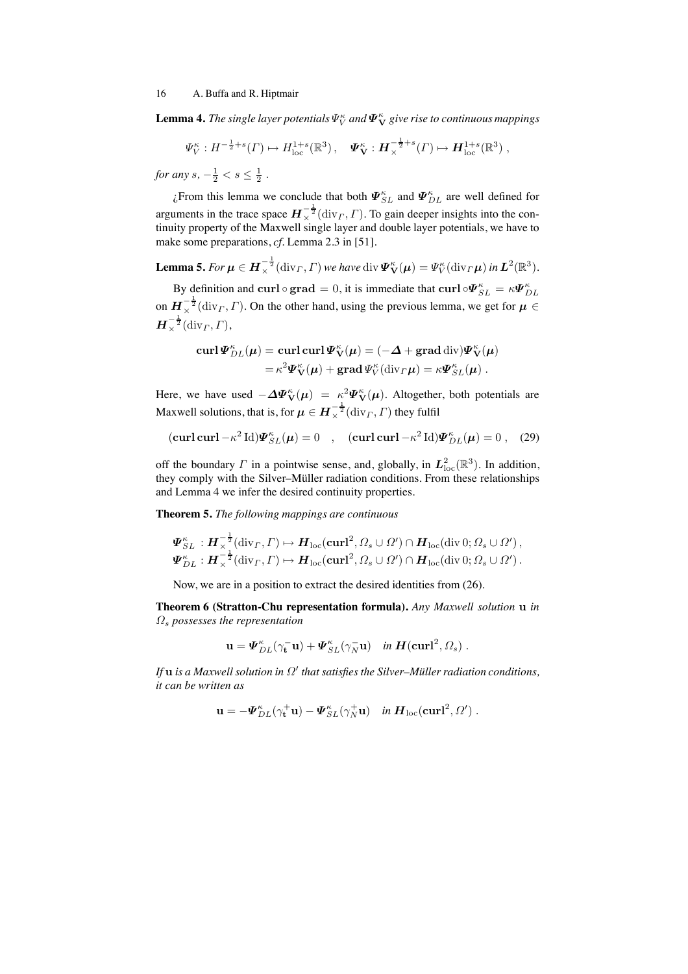**Lemma 4.** The single layer potentials  $\Psi_{V}^{\kappa}$  and  $\boldsymbol{\varPsi}_{\mathbf{V}}^{\kappa}$  give rise to continuous mappings

 $\Psi_V^{\kappa}: H^{-\frac{1}{2}+s}(\Gamma) \mapsto H_{\text{loc}}^{1+s}(\mathbb{R}^3), \quad \Psi_{\mathbf{V}}^{\kappa}: \boldsymbol{H}_{\times}^{-\frac{1}{2}+s}(\Gamma) \mapsto \boldsymbol{H}_{\text{loc}}^{1+s}(\mathbb{R}^3)$ 

*for any*  $s, -\frac{1}{2} < s \leq \frac{1}{2}$ .

¿From this lemma we conclude that both  $\Psi_{SL}^{\kappa}$  and  $\Psi_{DL}^{\kappa}$  are well defined for arguments in the trace space  $H_{\times}^{-\frac{1}{2}}(\text{div}_\Gamma, \Gamma)$ . To gain deeper insights into the continuity property of the Maxwell single layer and double layer potentials, we have to make some preparations, *cf.* Lemma 2.3 in [51].

**Lemma 5.** For  $\boldsymbol{\mu} \in \boldsymbol{H}^{-\frac{1}{2}}_{\times}(\text{div}_\varGamma, \varGamma)$  we have  $\text{div}\boldsymbol{\varPsi}^{\kappa}_{\mathbf{V}}(\boldsymbol{\mu}) = \varPsi^{\kappa}_{V}(\text{div}_\varGamma \boldsymbol{\mu})$  in  $\boldsymbol{L}^{2}(\mathbb{R}^{3}).$ 

By definition and curl  $\circ$  grad = 0, it is immediate that curl  $\circ \Psi_{SL}^{\kappa} = \kappa \Psi_{DL}^{\kappa}$ on  $H_{\times}^{-\frac{1}{2}}(\text{div}_\Gamma, \Gamma)$ . On the other hand, using the previous lemma, we get for  $\mu \in$  $\boldsymbol{H}_{\times}^{-\frac{1}{2}}(\operatorname{div}_{\boldsymbol{\varGamma}},\boldsymbol{\varGamma}),$ 

$$
\operatorname{curl} \boldsymbol{\varPsi}_{DL}^{\kappa}(\boldsymbol{\mu}) = \operatorname{curl} \operatorname{curl} \boldsymbol{\varPsi}_{\mathbf{V}}^{\kappa}(\boldsymbol{\mu}) = (-\boldsymbol{\varDelta} + \operatorname{grad} \operatorname{div}) \boldsymbol{\varPsi}_{\mathbf{V}}^{\kappa}(\boldsymbol{\mu})
$$

$$
= \kappa^2 \boldsymbol{\varPsi}_{\mathbf{V}}^{\kappa}(\boldsymbol{\mu}) + \operatorname{grad} \boldsymbol{\varPsi}_{\mathbf{V}}^{\kappa}(\operatorname{div}_{\boldsymbol{\varGamma}} \boldsymbol{\mu}) = \kappa \boldsymbol{\varPsi}_{SL}^{\kappa}(\boldsymbol{\mu}) .
$$

Here, we have used  $-\Delta \Psi^{\kappa}_{V}(\mu) = \kappa^2 \Psi^{\kappa}_{V}(\mu)$ . Altogether, both potentials are Maxwell solutions, that is, for  $\boldsymbol{\mu} \in \boldsymbol{H}^{-\frac{1}{2}}_{\times}(\mathrm{div}_\varGamma, \varGamma)$  they fulfil

$$
(\operatorname{curl}\operatorname{curl}-\kappa^2\operatorname{Id})\Psi_{SL}^{\kappa}(\boldsymbol{\mu})=0 \quad , \quad (\operatorname{curl}\operatorname{curl}-\kappa^2\operatorname{Id})\Psi_{DL}^{\kappa}(\boldsymbol{\mu})=0 \quad , \quad (29)
$$

off the boundary  $\Gamma$  in a pointwise sense, and, globally, in  $L^2_{\text{loc}}(\mathbb{R}^3)$ . In addition, they comply with the Silver–Müller radiation conditions. From these relationships and Lemma 4 we infer the desired continuity properties.

**Theorem 5.** *The following mappings are continuous*

$$
\Psi_{SL}^{\kappa}: H_{\times}^{-\frac{1}{2}}(\mathrm{div}_{\Gamma}, \Gamma) \mapsto H_{\mathrm{loc}}(\mathrm{curl}^2, \Omega_s \cup \Omega') \cap H_{\mathrm{loc}}(\mathrm{div} \, 0; \Omega_s \cup \Omega'),
$$
  

$$
\Psi_{DL}^{\kappa}: H_{\times}^{-\frac{1}{2}}(\mathrm{div}_{\Gamma}, \Gamma) \mapsto H_{\mathrm{loc}}(\mathrm{curl}^2, \Omega_s \cup \Omega') \cap H_{\mathrm{loc}}(\mathrm{div} \, 0; \Omega_s \cup \Omega').
$$

Now, we are in a position to extract the desired identities from (26).

**Theorem 6 (Stratton-Chu representation formula).** *Any Maxwell solution* u *in* Ω<sup>s</sup> *possesses the representation*

$$
\mathbf{u} = \mathbf{\Psi}_{DL}^{\kappa}(\gamma_{\mathbf{t}}^- \mathbf{u}) + \mathbf{\Psi}_{SL}^{\kappa}(\gamma_N^- \mathbf{u}) \quad in \ \mathbf{H}(\mathbf{curl}^2, \Omega_s) \ .
$$

*If*  $\bf{u}$  *is a Maxwell solution in*  $\Omega'$  *that satisfies the Silver–Müller radiation conditions, it can be written as*

$$
\mathbf{u} = -\mathbf{\Psi}_{DL}^{\kappa}(\gamma_{\mathbf{t}}^{+}\mathbf{u}) - \mathbf{\Psi}_{SL}^{\kappa}(\gamma_{N}^{+}\mathbf{u}) \quad in \ \mathbf{H}_{loc}(\mathbf{curl}^{2},\Omega') .
$$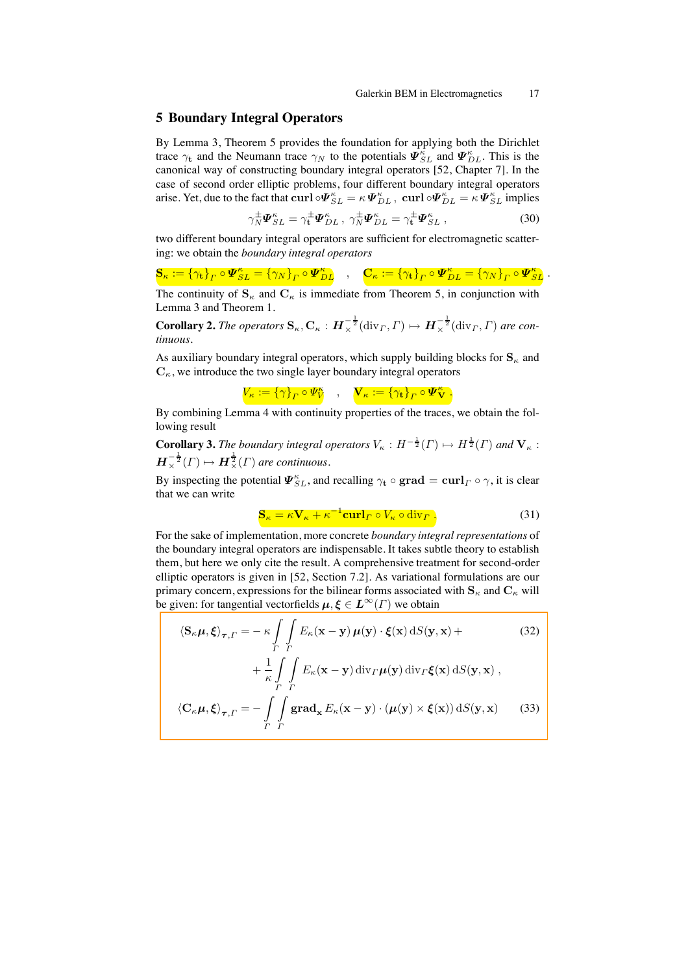# **5 Boundary Integral Operators**

By Lemma 3, Theorem 5 provides the foundation for applying both the Dirichlet trace  $\gamma_t$  and the Neumann trace  $\gamma_N$  to the potentials  $\Psi_{SL}^{\kappa}$  and  $\Psi_{DL}^{\kappa}$ . This is the canonical way of constructing boundary integral operators [52, Chapter 7]. In the case of second order elliptic problems, four different boundary integral operators arise. Yet, due to the fact that  $\pmb{\text{curl}} \circ \pmb{\varPsi}_{SL}^{\kappa} = \kappa \pmb{\varPsi}_{DL}^{\kappa}$ ,  $\pmb{\text{curl}} \circ \pmb{\varPsi}_{DL}^{\kappa} = \kappa \pmb{\varPsi}_{SL}^{\kappa}$  implies

$$
\gamma_N^{\pm} \Psi_{SL}^{\kappa} = \gamma_t^{\pm} \Psi_{DL}^{\kappa}, \ \gamma_N^{\pm} \Psi_{DL}^{\kappa} = \gamma_t^{\pm} \Psi_{SL}^{\kappa}, \tag{30}
$$

two different boundary integral operators are sufficient for electromagnetic scattering: we obtain the *boundary integral operators*

 $\mathbf{S}_{\kappa}:=\left\{\gamma_{\mathbf{t}}\right\}_{\Gamma}\circ\boldsymbol{\varPsi}^{\kappa}_{SL}=\left\{\gamma_{N}\right\}_{\Gamma}\circ\boldsymbol{\varPsi}^{\kappa}_{DL}\quad,\quad \mathbf{C}_{\kappa}:=\left\{\gamma_{\mathbf{t}}\right\}_{\Gamma}\circ\boldsymbol{\varPsi}^{\kappa}_{DL}=\left\{\gamma_{N}\right\}_{\Gamma}\circ\boldsymbol{\varPsi}^{\kappa}_{SL}\ .$ 

The continuity of  $S_{\kappa}$  and  $C_{\kappa}$  is immediate from Theorem 5, in conjunction with Lemma 3 and Theorem 1.

**Corollary 2.** *The operators*  $\mathbf{S}_{\kappa}$ ,  $\mathbf{C}_{\kappa}$  :  $\boldsymbol{H}_{\times}^{-\frac{1}{2}}(\text{div}_{\Gamma}, \Gamma) \mapsto \boldsymbol{H}_{\times}^{-\frac{1}{2}}(\text{div}_{\Gamma}, \Gamma)$  are con*tinuous.*

As auxiliary boundary integral operators, which supply building blocks for  $S_{\kappa}$  and  $C_{\kappa}$ , we introduce the two single layer boundary integral operators

 $V_\kappa := \left\{\gamma\right\}_\Gamma \circ \varPsi^{\kappa}_{V} \quad , \quad \bm{\mathrm V}_\kappa := \left\{\gamma_{\mathbf t}\right\}_\Gamma \circ \bm{\varPsi}^{\kappa}_{\bm{\mathrm V}} \ .$ 

By combining Lemma 4 with continuity properties of the traces, we obtain the following result

**Corollary 3.** *The boundary integral operators*  $V_{\kappa}: H^{-\frac{1}{2}}(\Gamma) \mapsto H^{\frac{1}{2}}(\Gamma)$  *and*  $V_{\kappa}$ :  $\boldsymbol{H}_{\times}^{-\frac{1}{2}}(\Gamma) \mapsto \boldsymbol{H}_{\times}^{\frac{1}{2}}(\Gamma)$  are continuous.

By inspecting the potential  $\mathbf{\Psi}_{SL}^{\kappa}$ , and recalling  $\gamma_{\mathbf{t}} \circ \textbf{grad} = \textbf{curl}_\Gamma \circ \gamma$ , it is clear that we can write

$$
\mathbf{S}_{\kappa} = \kappa \mathbf{V}_{\kappa} + \kappa^{-1} \mathbf{curl}_{\Gamma} \circ V_{\kappa} \circ \text{div}_{\Gamma} . \tag{31}
$$

For the sake of implementation, more concrete *boundary integral representations* of the boundary integral operators are indispensable. It takes subtle theory to establish them, but here we only cite the result. A comprehensive treatment for second-order elliptic operators is given in [52, Section 7.2]. As variational formulations are our primary concern, expressions for the bilinear forms associated with  $S_{\kappa}$  and  $C_{\kappa}$  will be given: for tangential vectorfields  $\mu, \xi \in L^{\infty}(\Gamma)$  we obtain

$$
\langle \mathbf{S}_{\kappa} \boldsymbol{\mu}, \boldsymbol{\xi} \rangle_{\boldsymbol{\tau}, \Gamma} = -\kappa \int_{\Gamma} \int_{\Gamma} E_{\kappa}(\mathbf{x} - \mathbf{y}) \, \boldsymbol{\mu}(\mathbf{y}) \cdot \boldsymbol{\xi}(\mathbf{x}) \, dS(\mathbf{y}, \mathbf{x}) +
$$
\n
$$
= \frac{1}{\Gamma} \int_{\Gamma} E_{\kappa}(\mathbf{x} - \mathbf{y}) \, \mathbf{E}_{\kappa}(\mathbf{x}) \, dS(\mathbf{x}, \mathbf{x}) + \frac{1}{\Gamma} \int_{\Gamma} E_{\kappa}(\mathbf{x} - \mathbf{y}) \, dS(\mathbf{x}, \mathbf{x}) + \frac{1}{\Gamma} \int_{\Gamma} E_{\kappa}(\mathbf{x} - \mathbf{y}) \, dS(\mathbf{x}, \mathbf{x}) + \frac{1}{\Gamma} \int_{\Gamma} E_{\kappa}(\mathbf{x} - \mathbf{y}) \, dS(\mathbf{x}, \mathbf{x}) + \frac{1}{\Gamma} \int_{\Gamma} E_{\kappa}(\mathbf{x} - \mathbf{y}) \, dS(\mathbf{x}, \mathbf{x}) + \frac{1}{\Gamma} \int_{\Gamma} E_{\kappa}(\mathbf{x} - \mathbf{y}) \, dS(\mathbf{x}, \mathbf{x}) + \frac{1}{\Gamma} \int_{\Gamma} E_{\kappa}(\mathbf{x} - \mathbf{y}) \, dS(\mathbf{x}, \mathbf{x}) + \frac{1}{\Gamma} \int_{\Gamma} E_{\kappa}(\mathbf{x} - \mathbf{y}) \, dS(\mathbf{x}, \mathbf{x}) + \frac{1}{\Gamma} \int_{\Gamma} E_{\kappa}(\mathbf{x} - \mathbf{y}) \, dS(\mathbf{x}, \mathbf{x}) + \frac{1}{\Gamma} \int_{\Gamma} E_{\kappa}(\mathbf{x} - \mathbf{y}) \, dS(\mathbf{x}, \mathbf{x}) + \frac{1}{\Gamma} \int_{\Gamma} E_{\kappa}(\mathbf{x} - \mathbf{y}) \, dS(\mathbf{x}, \mathbf{x}) + \frac{1}{\Gamma} \int_{\Gamma} E_{\kappa}(\mathbf{x} - \mathbf{y}) \, dS(\mathbf{x}, \mathbf{x}) + \frac{1}{\Gamma} \int_{\Gamma} E_{\kappa}(\mathbf{x} - \mathbf{y}) \, dS(\mathbf{x}, \mathbf{x}) + \frac{1}{\Gamma
$$

$$
+\frac{1}{\kappa}\int\limits_{\Gamma}\int\limits_{\Gamma}E_{\kappa}(\mathbf{x}-\mathbf{y})\operatorname{div}_{\Gamma}\boldsymbol{\mu}(\mathbf{y})\operatorname{div}_{\Gamma}\boldsymbol{\xi}(\mathbf{x})\operatorname{d}S(\mathbf{y},\mathbf{x}),
$$

$$
\langle \mathbf{C}_{\kappa} \boldsymbol{\mu}, \boldsymbol{\xi} \rangle_{\boldsymbol{\tau}, \Gamma} = - \int\limits_{\Gamma} \int\limits_{\Gamma} \mathbf{grad}_{\mathbf{x}} E_{\kappa}(\mathbf{x} - \mathbf{y}) \cdot (\boldsymbol{\mu}(\mathbf{y}) \times \boldsymbol{\xi}(\mathbf{x})) \, dS(\mathbf{y}, \mathbf{x}) \tag{33}
$$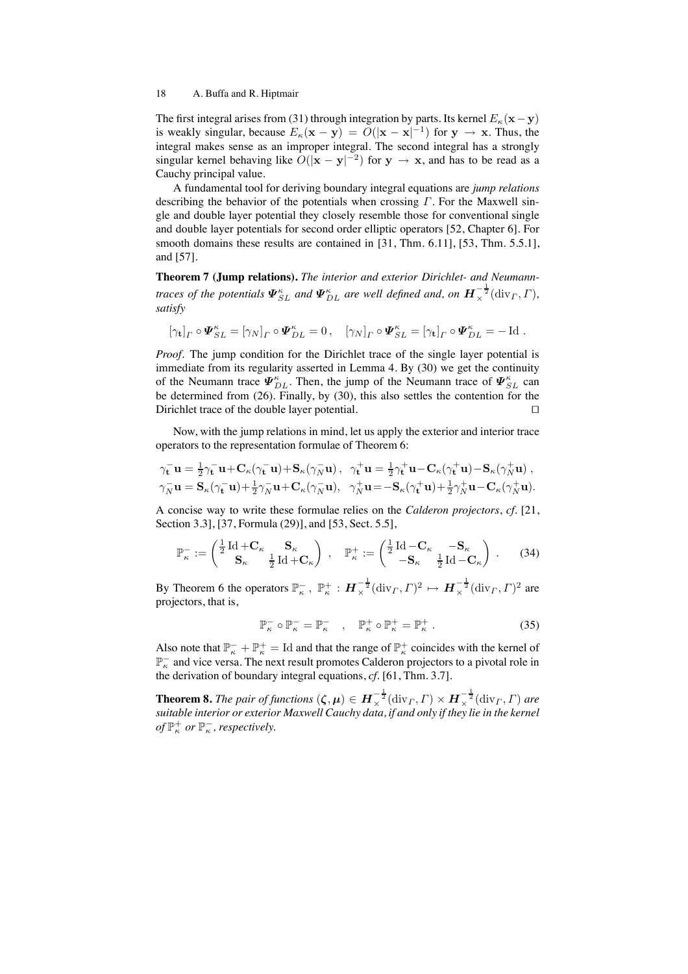The first integral arises from (31) through integration by parts. Its kernel  $E_{\kappa}(\mathbf{x}-\mathbf{y})$ is weakly singular, because  $E_{\kappa}(\mathbf{x} - \mathbf{y}) = O(|\mathbf{x} - \mathbf{x}|^{-1})$  for  $\mathbf{y} \to \mathbf{x}$ . Thus, the integral makes sense as an improper integral. The second integral has a strongly singular kernel behaving like  $O(|\mathbf{x} - \mathbf{y}|^{-2})$  for  $\mathbf{y} \to \mathbf{x}$ , and has to be read as a Cauchy principal value.

A fundamental tool for deriving boundary integral equations are *jump relations* describing the behavior of the potentials when crossing  $\Gamma$ . For the Maxwell single and double layer potential they closely resemble those for conventional single and double layer potentials for second order elliptic operators [52, Chapter 6]. For smooth domains these results are contained in [31, Thm. 6.11], [53, Thm. 5.5.1], and [57].

**Theorem 7 (Jump relations).** *The interior and exterior Dirichlet- and Neumanntraces of the potentials*  $\Psi_{SL}^{\kappa}$  *and*  $\Psi_{DL}^{\kappa}$  *are well defined and, on*  $H_{\times}^{-\frac{1}{2}}(\text{div}_\varGamma,\varGamma)$ *, satisfy*

$$
[\gamma_{\mathbf{t}}]_{\Gamma} \circ \mathbf{\Psi}_{SL}^{\kappa} = [\gamma_{N}]_{\Gamma} \circ \mathbf{\Psi}_{DL}^{\kappa} = 0, \quad [\gamma_{N}]_{\Gamma} \circ \mathbf{\Psi}_{SL}^{\kappa} = [\gamma_{\mathbf{t}}]_{\Gamma} \circ \mathbf{\Psi}_{DL}^{\kappa} = - \operatorname{Id}.
$$

*Proof.* The jump condition for the Dirichlet trace of the single layer potential is immediate from its regularity asserted in Lemma 4. By (30) we get the continuity of the Neumann trace  $\mathbf{\Psi}_{DL}^{\kappa}$ . Then, the jump of the Neumann trace of  $\mathbf{\Psi}_{SL}^{\kappa}$  can be determined from (26). Finally, by (30), this also settles the contention for the Dirichlet trace of the double layer potential. □

Now, with the jump relations in mind, let us apply the exterior and interior trace operators to the representation formulae of Theorem 6:

$$
\begin{aligned}\n\gamma_{\mathbf{t}}^-\mathbf{u} &= \frac{1}{2}\gamma_{\mathbf{t}}^-\mathbf{u} + \mathbf{C}_{\kappa}(\gamma_{\mathbf{t}}^-\mathbf{u}) + \mathbf{S}_{\kappa}(\gamma_N^-\mathbf{u}), \quad \gamma_{\mathbf{t}}^+\mathbf{u} = \frac{1}{2}\gamma_{\mathbf{t}}^+\mathbf{u} - \mathbf{C}_{\kappa}(\gamma_{\mathbf{t}}^+\mathbf{u}) - \mathbf{S}_{\kappa}(\gamma_N^+\mathbf{u}), \\
\gamma_N^-\mathbf{u} &= \mathbf{S}_{\kappa}(\gamma_{\mathbf{t}}^-\mathbf{u}) + \frac{1}{2}\gamma_N^-\mathbf{u} + \mathbf{C}_{\kappa}(\gamma_N^-\mathbf{u}), \quad \gamma_N^+\mathbf{u} = -\mathbf{S}_{\kappa}(\gamma_{\mathbf{t}}^+\mathbf{u}) + \frac{1}{2}\gamma_N^+\mathbf{u} - \mathbf{C}_{\kappa}(\gamma_N^+\mathbf{u}).\n\end{aligned}
$$

A concise way to write these formulae relies on the *Calderon projectors*, *cf.* [21, Section 3.3], [37, Formula (29)], and [53, Sect. 5.5],

$$
\mathbb{P}_{\kappa}^- := \begin{pmatrix} \frac{1}{2} \operatorname{Id} + \mathbf{C}_{\kappa} & \mathbf{S}_{\kappa} \\ \mathbf{S}_{\kappa} & \frac{1}{2} \operatorname{Id} + \mathbf{C}_{\kappa} \end{pmatrix} , \quad \mathbb{P}_{\kappa}^+ := \begin{pmatrix} \frac{1}{2} \operatorname{Id} - \mathbf{C}_{\kappa} & -\mathbf{S}_{\kappa} \\ -\mathbf{S}_{\kappa} & \frac{1}{2} \operatorname{Id} - \mathbf{C}_{\kappa} \end{pmatrix} . \tag{34}
$$

By Theorem 6 the operators  $\mathbb{P}^-_{\kappa}$ ,  $\mathbb{P}^+_{\kappa}$  :  $\mathbf{H}^{-\frac{1}{2}}_{\times}(\text{div}_\Gamma,\Gamma)^2 \mapsto \mathbf{H}^{-\frac{1}{2}}_{\times}(\text{div}_\Gamma,\Gamma)^2$  are projectors, that is,

$$
\mathbb{P}_{\kappa}^{-} \circ \mathbb{P}_{\kappa}^{-} = \mathbb{P}_{\kappa}^{-} \quad , \quad \mathbb{P}_{\kappa}^{+} \circ \mathbb{P}_{\kappa}^{+} = \mathbb{P}_{\kappa}^{+} \; . \tag{35}
$$

Also note that  $\mathbb{P}^-_{\kappa} + \mathbb{P}^+_{\kappa} = \text{Id}$  and that the range of  $\mathbb{P}^+_{\kappa}$  coincides with the kernel of  $\mathbb{P}^{-}_{\kappa}$  and vice versa. The next result promotes Calderon projectors to a pivotal role in the derivation of boundary integral equations, *cf.* [61, Thm. 3.7].

**Theorem 8.** *The pair of functions*  $(\zeta, \mu) \in H_{\times}^{-\frac{1}{2}}(\text{div}_\Gamma, \Gamma) \times H_{\times}^{-\frac{1}{2}}(\text{div}_\Gamma, \Gamma)$  are *suitable interior or exterior Maxwell Cauchy data, if and only if they lie in the kernel* of  $\mathbb{P}^+_{\kappa}$  or  $\mathbb{P}^-_{\kappa}$ , respectively.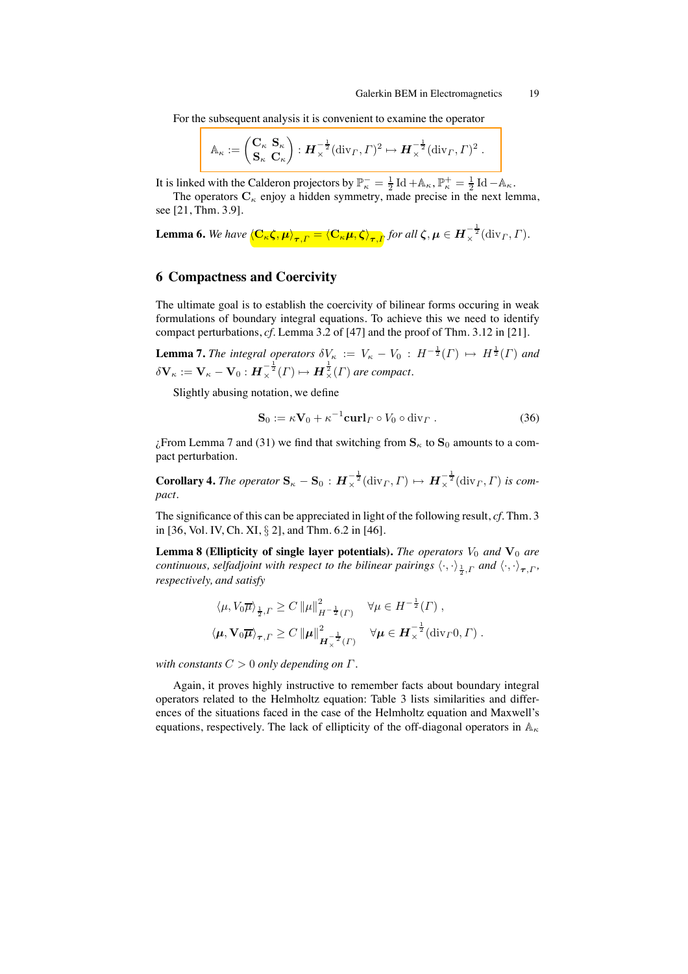For the subsequent analysis it is convenient to examine the operator

$$
\mathbb{A}_{\kappa} := \begin{pmatrix} \mathbf{C}_{\kappa} & \mathbf{S}_{\kappa} \\ \mathbf{S}_{\kappa} & \mathbf{C}_{\kappa} \end{pmatrix} : \boldsymbol{H}_{\times}^{-\frac{1}{2}}(\text{div}_{\Gamma}, \Gamma)^2 \mapsto \boldsymbol{H}_{\times}^{-\frac{1}{2}}(\text{div}_{\Gamma}, \Gamma)^2 .
$$

It is linked with the Calderon projectors by  $\mathbb{P}_{\kappa}^- = \frac{1}{2} \operatorname{Id} + \mathbb{A}_{\kappa}, \mathbb{P}_{\kappa}^+ = \frac{1}{2} \operatorname{Id} - \mathbb{A}_{\kappa}$ .

The operators  $C_{\kappa}$  enjoy a hidden symmetry, made precise in the next lemma, see [21, Thm. 3.9].

**Lemma 6.** We have  $\langle \mathbf{C}_{\kappa} \boldsymbol{\zeta}, \boldsymbol{\mu} \rangle_{\boldsymbol{\tau}, \Gamma} = \langle \mathbf{C}_{\kappa} \boldsymbol{\mu}, \boldsymbol{\zeta} \rangle_{\boldsymbol{\tau}, \Gamma}$  for all  $\boldsymbol{\zeta}, \boldsymbol{\mu} \in \boldsymbol{H}^{-\frac{1}{2}}_{\times}(\mathrm{div}_\Gamma, \Gamma).$ 

# **6 Compactness and Coercivity**

The ultimate goal is to establish the coercivity of bilinear forms occuring in weak formulations of boundary integral equations. To achieve this we need to identify compact perturbations, *cf.* Lemma 3.2 of [47] and the proof of Thm. 3.12 in [21].

**Lemma 7.** *The integral operators*  $\delta V_{\kappa} := V_{\kappa} - V_0 : H^{-\frac{1}{2}}(\Gamma) \mapsto H^{\frac{1}{2}}(\Gamma)$  and  $\delta \mathbf{V}_{\kappa} := \mathbf{V}_{\kappa} - \mathbf{V}_0 : \bm{H}_{\times}^{-\frac{1}{2}}(\Gamma) \mapsto \bm{H}_{\times}^{\frac{1}{2}}(\Gamma)$  are compact.

Slightly abusing notation, we define

$$
\mathbf{S}_0 := \kappa \mathbf{V}_0 + \kappa^{-1} \mathbf{curl}_\Gamma \circ V_0 \circ \text{div}_\Gamma . \tag{36}
$$

 $\chi$ From Lemma 7 and (31) we find that switching from  $S_{\kappa}$  to  $S_0$  amounts to a compact perturbation.

**Corollary 4.** *The operator*  $\mathbf{S}_{\kappa} - \mathbf{S}_0 : \boldsymbol{H}^{-\frac{1}{2}}_{\times}(\text{div}_\Gamma, \Gamma) \mapsto \boldsymbol{H}^{-\frac{1}{2}}_{\times}(\text{div}_\Gamma, \Gamma)$  is com*pact.*

The significance of this can be appreciated in light of the following result, *cf.* Thm. 3 in [36, Vol. IV, Ch. XI, § 2], and Thm. 6.2 in [46].

**Lemma 8 (Ellipticity of single layer potentials).** *The operators*  $V_0$  *and*  $V_0$  *are continuous, selfadjoint with respect to the bilinear pairings*  $\langle \cdot, \cdot \rangle_{\frac{1}{2},\Gamma}$  and  $\langle \cdot, \cdot \rangle_{\bm{\tau},\Gamma}$ , *respectively, and satisfy*

$$
\langle \mu, V_0 \overline{\mu} \rangle_{\frac{1}{2},\Gamma} \ge C \left\| \mu \right\|_{H^{-\frac{1}{2}}(\Gamma)}^2 \quad \forall \mu \in H^{-\frac{1}{2}}(\Gamma) ,
$$
  

$$
\langle \mu, \mathbf{V}_0 \overline{\mu} \rangle_{\tau,\Gamma} \ge C \left\| \mu \right\|_{H^{-\frac{1}{2}}(\Gamma)}^2 \quad \forall \mu \in H^{-\frac{1}{2}}_{\times}(\text{div}_{\Gamma}(\Gamma), \Gamma) .
$$

*with constants* C > 0 *only depending on* Γ*.*

Again, it proves highly instructive to remember facts about boundary integral operators related to the Helmholtz equation: Table 3 lists similarities and differences of the situations faced in the case of the Helmholtz equation and Maxwell's equations, respectively. The lack of ellipticity of the off-diagonal operators in  $\mathbb{A}_{\kappa}$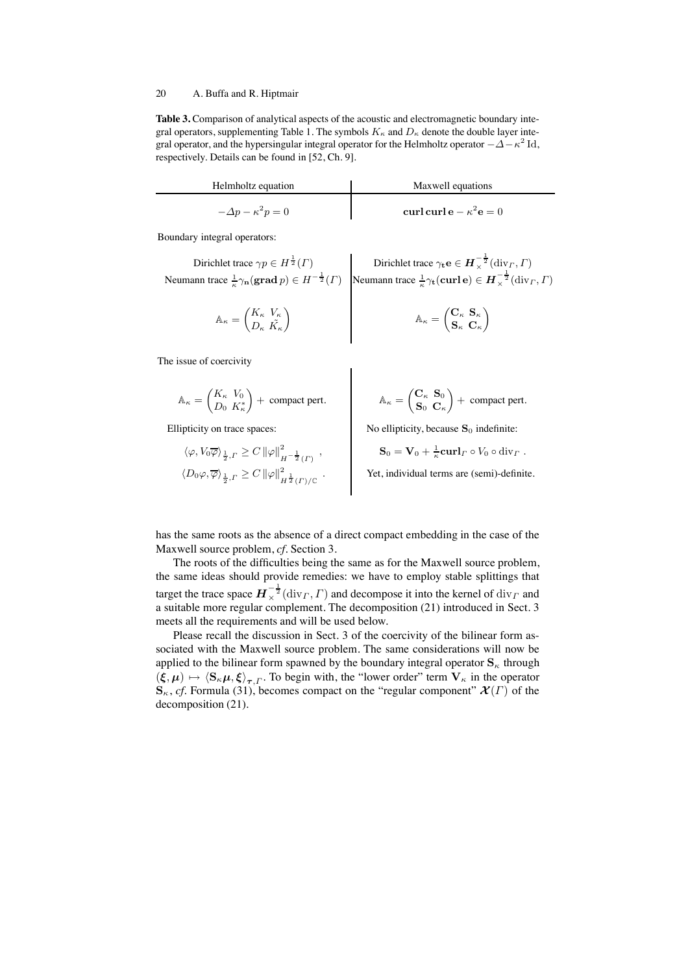**Table 3.** Comparison of analytical aspects of the acoustic and electromagnetic boundary integral operators, supplementing Table 1. The symbols  $K_{\kappa}$  and  $D_{\kappa}$  denote the double layer integral operator, and the hypersingular integral operator for the Helmholtz operator  $-\Delta-\kappa^2$  Id, respectively. Details can be found in [52, Ch. 9].

| Helmholtz equation           | Maxwell equations             |
|------------------------------|-------------------------------|
| $-\Delta p - \kappa^2 p = 0$ | curl curl e $-\kappa^2$ e = 0 |

Boundary integral operators:

Dirichlet trace 
$$
\gamma p \in H^{\frac{1}{2}}(\Gamma)
$$
  
\nNeumann trace  $\frac{1}{\kappa}\gamma_n(\text{grad }p) \in H^{-\frac{1}{2}}(\Gamma)$   
\nNeumann trace  $\frac{1}{\kappa}\gamma_t(\text{curl }e) \in H^{-\frac{1}{2}}(\text{div}_\Gamma, \Gamma)$ 

$$
\mathbb{A}_{\kappa} = \begin{pmatrix} K_{\kappa} & V_{\kappa} \\ D_{\kappa} & \tilde{K}_{\kappa} \end{pmatrix} \qquad \mathbb{A}_{\kappa} = \begin{pmatrix} \mathbf{C}_{\kappa} & \mathbf{S}_{\kappa} \\ \mathbf{S}_{\kappa} & \mathbf{C}_{\kappa} \end{pmatrix}
$$

The issue of coercivity

$$
\mathbb{A}_\kappa = \begin{pmatrix} K_\kappa & V_0 \\ D_0 & K^*_\kappa \end{pmatrix} + \text{ compact pert.} \hspace{1cm} \mathbb{A}_\kappa =
$$

Ellipticity on trace spaces:

$$
\mathbb{A}_{\kappa} = \begin{pmatrix} \mathbf{C}_{\kappa} & \mathbf{S}_{0} \\ \mathbf{S}_{0} & \mathbf{C}_{\kappa} \end{pmatrix} + \text{ compact pert.}
$$

 $\setminus$ 

No ellipticity, because  $S_0$  indefinite:

$$
\langle \varphi, V_0 \overline{\varphi} \rangle_{\frac{1}{2}, \Gamma} \ge C \left\| \varphi \right\|_{H^{-\frac{1}{2}}(\Gamma)}^2,
$$
  

$$
\langle D_0 \varphi, \overline{\varphi} \rangle_{\frac{1}{2}, \Gamma} \ge C \left\| \varphi \right\|_{H^{\frac{1}{2}}(\Gamma)/\mathbb{C}}^2.
$$

$$
\mathbf{S}_0 = \mathbf{V}_0 + \frac{1}{\kappa} \mathbf{curl}_\Gamma \circ V_0 \circ \mathrm{div}_\Gamma.
$$

Yet, individual terms are (semi)-definite.

has the same roots as the absence of a direct compact embedding in the case of the Maxwell source problem, *cf.* Section 3.

The roots of the difficulties being the same as for the Maxwell source problem, the same ideas should provide remedies: we have to employ stable splittings that target the trace space  $\bm{H}_{\times}^{-\frac{1}{2}}(\text{div}_\Gamma, \Gamma)$  and decompose it into the kernel of  $\text{div}_\Gamma$  and a suitable more regular complement. The decomposition (21) introduced in Sect. 3 meets all the requirements and will be used below.

Please recall the discussion in Sect. 3 of the coercivity of the bilinear form associated with the Maxwell source problem. The same considerations will now be applied to the bilinear form spawned by the boundary integral operator  $S_{\kappa}$  through  $(\xi, \mu) \mapsto \langle S_{\kappa}\mu, \xi \rangle_{\tau, \Gamma}$ . To begin with, the "lower order" term  $V_{\kappa}$  in the operator  $\mathbf{S}_{\kappa}$ , *cf.* Formula (31), becomes compact on the "regular component"  $\mathcal{X}(\Gamma)$  of the decomposition (21).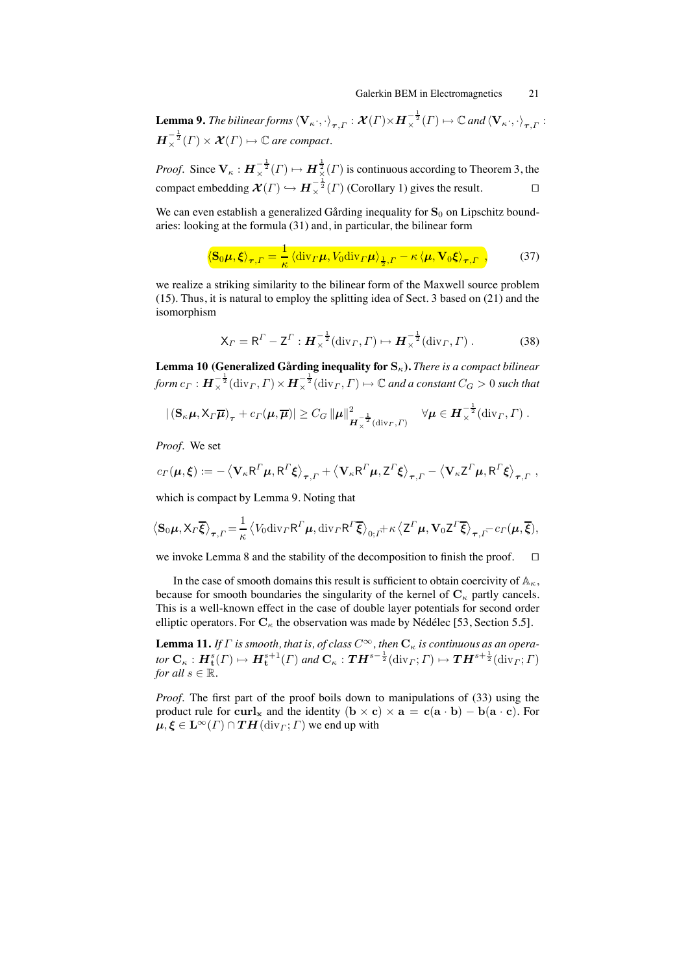**Lemma 9.** *The bilinear forms*  $\langle \mathbf{V}_\kappa \cdot, \cdot \rangle_{\bm{\tau}, \Gamma} : \bm{\mathcal{X}}(\Gamma) \times \bm{H}_\times^{-\frac{1}{2}}(\Gamma) \mapsto \mathbb{C}$  and  $\langle \mathbf{V}_\kappa \cdot, \cdot \rangle_{\bm{\tau}, \Gamma}$  :  $\mathbf{H}_{\times}^{-\frac{1}{2}}(\Gamma)\times \mathcal{X}(\Gamma)\mapsto \mathbb{C}$  are compact.

*Proof.* Since  $V_{\kappa}: H^{-\frac{1}{2}}_{\times}(I) \mapsto H^{\frac{1}{2}}_{\times}(I)$  is continuous according to Theorem 3, the compact embedding  $\mathcal{X}(\Gamma) \hookrightarrow H_{\times}^{-\frac{1}{2}}(\Gamma)$  (Corollary 1) gives the result.  $\Box$ 

We can even establish a generalized Gårding inequality for  $S_0$  on Lipschitz boundaries: looking at the formula (31) and, in particular, the bilinear form

$$
\left\langle \mathbf{S}_0 \boldsymbol{\mu}, \boldsymbol{\xi} \right\rangle_{\boldsymbol{\tau}, \Gamma} = \frac{1}{\kappa} \left\langle \mathrm{div}_{\Gamma} \boldsymbol{\mu}, V_0 \mathrm{div}_{\Gamma} \boldsymbol{\mu} \right\rangle_{\frac{1}{2}, \Gamma} - \kappa \left\langle \boldsymbol{\mu}, \mathbf{V}_0 \boldsymbol{\xi} \right\rangle_{\boldsymbol{\tau}, \Gamma}, \tag{37}
$$

we realize a striking similarity to the bilinear form of the Maxwell source problem (15). Thus, it is natural to employ the splitting idea of Sect. 3 based on (21) and the isomorphism

$$
\mathsf{X}_{\Gamma} = \mathsf{R}^{\Gamma} - \mathsf{Z}^{\Gamma} : \boldsymbol{H}_{\times}^{-\frac{1}{2}}(\text{div}_{\Gamma}, \Gamma) \mapsto \boldsymbol{H}_{\times}^{-\frac{1}{2}}(\text{div}_{\Gamma}, \Gamma) . \tag{38}
$$

**Lemma 10 (Generalized Gårding inequality for**  $\mathbf{S}_\kappa$ ). *There is a compact bilinear*  ${\it form} \ c_\varGamma : \bm H_\times^{-\frac{1}{2}}({\rm div}_\varGamma,\varGamma) \times \bm H_\times^{-\frac{1}{2}}({\rm div}_\varGamma,\varGamma) \mapsto \mathbb{C}$  and a constant  $C_G > 0$  such that

$$
|(\mathbf{S}_{\kappa}\boldsymbol{\mu},\mathsf{X}_{\Gamma}\overline{\boldsymbol{\mu}})_{\boldsymbol{\tau}}+c_{\Gamma}(\boldsymbol{\mu},\overline{\boldsymbol{\mu}})|\geq C_G\left\|\boldsymbol{\mu}\right\|_{\boldsymbol{H}_{\chi}^{-\frac{1}{2}}(\mathrm{div}_{\Gamma},\Gamma)}^2\quad\forall\boldsymbol{\mu}\in\boldsymbol{H}_{\chi}^{-\frac{1}{2}}(\mathrm{div}_{\Gamma},\Gamma).
$$

*Proof.* We set

$$
c_{\Gamma}(\mu,\xi) := -\left\langle \mathbf{V}_{\kappa} \mathbf{R}^{\Gamma} \mu, \mathbf{R}^{\Gamma} \xi \right\rangle_{\tau,\Gamma} + \left\langle \mathbf{V}_{\kappa} \mathbf{R}^{\Gamma} \mu, \mathbf{Z}^{\Gamma} \xi \right\rangle_{\tau,\Gamma} - \left\langle \mathbf{V}_{\kappa} \mathbf{Z}^{\Gamma} \mu, \mathbf{R}^{\Gamma} \xi \right\rangle_{\tau,\Gamma},
$$

which is compact by Lemma 9. Noting that

$$
\left\langle \mathbf{S}_0 \boldsymbol{\mu}, \mathbf{X}_{\Gamma} \overline{\boldsymbol{\xi}} \right\rangle_{\boldsymbol{\tau}, \Gamma} = \frac{1}{\kappa} \left\langle V_0 \text{div}_{\Gamma} \mathbf{R}^{\Gamma} \boldsymbol{\mu}, \text{div}_{\Gamma} \mathbf{R}^{\Gamma} \overline{\boldsymbol{\xi}} \right\rangle_{0; \Gamma} + \kappa \left\langle \mathbf{Z}^{\Gamma} \boldsymbol{\mu}, \mathbf{V}_0 \mathbf{Z}^{\Gamma} \overline{\boldsymbol{\xi}} \right\rangle_{\boldsymbol{\tau}, \Gamma} - c_{\Gamma}(\boldsymbol{\mu}, \overline{\boldsymbol{\xi}}),
$$

we invoke Lemma 8 and the stability of the decomposition to finish the proof. □

In the case of smooth domains this result is sufficient to obtain coercivity of  $\mathbb{A}_{\kappa}$ , because for smooth boundaries the singularity of the kernel of  $C_{\kappa}$  partly cancels. This is a well-known effect in the case of double layer potentials for second order elliptic operators. For  $C_{\kappa}$  the observation was made by Nédélec [53, Section 5.5].

**Lemma 11.** *If*  $\Gamma$  *is smooth, that is, of class*  $C^{\infty}$ *, then*  $C_{\kappa}$  *is continuous as an opera-* $\bm{tor}\ \mathbf{C}_\kappa:\bm{H}_{\mathbf{t}}^s(\varGamma)\mapsto \bm{H}_{\mathbf{t}}^{s+1}(\varGamma)$  and  $\mathbf{C}_\kappa:\bm{T}\bm{H}^{s-\frac{1}{2}}(\mathrm{div}_\varGamma;\varGamma)\mapsto \bm{T}\bm{H}^{s+\frac{1}{2}}(\mathrm{div}_\varGamma;\varGamma)$ *for all*  $s \in \mathbb{R}$ *.* 

*Proof.* The first part of the proof boils down to manipulations of (33) using the product rule for curl<sub>x</sub> and the identity  $(b \times c) \times a = c(a \cdot b) - b(a \cdot c)$ . For  $\mu, \xi \in \mathbf{L}^{\infty}(\Gamma) \cap \mathbf{T}H(\text{div}_{\Gamma}; \Gamma)$  we end up with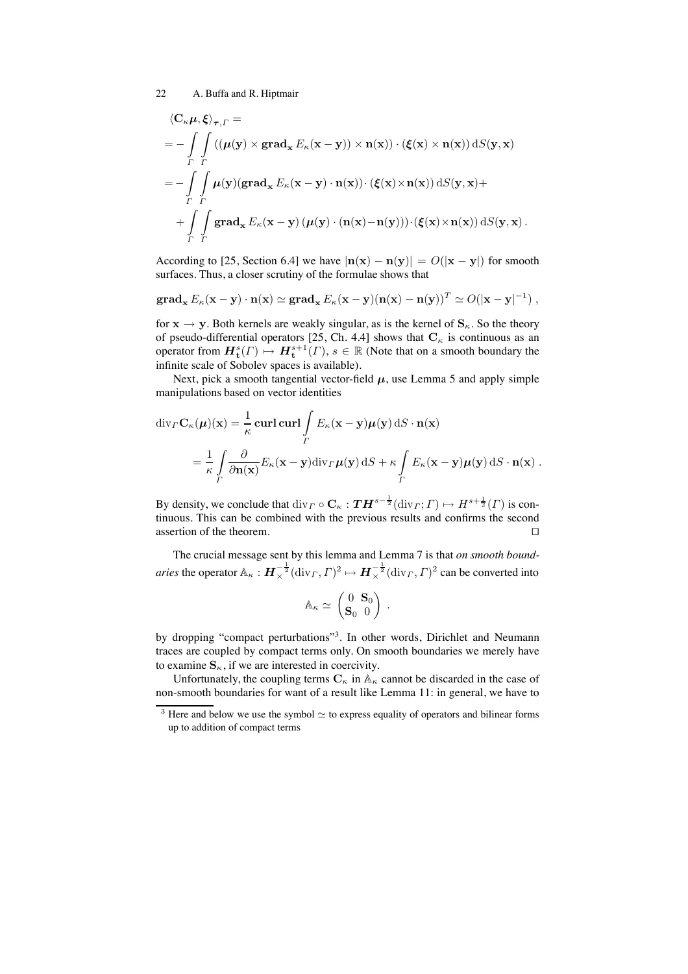$$
\langle \mathbf{C}_{\kappa} \boldsymbol{\mu}, \boldsymbol{\xi} \rangle_{\boldsymbol{\tau}, \Gamma} =
$$
\n
$$
= - \int_{\Gamma} \int_{\Gamma} \left( (\boldsymbol{\mu}(\mathbf{y}) \times \mathbf{grad}_{\mathbf{x}} E_{\kappa}(\mathbf{x} - \mathbf{y})) \times \mathbf{n}(\mathbf{x}) \right) \cdot (\boldsymbol{\xi}(\mathbf{x}) \times \mathbf{n}(\mathbf{x})) \, dS(\mathbf{y}, \mathbf{x})
$$
\n
$$
= - \int_{\Gamma} \int_{\Gamma} \boldsymbol{\mu}(\mathbf{y}) (\mathbf{grad}_{\mathbf{x}} E_{\kappa}(\mathbf{x} - \mathbf{y}) \cdot \mathbf{n}(\mathbf{x})) \cdot (\boldsymbol{\xi}(\mathbf{x}) \times \mathbf{n}(\mathbf{x})) \, dS(\mathbf{y}, \mathbf{x}) +
$$
\n
$$
+ \int_{\Gamma} \int_{\Gamma} \mathbf{grad}_{\mathbf{x}} E_{\kappa}(\mathbf{x} - \mathbf{y}) \left( \boldsymbol{\mu}(\mathbf{y}) \cdot (\mathbf{n}(\mathbf{x}) - \mathbf{n}(\mathbf{y})) \right) \cdot (\boldsymbol{\xi}(\mathbf{x}) \times \mathbf{n}(\mathbf{x})) \, dS(\mathbf{y}, \mathbf{x}) \, .
$$

According to [25, Section 6.4] we have  $|\mathbf{n}(\mathbf{x}) - \mathbf{n}(\mathbf{y})| = O(|\mathbf{x} - \mathbf{y}|)$  for smooth surfaces. Thus, a closer scrutiny of the formulae shows that

$$
\mathbf{grad}_{\mathbf{x}} E_{\kappa}(\mathbf{x}-\mathbf{y}) \cdot \mathbf{n}(\mathbf{x}) \simeq \mathbf{grad}_{\mathbf{x}} E_{\kappa}(\mathbf{x}-\mathbf{y})(\mathbf{n}(\mathbf{x})-\mathbf{n}(\mathbf{y}))^T \simeq O(|\mathbf{x}-\mathbf{y}|^{-1}),
$$

for  $x \rightarrow y$ . Both kernels are weakly singular, as is the kernel of  $S_{\kappa}$ . So the theory of pseudo-differential operators [25, Ch. 4.4] shows that  $\mathbf{C}_{\kappa}$  is continuous as an operator from  $\mathbf{H}_{\mathbf{t}}^{s}(\Gamma) \mapsto \mathbf{H}_{\mathbf{t}}^{s+1}(\Gamma), s \in \mathbb{R}$  (Note that on a smooth boundary the infinite scale of Sobolev spaces is available).

Next, pick a smooth tangential vector-field  $\mu$ , use Lemma 5 and apply simple manipulations based on vector identities

$$
\operatorname{div}_{\varGamma} \mathbf{C}_{\kappa}(\mu)(\mathbf{x}) = \frac{1}{\kappa} \operatorname{curl} \operatorname{curl} \int_{\varGamma} E_{\kappa}(\mathbf{x} - \mathbf{y}) \mu(\mathbf{y}) \, dS \cdot \mathbf{n}(\mathbf{x})
$$
  
= 
$$
\frac{1}{\kappa} \int_{\varGamma} \frac{\partial}{\partial \mathbf{n}(\mathbf{x})} E_{\kappa}(\mathbf{x} - \mathbf{y}) \operatorname{div}_{\varGamma} \mu(\mathbf{y}) \, dS + \kappa \int_{\varGamma} E_{\kappa}(\mathbf{x} - \mathbf{y}) \mu(\mathbf{y}) \, dS \cdot \mathbf{n}(\mathbf{x}).
$$

By density, we conclude that  $\text{div}_\Gamma \circ \mathbf{C}_\kappa : \mathbf{T} \mathbf{H}^{s-\frac{1}{2}}(\text{div}_\Gamma; \Gamma) \mapsto H^{s+\frac{1}{2}}(\Gamma)$  is continuous. This can be combined with the previous results and confirms the second assertion of the theorem. □

The crucial message sent by this lemma and Lemma 7 is that *on smooth boundaries* the operator  $\mathbb{A}_{\kappa}: H_{\times}^{-\frac{1}{2}}(\text{div}_\Gamma, \Gamma)^2 \mapsto H_{\times}^{-\frac{1}{2}}(\text{div}_\Gamma, \Gamma)^2$  can be converted into

$$
\mathbb{A}_{\kappa} \simeq \begin{pmatrix} 0 & \mathbf{S}_0 \\ \mathbf{S}_0 & 0 \end{pmatrix} \; .
$$

by dropping "compact perturbations"<sup>3</sup>. In other words, Dirichlet and Neumann traces are coupled by compact terms only. On smooth boundaries we merely have to examine  $S_{\kappa}$ , if we are interested in coercivity.

Unfortunately, the coupling terms  $C_{\kappa}$  in  $A_{\kappa}$  cannot be discarded in the case of non-smooth boundaries for want of a result like Lemma 11: in general, we have to

<sup>&</sup>lt;sup>3</sup> Here and below we use the symbol  $\simeq$  to express equality of operators and bilinear forms up to addition of compact terms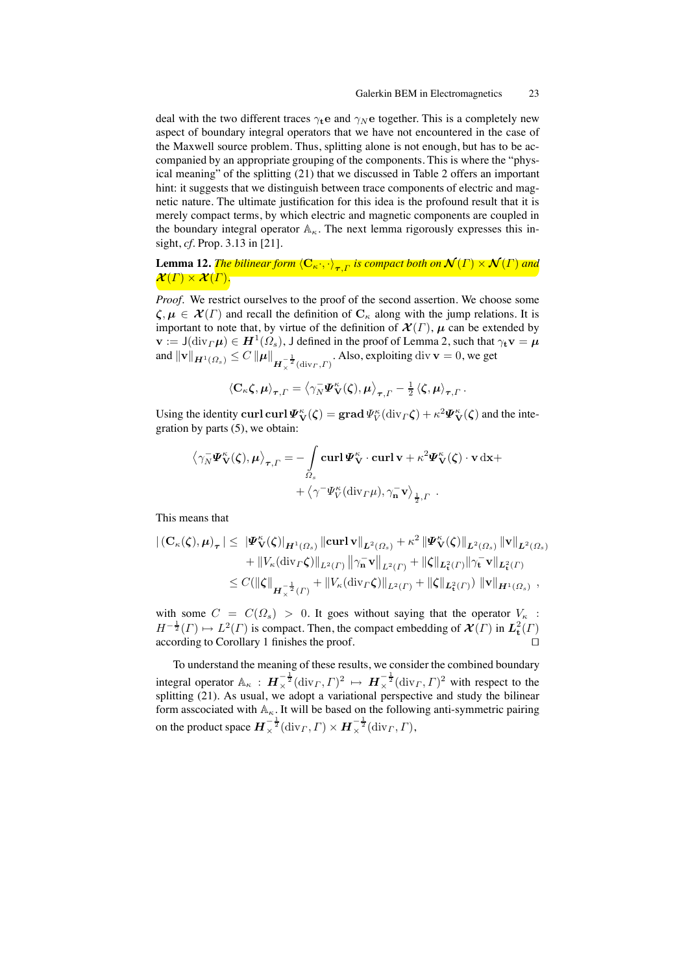deal with the two different traces  $\gamma_t e$  and  $\gamma_N e$  together. This is a completely new aspect of boundary integral operators that we have not encountered in the case of the Maxwell source problem. Thus, splitting alone is not enough, but has to be accompanied by an appropriate grouping of the components. This is where the "physical meaning" of the splitting (21) that we discussed in Table 2 offers an important hint: it suggests that we distinguish between trace components of electric and magnetic nature. The ultimate justification for this idea is the profound result that it is merely compact terms, by which electric and magnetic components are coupled in the boundary integral operator  $\mathbb{A}_{\kappa}$ . The next lemma rigorously expresses this insight, *cf.* Prop. 3.13 in [21].

Lemma 12. *The bilinear form*  $\langle \mathbf{C}_\kappa \cdot, \cdot \rangle_{\bm{\tau},\Gamma}$  *is compact both on*  $\mathcal{N}(\Gamma) \times \mathcal{N}(\Gamma)$  and  $\mathcal{X}(\Gamma)\times\mathcal{X}(\Gamma).$ 

*Proof.* We restrict ourselves to the proof of the second assertion. We choose some  $\zeta, \mu \in \mathcal{X}(\Gamma)$  and recall the definition of  $C_{\kappa}$  along with the jump relations. It is important to note that, by virtue of the definition of  $\mathcal{X}(\Gamma)$ ,  $\mu$  can be extended by  $\mathbf{v} := J(\text{div}_{\Gamma} \boldsymbol{\mu}) \in \mathbf{H}^1(\Omega_s)$ , J defined in the proof of Lemma 2, such that  $\gamma_t \mathbf{v} = \boldsymbol{\mu}$ and  $\|\mathbf{v}\|_{\mathbf{H}^1(\Omega_s)} \leq C \|\boldsymbol{\mu}\|_{\mathbf{H}^{-\frac{1}{2}}_\chi(\text{div}_\varGamma, \varGamma)}$ . Also, exploiting div  $\mathbf{v}=0$ , we get

$$
\left\langle \mathbf{C}_{\kappa}\zeta,\boldsymbol{\mu}\right\rangle _{\boldsymbol{\tau},\boldsymbol{\varGamma}}=\left\langle \gamma_{N}^{-}\boldsymbol{\varPsi}_{\mathbf{V}}^{\kappa}(\zeta),\boldsymbol{\mu}\right\rangle _{\boldsymbol{\tau},\boldsymbol{\varGamma}}-\frac{1}{2}\left\langle \zeta,\boldsymbol{\mu}\right\rangle _{\boldsymbol{\tau},\boldsymbol{\varGamma}}.
$$

Using the identity curl curl  $\Psi_V^{\kappa}(\zeta) = \text{grad}\,\Psi_V^{\kappa}(\text{div}_\Gamma \zeta) + \kappa^2 \Psi_V^{\kappa}(\zeta)$  and the integration by parts (5), we obtain:

$$
\langle \gamma_N^- \Psi_{\mathbf{V}}^{\kappa}(\zeta), \mu \rangle_{\tau, \Gamma} = - \int_{\Omega_s} \mathbf{curl} \Psi_{\mathbf{V}}^{\kappa} \cdot \mathbf{curl} \mathbf{v} + \kappa^2 \Psi_{\mathbf{V}}^{\kappa}(\zeta) \cdot \mathbf{v} \, \mathrm{d}\mathbf{x} + + \langle \gamma^- \Psi_{\mathbf{V}}^{\kappa}(\mathrm{div}_{\Gamma} \mu), \gamma_{\mathbf{n}}^- \mathbf{v} \rangle_{\frac{1}{2}, \Gamma}.
$$

This means that

$$
\begin{aligned} \left| \left( \mathbf{C}_{\kappa}(\zeta), \mu \right)_{\tau} \right| &\leq \|\Psi_{\mathbf{V}}^{\kappa}(\zeta)\|_{\mathbf{H}^{1}(\Omega_{s})} \|\mathrm{curl} \, \mathbf{v} \|_{L^{2}(\Omega_{s})} + \kappa^{2} \|\Psi_{\mathbf{V}}^{\kappa}(\zeta)\|_{L^{2}(\Omega_{s})} \|\mathbf{v} \|_{L^{2}(\Omega_{s})} \\ &+ \|V_{\kappa}(\mathrm{div}_{\Gamma} \zeta)\|_{L^{2}(\Gamma)} \|\gamma_{\mathbf{n}}^{-} \mathbf{v} \|_{L^{2}(\Gamma)} + \|\zeta\|_{L_{\mathbf{t}}^{2}(\Gamma)} \|\gamma_{\mathbf{t}}^{-} \mathbf{v} \|_{L_{\mathbf{t}}^{2}(\Gamma)} \\ &\leq C (\|\zeta\|_{\mathbf{H}_{\chi}^{-\frac{1}{2}}(\Gamma)} + \|V_{\kappa}(\mathrm{div}_{\Gamma} \zeta)\|_{L^{2}(\Gamma)} + \|\zeta\|_{L_{\mathbf{t}}^{2}(\Gamma)}) \|\mathbf{v}\|_{\mathbf{H}^{1}(\Omega_{s})} , \end{aligned}
$$

with some  $C = C(\Omega_s) > 0$ . It goes without saying that the operator  $V_{\kappa}$ :  $H^{-\frac{1}{2}}(\Gamma) \mapsto L^2(\Gamma)$  is compact. Then, the compact embedding of  $\mathcal{X}(\Gamma)$  in  $L^2_t(\Gamma)$ according to Corollary 1 finishes the proof. □

To understand the meaning of these results, we consider the combined boundary integral operator  $\mathbb{A}_{\kappa}: \mathbf{H}_{\times}^{-\frac{1}{2}}(\text{div}_{\Gamma}, \Gamma)^2 \mapsto \mathbf{H}_{\times}^{-\frac{1}{2}}(\text{div}_{\Gamma}, \Gamma)^2$  with respect to the splitting (21). As usual, we adopt a variational perspective and study the bilinear form asscociated with  $A_{\kappa}$ . It will be based on the following anti-symmetric pairing on the product space  $\bm{H}_{\times}^{-\frac{1}{2}}(\mathrm{div}_\varGamma,\varGamma)\times\bm{H}_{\times}^{-\frac{1}{2}}(\mathrm{div}_\varGamma,\varGamma),$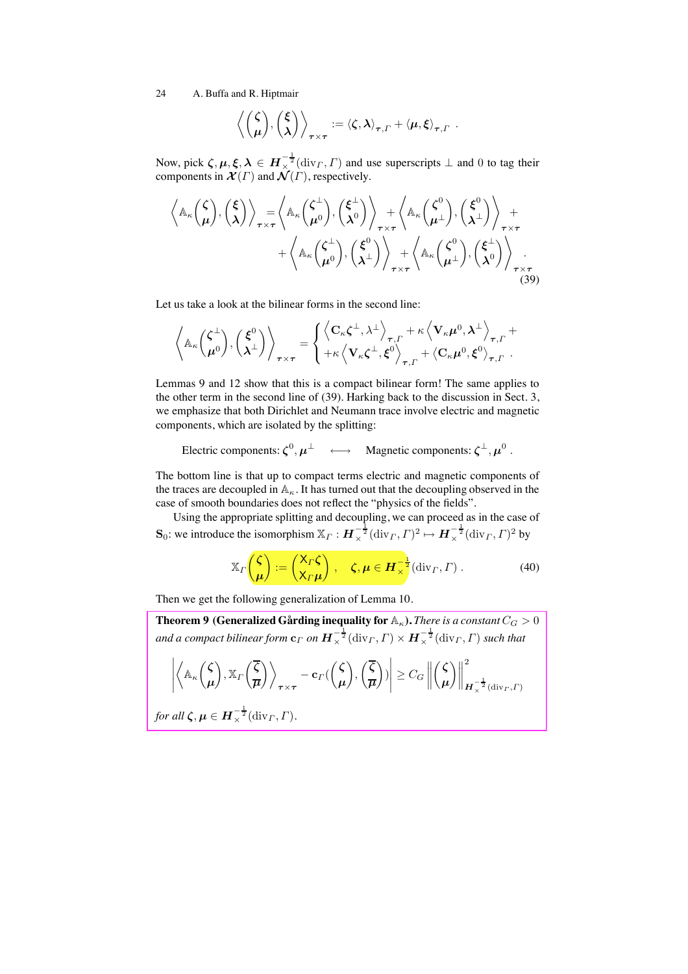$$
\left\langle \begin{pmatrix} \zeta \\ \mu \end{pmatrix}, \begin{pmatrix} \xi \\ \lambda \end{pmatrix} \right\rangle_{\tau \times \tau} := \left\langle \zeta, \lambda \right\rangle_{\tau, \Gamma} + \left\langle \mu, \xi \right\rangle_{\tau, \Gamma}.
$$

Now, pick  $\zeta, \mu, \xi, \lambda \in H_{\times}^{-\frac{1}{2}}(\text{div}_\Gamma, \Gamma)$  and use superscripts  $\perp$  and 0 to tag their components in  $\mathcal{X}(\Gamma)$  and  $\mathcal{N}(\Gamma)$ , respectively.

$$
\left\langle \mathbb{A}_{\kappa} \begin{pmatrix} \zeta \\ \mu \end{pmatrix}, \begin{pmatrix} \xi \\ \lambda \end{pmatrix} \right\rangle_{\tau \times \tau} = \left\langle \mathbb{A}_{\kappa} \begin{pmatrix} \zeta^{\perp} \\ \mu^0 \end{pmatrix}, \begin{pmatrix} \xi^{\perp} \\ \lambda^0 \end{pmatrix} \right\rangle_{\tau \times \tau} + \left\langle \mathbb{A}_{\kappa} \begin{pmatrix} \zeta^0 \\ \mu^{\perp} \end{pmatrix}, \begin{pmatrix} \xi^0 \\ \lambda^{\perp} \end{pmatrix} \right\rangle_{\tau \times \tau} + \left\langle \mathbb{A}_{\kappa} \begin{pmatrix} \zeta^{\perp} \\ \mu^0 \end{pmatrix}, \begin{pmatrix} \xi^0 \\ \lambda^{\perp} \end{pmatrix} \right\rangle_{\tau \times \tau} + \left\langle \mathbb{A}_{\kappa} \begin{pmatrix} \zeta^0 \\ \mu^{\perp} \end{pmatrix}, \begin{pmatrix} \xi^{\perp} \\ \lambda^0 \end{pmatrix} \right\rangle_{\tau \times \tau} + \left\langle \mathbb{A}_{\kappa} \begin{pmatrix} \zeta^0 \\ \mu^{\perp} \end{pmatrix}, \begin{pmatrix} \xi^{\perp} \\ \lambda^0 \end{pmatrix} \right\rangle_{\tau \times \tau} \tag{39}
$$

Let us take a look at the bilinear forms in the second line:

$$
\left\langle \mathbb{A}_{\kappa} \begin{pmatrix} \zeta^{\perp} \\ \mu^0 \end{pmatrix}, \begin{pmatrix} \xi^0 \\ \lambda^{\perp} \end{pmatrix} \right\rangle_{\tau \times \tau} = \begin{cases} \left\langle \mathbf{C}_{\kappa} \zeta^{\perp}, \lambda^{\perp} \right\rangle_{\tau, \Gamma} + \kappa \left\langle \mathbf{V}_{\kappa} \mu^0, \lambda^{\perp} \right\rangle_{\tau, \Gamma} + \\ + \kappa \left\langle \mathbf{V}_{\kappa} \zeta^{\perp}, \xi^0 \right\rangle_{\tau, \Gamma} + \left\langle \mathbf{C}_{\kappa} \mu^0, \xi^0 \right\rangle_{\tau, \Gamma}. \end{cases}
$$

Lemmas 9 and 12 show that this is a compact bilinear form! The same applies to the other term in the second line of (39). Harking back to the discussion in Sect. 3, we emphasize that both Dirichlet and Neumann trace involve electric and magnetic components, which are isolated by the splitting:

Electric components:  $\zeta^0$ ,  $\mu^\perp$   $\longleftrightarrow$  Magnetic components:  $\zeta^\perp$ ,  $\mu^0$ .

The bottom line is that up to compact terms electric and magnetic components of the traces are decoupled in  $A_{\kappa}$ . It has turned out that the decoupling observed in the case of smooth boundaries does not reflect the "physics of the fields".

Using the appropriate splitting and decoupling, we can proceed as in the case of  $\mathbf{S}_0$ : we introduce the isomorphism  $\mathbb{X}_\Gamma : \boldsymbol{H}^{-\frac{1}{2}}_\times(\text{div}_\Gamma, \Gamma)^2 \mapsto \boldsymbol{H}^{-\frac{1}{2}}_\times(\text{div}_\Gamma, \Gamma)^2$  by

$$
\mathbb{X}_{\Gamma}\left(\frac{\zeta}{\mu}\right) := \left(\frac{\mathsf{X}_{\Gamma}\zeta}{\mathsf{X}_{\Gamma}\mu}\right), \quad \zeta, \mu \in \mathbf{H}_{\times}^{-\frac{1}{2}}(\text{div}_{\Gamma}, \Gamma) . \tag{40}
$$

Then we get the following generalization of Lemma 10.

**Theorem 9 (Generalized Gårding inequality for**  $\mathbb{A}_{\kappa}$ **).** *There is a constant* $C_G > 0$ and a compact bilinear form  ${\bf c}_\Gamma$  on  $\bm H_\times^{-\frac{1}{2}}(\mathrm{div}_\Gamma, \Gamma) \times \bm H_\times^{-\frac{1}{2}}(\mathrm{div}_\Gamma, \Gamma)$  such that  $\begin{picture}(20,20) \put(0,0){\dashbox{0.5}(20,0){ }} \put(15,0){\dashbox{0.5}(20,0){ }} \put(25,0){\dashbox{0.5}(20,0){ }} \put(25,0){\dashbox{0.5}(20,0){ }} \put(25,0){\dashbox{0.5}(20,0){ }} \put(25,0){\dashbox{0.5}(20,0){ }} \put(25,0){\dashbox{0.5}(20,0){ }} \put(25,0){\dashbox{0.5}(20,0){ }} \put(25,0){\dashbox{0.5}(20,0){ }} \put(25,0){\dashbox{$  $\bigwedge_{A_{\kappa}}\bigwedge$  $\mu$  $\bigg), \mathbb{X}_{\Gamma} \bigg(\frac{\overline{\zeta}}{\overline{\zeta}}\bigg)$  $\overline{\mu}$  $\sqrt{2}$  $-\mathbf{c}_\varGamma ($  $\sqrt{\zeta}$  $\mu$ -  $,\left(\frac{\zeta}{\zeta}\right)$  $\overline{\mu}$ - ) **1**  $\geq C_G$ 0 0 0 0  $\sqrt{\zeta}$  $\mu$  $\Big) \Big\|$ 2  $\overline{\bm{H}}_\times^{-\tfrac{1}{2}}(\mathrm{div}_\varGamma,\varGamma)$ *for all*  $\zeta, \mu \in \mathbf{H}^{-\frac{1}{2}}_{\times}(\mathrm{div}_\Gamma, \Gamma).$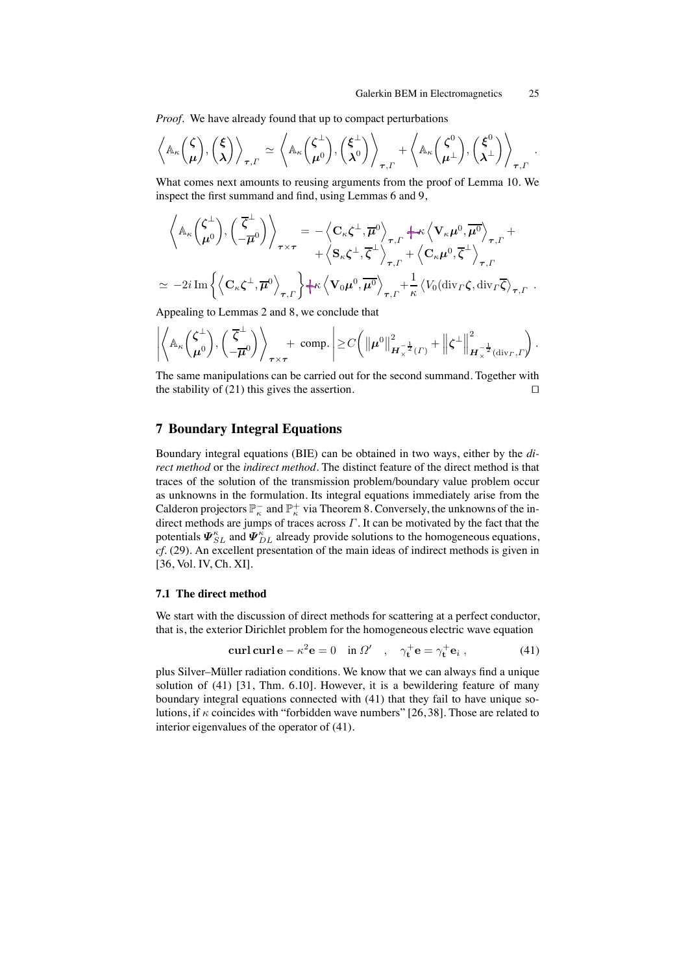*Proof.* We have already found that up to compact perturbations

$$
\left\langle \mathbb{A}_{\kappa} \begin{pmatrix} \zeta \\ \mu \end{pmatrix}, \begin{pmatrix} \xi \\ \lambda \end{pmatrix} \right\rangle_{\tau, \Gamma} \simeq \left\langle \mathbb{A}_{\kappa} \begin{pmatrix} \zeta^{\perp} \\ \mu^0 \end{pmatrix}, \begin{pmatrix} \xi^{\perp} \\ \lambda^0 \end{pmatrix} \right\rangle_{\tau, \Gamma} + \left\langle \mathbb{A}_{\kappa} \begin{pmatrix} \zeta^0 \\ \mu^{\perp} \end{pmatrix}, \begin{pmatrix} \xi^0 \\ \lambda^{\perp} \end{pmatrix} \right\rangle_{\tau, \Gamma}.
$$

What comes next amounts to reusing arguments from the proof of Lemma 10. We inspect the first summand and find, using Lemmas 6 and 9,

$$
\left\langle \mathbb{A}_{\kappa} \left( \frac{\zeta^{\perp}}{\mu^{0}} \right), \left( \frac{\overline{\zeta}^{\perp}}{-\overline{\mu}^{0}} \right) \right\rangle_{\tau \times \tau} = - \left\langle \mathbf{C}_{\kappa} \zeta^{\perp}, \overline{\mu}^{0} \right\rangle_{\tau, \Gamma} + \kappa \left\langle \mathbf{V}_{\kappa} \mu^{0}, \overline{\mu^{0}} \right\rangle_{\tau, \Gamma} + \\ + \left\langle \mathbf{S}_{\kappa} \zeta^{\perp}, \overline{\zeta}^{\perp} \right\rangle_{\tau, \Gamma} + \left\langle \mathbf{C}_{\kappa} \mu^{0}, \overline{\zeta}^{\perp} \right\rangle_{\tau, \Gamma} \\ \simeq -2i \operatorname{Im} \left\{ \left\langle \mathbf{C}_{\kappa} \zeta^{\perp}, \overline{\mu}^{0} \right\rangle_{\tau, \Gamma} \right\} + \kappa \left\langle \mathbf{V}_{0} \mu^{0}, \overline{\mu^{0}} \right\rangle_{\tau, \Gamma} + \frac{1}{\kappa} \left\langle V_{0} (\operatorname{div}_{\Gamma} \zeta, \operatorname{div}_{\Gamma} \overline{\zeta})_{\tau, \Gamma} \right\rangle.
$$

Appealing to Lemmas 2 and 8, we conclude that

⊥

$$
\left| \left\langle \mathbb{A}_{\kappa} \left( \frac{\zeta^{\perp}}{\mu^0} \right), \left( \frac{\overline{\zeta}^{\perp}}{-\overline{\mu}^0} \right) \right\rangle_{\tau \times \tau} + \text{ comp.} \right| \geq C \left( \left\| \mu^0 \right\|_{\mathbf{H}_{\times}^{-\frac{1}{2}}(\Gamma)}^2 + \left\| \zeta^{\perp} \right\|_{\mathbf{H}_{\times}^{-\frac{1}{2}}(\text{div}_\Gamma, \Gamma)}^2 \right).
$$

The same manipulations can be carried out for the second summand. Together with the stability of (21) this gives the assertion.  $□$ 

# **7 Boundary Integral Equations**

Boundary integral equations (BIE) can be obtained in two ways, either by the *direct method* or the *indirect method*. The distinct feature of the direct method is that traces of the solution of the transmission problem/boundary value problem occur as unknowns in the formulation. Its integral equations immediately arise from the Calderon projectors  $\mathbb{P}^-_{\kappa}$  and  $\mathbb{P}^+_{\kappa}$  via Theorem 8. Conversely, the unknowns of the indirect methods are jumps of traces across  $\Gamma$ . It can be motivated by the fact that the potentials  $\bm{\varPsi}^{\kappa}_{SL}$  and  $\bm{\varPsi}^{\kappa}_{DL}$  already provide solutions to the homogeneous equations, *cf.* (29). An excellent presentation of the main ideas of indirect methods is given in [36, Vol. IV, Ch. XI].

#### **7.1 The direct method**

We start with the discussion of direct methods for scattering at a perfect conductor, that is, the exterior Dirichlet problem for the homogeneous electric wave equation

$$
\operatorname{curl} \operatorname{curl} \mathbf{e} - \kappa^2 \mathbf{e} = 0 \quad \text{in } \Omega' \quad , \quad \gamma_\mathbf{t}^+ \mathbf{e} = \gamma_\mathbf{t}^+ \mathbf{e}_i \,, \tag{41}
$$

plus Silver–Müller radiation conditions. We know that we can always find a unique solution of (41) [31, Thm. 6.10]. However, it is a bewildering feature of many boundary integral equations connected with (41) that they fail to have unique solutions, if  $\kappa$  coincides with "forbidden wave numbers" [26,38]. Those are related to interior eigenvalues of the operator of (41).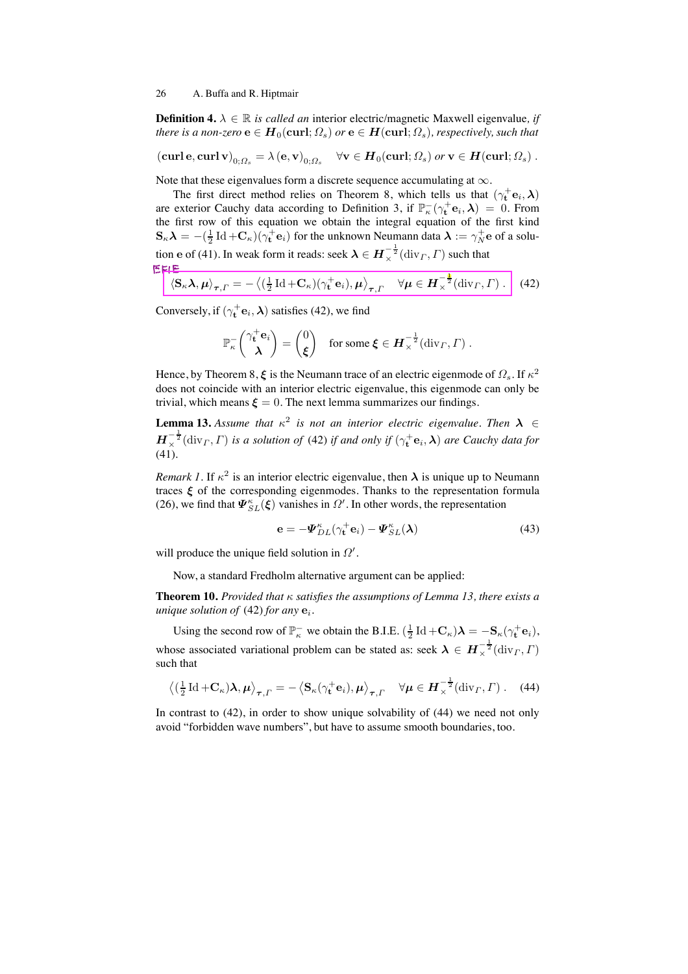**Definition 4.**  $\lambda \in \mathbb{R}$  *is called an* interior electric/magnetic Maxwell eigenvalue, if *there is a non-zero*  $e \in H_0(\text{curl}; \Omega_s)$  *or*  $e \in H(\text{curl}; \Omega_s)$ *, respectively, such that* 

$$
(\operatorname{\mathbf{curl}} \mathbf{e}, \operatorname{\mathbf{curl}} \mathbf{v})_{0; \Omega_s} = \lambda(\mathbf{e}, \mathbf{v})_{0; \Omega_s} \quad \forall \mathbf{v} \in \boldsymbol{H}_0(\operatorname{\mathbf{curl}}; \Omega_s) \text{ or } \mathbf{v} \in \boldsymbol{H}(\operatorname{\mathbf{curl}}; \Omega_s) .
$$

Note that these eigenvalues form a discrete sequence accumulating at  $\infty$ .

The first direct method relies on Theorem 8, which tells us that  $(\gamma_t^+ \mathbf{e}_i, \lambda)$ are exterior Cauchy data according to Definition 3, if  $\mathbb{P}_{\kappa}^-(\gamma_t^+ \mathbf{e}_i, \lambda) = 0$ . From the first row of this equation we obtain the integral equation of the first kind  $\mathbf{S}_{\kappa}\boldsymbol{\lambda} = -(\frac{1}{2}\operatorname{Id} + \mathbf{C}_{\kappa})(\gamma_t^+ \mathbf{e}_i)$  for the unknown Neumann data  $\boldsymbol{\lambda} := \gamma_N^+ \mathbf{e}$  of a solution  $\mathbf{e}$  of (41). In weak form it reads: seek  $\boldsymbol\lambda \in \boldsymbol H_\times^{-\frac{1}{2}}(\mathrm{div}_\varGamma, \varGamma)$  such that

$$
\left[ \left\langle \mathbf{S}_{\kappa} \mathbf{\lambda}, \boldsymbol{\mu} \right\rangle_{\boldsymbol{\tau}, \Gamma} = - \left\langle (\frac{1}{2} \operatorname{Id} + \mathbf{C}_{\kappa}) (\gamma_{\mathbf{t}}^+ \mathbf{e}_i), \boldsymbol{\mu} \right\rangle_{\boldsymbol{\tau}, \Gamma} \quad \forall \boldsymbol{\mu} \in \boldsymbol{H}_{\times}^{-\frac{1}{2}}(\operatorname{div}_{\Gamma}, \Gamma) \ . \right] \ (42)
$$

Conversely, if  $(\gamma_t^+ \mathbf{e}_i, \boldsymbol{\lambda})$  satisfies (42), we find

$$
\mathbb{P}_{\kappa}^{-}\begin{pmatrix} \gamma_{\mathbf{t}}^{+}\mathbf{e}_{i} \\ \lambda \end{pmatrix} = \begin{pmatrix} 0 \\ \xi \end{pmatrix} \text{ for some } \xi \in \boldsymbol{H}_{\times}^{-\frac{1}{2}}(\text{div}_{\boldsymbol{\varGamma}}, \boldsymbol{\varGamma}) .
$$

Hence, by Theorem 8,  $\xi$  is the Neumann trace of an electric eigenmode of  $\Omega_s$ . If  $\kappa^2$ does not coincide with an interior electric eigenvalue, this eigenmode can only be trivial, which means  $\boldsymbol{\xi} = 0$ . The next lemma summarizes our findings.

**Lemma 13.** Assume that  $\kappa^2$  is not an interior electric eigenvalue. Then  $\lambda \in$  $H_{\times}^{-\frac{1}{2}}(\text{div}_\Gamma, \Gamma)$  is a solution of (42) if and only if  $(\gamma_t^+\mathbf{e}_i, \lambda)$  are Cauchy data for (41)*.*

*Remark 1.* If  $\kappa^2$  is an interior electric eigenvalue, then  $\lambda$  is unique up to Neumann traces  $\xi$  of the corresponding eigenmodes. Thanks to the representation formula (26), we find that  $\Psi_{SL}^{\kappa}(\xi)$  vanishes in  $\Omega'$ . In other words, the representation

$$
\mathbf{e} = -\mathbf{\Psi}_{DL}^{\kappa}(\gamma_{\mathbf{t}}^{+}\mathbf{e}_{i}) - \mathbf{\Psi}_{SL}^{\kappa}(\boldsymbol{\lambda})
$$
(43)

will produce the unique field solution in  $\Omega'$ .

Now, a standard Fredholm alternative argument can be applied:

**Theorem 10.** *Provided that* κ *satisfies the assumptions of Lemma 13, there exists a unique solution of* (42) *for any*  $\mathbf{e}_i$ *.* 

Using the second row of  $\mathbb{P}^-_{\kappa}$  we obtain the B.I.E.  $(\frac{1}{2} \text{Id} + \mathbf{C}_{\kappa})\lambda = -\mathbf{S}_{\kappa}(\gamma_t^+ \mathbf{e}_i)$ , whose associated variational problem can be stated as: seek  $\lambda \in H_{\times}^{-\frac{1}{2}}(\text{div}_\Gamma, \Gamma)$ such that

$$
\left\langle \left(\frac{1}{2}\mathrm{Id} + \mathbf{C}_{\kappa}\right) \boldsymbol{\lambda}, \boldsymbol{\mu} \right\rangle_{\boldsymbol{\tau},\Gamma} = -\left\langle \mathbf{S}_{\kappa}(\gamma_{\mathbf{t}}^{+}\mathbf{e}_{i}), \boldsymbol{\mu} \right\rangle_{\boldsymbol{\tau},\Gamma} \quad \forall \boldsymbol{\mu} \in \boldsymbol{H}_{\times}^{-\frac{1}{2}}(\mathrm{div}_{\Gamma},\Gamma) \ . \tag{44}
$$

In contrast to (42), in order to show unique solvability of (44) we need not only avoid "forbidden wave numbers", but have to assume smooth boundaries, too.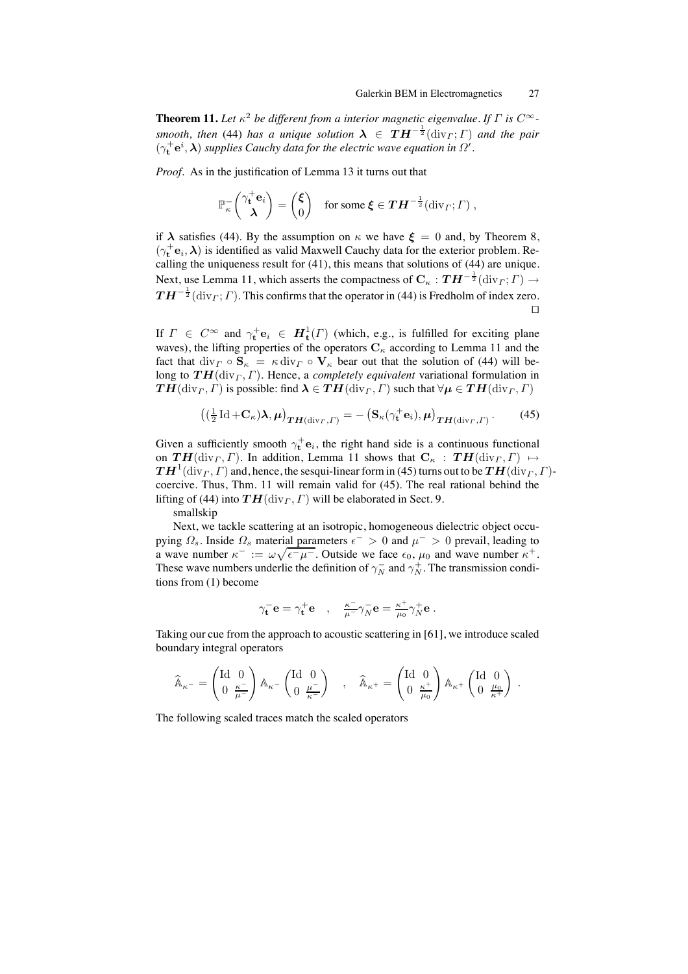**Theorem 11.** Let  $\kappa^2$  be different from a interior magnetic eigenvalue. If  $\Gamma$  is  $C^{\infty}$ *smooth, then* (44) *has a unique solution*  $\boldsymbol{\lambda} \in \boldsymbol{TH}^{-\frac{1}{2}}(\text{div}_\Gamma; \Gamma)$  *and the pair*  $(\gamma_t^+ e^i, \lambda)$  *supplies Cauchy data for the electric wave equation in*  $\Omega'$ .

*Proof.* As in the justification of Lemma 13 it turns out that

$$
\mathbb{P}_{\kappa}^{-}\begin{pmatrix} \gamma_{\mathbf{t}}^{+}\mathbf{e}_{i} \\ \lambda \end{pmatrix} = \begin{pmatrix} \xi \\ 0 \end{pmatrix} \text{ for some } \xi \in \boldsymbol{TH}^{-\frac{1}{2}}(\mathrm{div}_{\boldsymbol{\varGamma}};\boldsymbol{\varGamma}) ,
$$

if  $\lambda$  satisfies (44). By the assumption on  $\kappa$  we have  $\xi = 0$  and, by Theorem 8,  $(\gamma_t^+ \mathbf{e}_i, \pmb{\lambda})$  is identified as valid Maxwell Cauchy data for the exterior problem. Recalling the uniqueness result for (41), this means that solutions of (44) are unique. Next, use Lemma 11, which asserts the compactness of  $C_{\kappa}: \mathbf{T} \mathbf{H}^{-\frac{1}{2}}(\text{div}_{\Gamma}; \Gamma) \to$  $\boldsymbol{TH}^{-\frac{1}{2}}(\text{div}_\varGamma;\varGamma)$  . This confirms that the operator in (44) is Fredholm of index zero.  $\Box$ 

If  $\Gamma \in C^{\infty}$  and  $\gamma_t^+ \mathbf{e}_i \in H^1_t(\Gamma)$  (which, e.g., is fulfilled for exciting plane waves), the lifting properties of the operators  $C_{\kappa}$  according to Lemma 11 and the fact that  $\text{div}_{\Gamma} \circ \mathbf{S}_{\kappa} = \kappa \, \text{div}_{\Gamma} \circ \mathbf{V}_{\kappa}$  bear out that the solution of (44) will belong to  $TH(\text{div}_\Gamma, \Gamma)$ . Hence, a *completely equivalent* variational formulation in  $TH(\text{div}_\Gamma, \Gamma)$  is possible: find  $\lambda \in TH(\text{div}_\Gamma, \Gamma)$  such that  $\forall \mu \in TH(\text{div}_\Gamma, \Gamma)$ 

$$
\left( \left( \frac{1}{2} \operatorname{Id} + \mathbf{C}_{\kappa} \right) \boldsymbol{\lambda}, \boldsymbol{\mu} \right)_{\boldsymbol{TH}(\operatorname{div}_{\boldsymbol{\varGamma}}, \boldsymbol{\varGamma})} = - \left( \mathbf{S}_{\kappa}(\gamma_{\mathbf{t}}^+ \mathbf{e}_i), \boldsymbol{\mu} \right)_{\boldsymbol{TH}(\operatorname{div}_{\boldsymbol{\varGamma}}, \boldsymbol{\varGamma})}. \tag{45}
$$

Given a sufficiently smooth  $\gamma_t^+ \mathbf{e}_i$ , the right hand side is a continuous functional on  $TH(\text{div}_\Gamma, \Gamma)$ . In addition, Lemma 11 shows that  $C_{\kappa} : TH(\text{div}_\Gamma, \Gamma) \mapsto$  $TH^1(\text{div}_\Gamma, \Gamma)$  and, hence, the sesqui-linear form in (45) turns out to be  $TH(\text{div}_\Gamma, \Gamma)$ coercive. Thus, Thm. 11 will remain valid for (45). The real rational behind the lifting of (44) into  $TH(\text{div}_\Gamma, \Gamma)$  will be elaborated in Sect. 9.

smallskip

Next, we tackle scattering at an isotropic, homogeneous dielectric object occupying  $\Omega_s$ . Inside  $\Omega_s$  material parameters  $\epsilon^- > 0$  and  $\mu^- > 0$  prevail, leading to a wave number  $\kappa^- := \omega \sqrt{\epsilon^- \mu^-}$ . Outside we face  $\epsilon_0$ ,  $\mu_0$  and wave number  $\kappa^+$ . These wave numbers underlie the definition of  $\gamma_N^-$  and  $\gamma_N^+$ . The transmission conditions from (1) become

$$
\gamma_{\mathbf{t}}^- \mathbf{e} = \gamma_{\mathbf{t}}^+ \mathbf{e} \quad , \quad \tfrac{\kappa^-}{\mu^-} \gamma_N^- \mathbf{e} = \tfrac{\kappa^+}{\mu_0} \gamma_N^+ \mathbf{e} \ .
$$

Taking our cue from the approach to acoustic scattering in [61], we introduce scaled boundary integral operators

$$
\widehat{\mathbb{A}}_{\kappa^-} = \begin{pmatrix} {\rm Id} \;\; 0 \\ 0 \;\; \frac{\kappa^-}{\mu^-} \end{pmatrix} \mathbb{A}_{\kappa^-} \begin{pmatrix} {\rm Id} \;\; 0 \\ 0 \;\; \frac{\mu^-}{\kappa^-} \end{pmatrix} \quad , \quad \widehat{\mathbb{A}}_{\kappa^+} = \begin{pmatrix} {\rm Id} \;\; 0 \\ 0 \;\; \frac{\kappa^+}{\mu_0} \end{pmatrix} \mathbb{A}_{\kappa^+} \begin{pmatrix} {\rm Id} \;\; 0 \\ 0 \;\; \frac{\mu_0}{\kappa^+} \end{pmatrix} \; .
$$

The following scaled traces match the scaled operators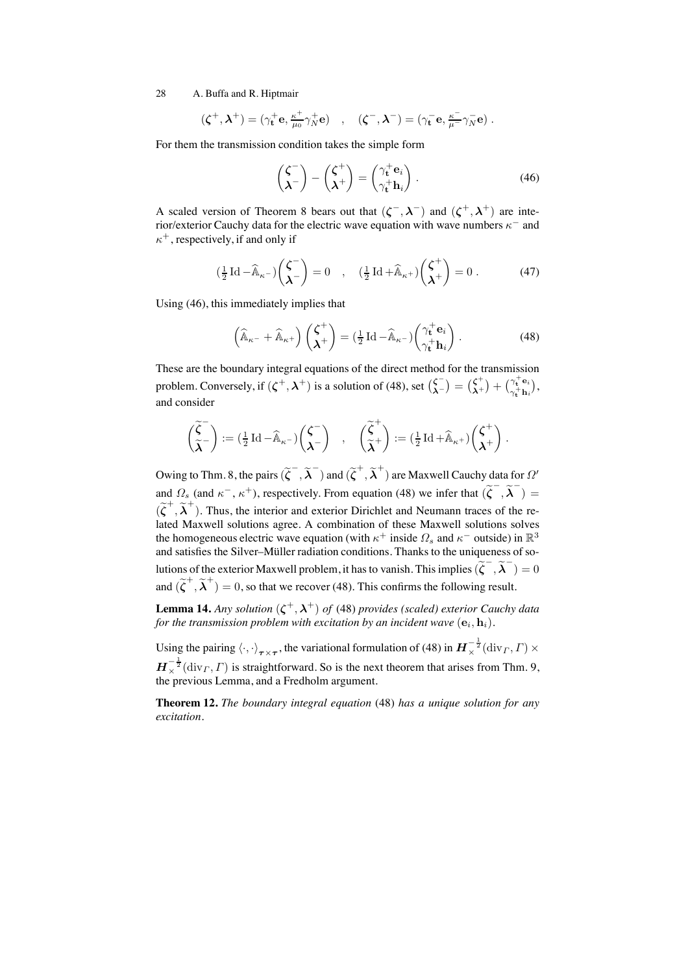$$
(\zeta^+, \lambda^+) = (\gamma^+_{\mathbf{t}} \mathbf{e}, \tfrac{\kappa^+}{\mu_0} \gamma^+_{N} \mathbf{e}) \quad , \quad (\zeta^-, \lambda^-) = (\gamma^-_{\mathbf{t}} \mathbf{e}, \tfrac{\kappa^-}{\mu^-} \gamma^-_{N} \mathbf{e}) \ .
$$

For them the transmission condition takes the simple form

$$
\begin{pmatrix} \zeta^- \\ \lambda^- \end{pmatrix} - \begin{pmatrix} \zeta^+ \\ \lambda^+ \end{pmatrix} = \begin{pmatrix} \gamma_t^+ e_i \\ \gamma_t^+ h_i \end{pmatrix} . \tag{46}
$$

A scaled version of Theorem 8 bears out that  $({\zeta}^-, {\lambda}^-)$  and  $({\zeta}^+, {\lambda}^+)$  are interior/exterior Cauchy data for the electric wave equation with wave numbers  $\kappa^-$  and  $\kappa^+$ , respectively, if and only if

$$
\left(\frac{1}{2}\operatorname{Id}-\widehat{\mathbb{A}}_{\kappa^{-}}\right)\begin{pmatrix}\zeta^{-}\\ \lambda^{-}\end{pmatrix}=0\quad,\quad\left(\frac{1}{2}\operatorname{Id}+\widehat{\mathbb{A}}_{\kappa^{+}}\right)\begin{pmatrix}\zeta^{+}\\ \lambda^{+}\end{pmatrix}=0\;.\tag{47}
$$

Using (46), this immediately implies that

$$
\left(\widehat{\mathbb{A}}_{\kappa^{-}} + \widehat{\mathbb{A}}_{\kappa^{+}}\right) \begin{pmatrix} \zeta^{+} \\ \lambda^{+} \end{pmatrix} = \left(\frac{1}{2} \operatorname{Id} - \widehat{\mathbb{A}}_{\kappa^{-}}\right) \begin{pmatrix} \gamma_{\mathbf{t}}^{+} \mathbf{e}_{i} \\ \gamma_{\mathbf{t}}^{+} \mathbf{h}_{i} \end{pmatrix} . \tag{48}
$$

These are the boundary integral equations of the direct method for the transmission problem. Conversely, if  $(\zeta^+, \lambda^+)$  is a solution of (48), set  $\begin{pmatrix} \zeta^- \\ \lambda^- \end{pmatrix} = \begin{pmatrix} \zeta^+ \\ \lambda^+ \end{pmatrix} + \begin{pmatrix} \gamma_i^+ e_i \\ \gamma_i^+ h_i \end{pmatrix}$  $\begin{array}{l} \gamma_{\mathbf{t}}^{-}\mathbf{e}_i \ \gamma_{\mathbf{t}}^{+}\mathbf{h}_i \end{array}\! \Big),$ and consider

$$
\begin{pmatrix} \widetilde{\zeta}^- \\ \widetilde{\lambda}^- \end{pmatrix} := (\tfrac{1}{2} \operatorname{Id} - \widehat{\mathbb{A}}_{\kappa^-}) \begin{pmatrix} \zeta^- \\ \lambda^- \end{pmatrix} \quad , \quad \begin{pmatrix} \widetilde{\zeta}^+ \\ \widetilde{\lambda}^+ \end{pmatrix} := (\tfrac{1}{2} \operatorname{Id} + \widehat{\mathbb{A}}_{\kappa^+}) \begin{pmatrix} \zeta^+ \\ \lambda^+ \end{pmatrix} \, .
$$

Owing to Thm. 8, the pairs  $(\widetilde{\zeta}^-,\widetilde{\lambda}^-)$  and  $(\widetilde{\zeta}^+,\widetilde{\lambda}^+)$  are Maxwell Cauchy data for  $\varOmega'$ and  $\Omega_s$  (and  $\kappa^-$ ,  $\kappa^+$ ), respectively. From equation (48) we infer that  $(\tilde{\zeta}^-, \tilde{\lambda}^-)$  =  $(\tilde{\zeta}^+, \tilde{\lambda}^+)$ . Thus, the interior and exterior Dirichlet and Neumann traces of the related Maxwell solutions agree. A combination of these Maxwell solutions solves the homogeneous electric wave equation (with  $\kappa^+$  inside  $\Omega_s$  and  $\kappa^-$  outside) in  $\mathbb{R}^3$ and satisfies the Silver-Müller radiation conditions. Thanks to the uniqueness of solutions of the exterior Maxwell problem, it has to vanish. This implies  $(\widetilde{\zeta}^-, \widetilde{\lambda}^-) = 0$ and  $(\tilde{\zeta}^+, \tilde{\lambda}^+) = 0$ , so that we recover (48). This confirms the following result.

**Lemma 14.** *Any solution*  $(\zeta^+, \lambda^+)$  *of* (48) *provides* (scaled) *exterior Cauchy data for the transmission problem with excitation by an incident wave*  $(e_i, h_i)$ *.* 

Using the pairing  $\langle \cdot, \cdot \rangle_{\tau \times \tau}$ , the variational formulation of (48) in  $\bm{H}_{\times}^{-\frac{1}{2}}(\text{div}_\Gamma, \Gamma) \times$  $\mathbf{H}_{\times}^{-\frac{1}{2}}(\text{div}_\Gamma, \Gamma)$  is straightforward. So is the next theorem that arises from Thm. 9, the previous Lemma, and a Fredholm argument.

**Theorem 12.** *The boundary integral equation* (48) *has a unique solution for any excitation.*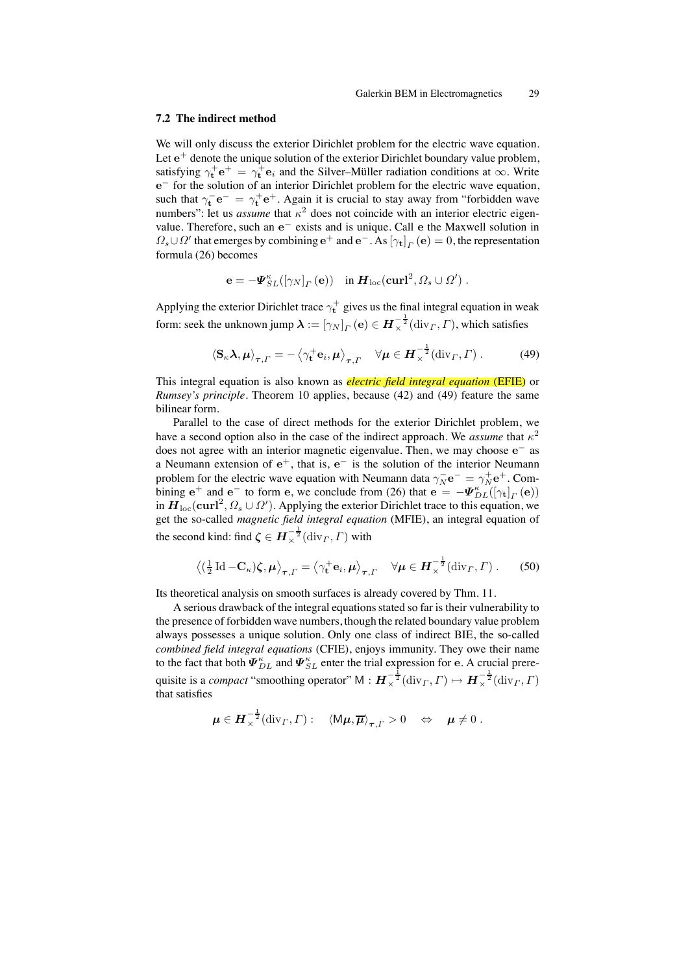#### **7.2 The indirect method**

We will only discuss the exterior Dirichlet problem for the electric wave equation. Let  $e^+$  denote the unique solution of the exterior Dirichlet boundary value problem, satisfying  $\gamma_t^+ e^+ = \gamma_t^+ e_i$  and the Silver–Müller radiation conditions at  $\infty$ . Write e<sup>−</sup> for the solution of an interior Dirichlet problem for the electric wave equation, such that  $\gamma_t^- e^- = \gamma_t^+ e^+$ . Again it is crucial to stay away from "forbidden wave numbers": let us *assume* that  $\kappa^2$  does not coincide with an interior electric eigenvalue. Therefore, such an e<sup>−</sup> exists and is unique. Call e the Maxwell solution in  $\Omega_s \cup \Omega'$  that emerges by combining  $e^+$  and  $e^-$ . As  $[\gamma_t]_T(e) = 0$ , the representation formula (26) becomes

$$
\mathbf{e} = -\boldsymbol{\varPsi}_{SL}^{\kappa}([\gamma_N]_{\varGamma}(\mathbf{e})) \quad \text{in } \boldsymbol{H}_{\text{loc}}(\mathbf{curl}^2, \varOmega_s \cup \varOmega') \; .
$$

Applying the exterior Dirichlet trace  $\gamma_t^+$  gives us the final integral equation in weak form: seek the unknown jump  $\bm{\lambda} := [\gamma_N]_T\left(\mathbf{e}\right) \in \bm{H}_\times^{-\frac{1}{2}}(\mathrm{div}_\varGamma, \varGamma),$  which satisfies

$$
\langle \mathbf{S}_{\kappa} \mathbf{\lambda}, \boldsymbol{\mu} \rangle_{\boldsymbol{\tau}, \Gamma} = -\left\langle \gamma_{\mathbf{t}}^+ \mathbf{e}_i, \boldsymbol{\mu} \right\rangle_{\boldsymbol{\tau}, \Gamma} \quad \forall \boldsymbol{\mu} \in \boldsymbol{H}_{\times}^{-\frac{1}{2}}(\text{div}_{\Gamma}, \Gamma) . \tag{49}
$$

This integral equation is also known as *electric field integral equation* (EFIE) or *Rumsey's principle*. Theorem 10 applies, because (42) and (49) feature the same bilinear form.

Parallel to the case of direct methods for the exterior Dirichlet problem, we have a second option also in the case of the indirect approach. We *assume* that  $\kappa^2$ does not agree with an interior magnetic eigenvalue. Then, we may choose e<sup>−</sup> as a Neumann extension of  $e^+$ , that is,  $e^-$  is the solution of the interior Neumann problem for the electric wave equation with Neumann data  $\gamma_N^ \mathbf{e}^- = \gamma_N^+ \mathbf{e}^+$ . Combining  $e^+$  and  $e^-$  to form e, we conclude from (26) that  $e = -\Psi_{DL}^{\kappa}([\gamma_t]_T(e))$ in  $\bm{H}_{\text{loc}}(\mathbf{curl}^2, \Omega_s \cup \Omega')$ . Applying the exterior Dirichlet trace to this equation, we get the so-called *magnetic field integral equation* (MFIE), an integral equation of the second kind: find  $\zeta \in H_{\times}^{-\frac{1}{2}}(\text{div}_\Gamma, \Gamma)$  with

$$
\left\langle \left(\frac{1}{2}\operatorname{Id}-\mathbf{C}_{\kappa}\right)\boldsymbol{\zeta},\boldsymbol{\mu}\right\rangle _{\boldsymbol{\tau},\boldsymbol{\varGamma}}=\left\langle \gamma_{\mathbf{t}}^{+}\mathbf{e}_{i},\boldsymbol{\mu}\right\rangle _{\boldsymbol{\tau},\boldsymbol{\varGamma}}\quad\forall\boldsymbol{\mu}\in\boldsymbol{H}_{\times}^{-\frac{1}{2}}(\operatorname{div}_{\boldsymbol{\varGamma}},\boldsymbol{\varGamma})\ .\qquad(50)
$$

Its theoretical analysis on smooth surfaces is already covered by Thm. 11.

A serious drawback of the integral equations stated so far is their vulnerability to the presence of forbidden wave numbers, though the related boundary value problem always possesses a unique solution. Only one class of indirect BIE, the so-called *combined field integral equations* (CFIE), enjoys immunity. They owe their name to the fact that both  $\mathbf{\Psi}_{DL}^{\kappa}$  and  $\mathbf{\Psi}_{SL}^{\kappa}$  enter the trial expression for e. A crucial prerequisite is a *compact* "smoothing operator"  $M : H_{\times}^{-\frac{1}{2}}(\text{div}_\Gamma, \Gamma) \mapsto H_{\times}^{-\frac{1}{2}}(\text{div}_\Gamma, \Gamma)$ that satisfies

$$
\boldsymbol{\mu} \in \boldsymbol{H}_{\times}^{-\frac{1}{2}}(\mathrm{div}_\Gamma,\Gamma): \quad \langle \mathsf{M}\boldsymbol{\mu},\overline{\boldsymbol{\mu}}\rangle_{\boldsymbol{\tau},\Gamma} > 0 \quad \Leftrightarrow \quad \boldsymbol{\mu} \neq 0 \ .
$$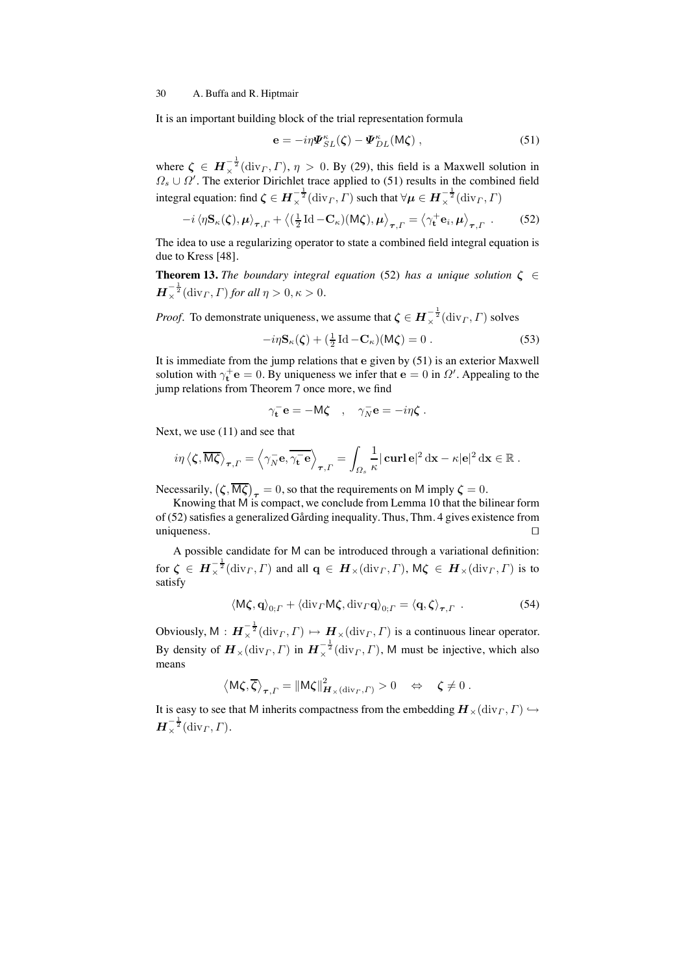It is an important building block of the trial representation formula

$$
\mathbf{e} = -i\eta \mathbf{\Psi}_{SL}^{\kappa}(\zeta) - \mathbf{\Psi}_{DL}^{\kappa}(M\zeta) , \qquad (51)
$$

where  $\zeta \in H_{\times}^{-\frac{1}{2}}(\text{div}_{\Gamma}, \Gamma), \eta > 0$ . By (29), this field is a Maxwell solution in  $\Omega_s \cup \Omega'$ . The exterior Dirichlet trace applied to (51) results in the combined field integral equation: find  $\zeta \in H^{-\frac{1}{2}}_\times(\textup{div}_\varGamma,\varGamma)$  such that  $\forall \mu \in H^{-\frac{1}{2}}_\times(\textup{div}_\varGamma,\varGamma)$ 

$$
-i\left\langle \eta \mathbf{S}_{\kappa}(\boldsymbol{\zeta}), \boldsymbol{\mu} \right\rangle_{\boldsymbol{\tau}, \Gamma} + \left\langle (\frac{1}{2} \operatorname{Id} - \mathbf{C}_{\kappa})(\mathsf{M}\boldsymbol{\zeta}), \boldsymbol{\mu} \right\rangle_{\boldsymbol{\tau}, \Gamma} = \left\langle \gamma_{\mathbf{t}}^+ \mathbf{e}_i, \boldsymbol{\mu} \right\rangle_{\boldsymbol{\tau}, \Gamma} . \tag{52}
$$

The idea to use a regularizing operator to state a combined field integral equation is due to Kress [48].

**Theorem 13.** *The boundary integral equation* (52) *has a unique solution*  $\zeta \in \mathbb{C}$  $H_\times^{-\frac{1}{2}}(\text{div}_\Gamma, \Gamma)$  for all  $\eta > 0, \kappa > 0$ .

*Proof.* To demonstrate uniqueness, we assume that  $\boldsymbol{\zeta} \in \boldsymbol{H}_{\times}^{-\frac{1}{2}}(\text{div}_\Gamma, \Gamma)$  solves

$$
-i\eta \mathbf{S}_{\kappa}(\zeta) + \left(\frac{1}{2}\operatorname{Id} - \mathbf{C}_{\kappa}\right)(\mathsf{M}\zeta) = 0.
$$
 (53)

It is immediate from the jump relations that e given by (51) is an exterior Maxwell solution with  $\gamma_t^+ \mathbf{e} = 0$ . By uniqueness we infer that  $\mathbf{e} = 0$  in  $\Omega'$ . Appealing to the jump relations from Theorem 7 once more, we find

$$
\gamma_{\mathbf{t}}^{-} \mathbf{e} = -\mathsf{M}\boldsymbol{\zeta} \quad , \quad \gamma_{N}^{-} \mathbf{e} = -i\eta \boldsymbol{\zeta} \; .
$$

Next, we use (11) and see that

$$
i\eta \left\langle \zeta, \overline{\mathsf{M}\zeta} \right\rangle_{\boldsymbol{\tau},\Gamma} = \left\langle \gamma_N^- \mathbf{e}, \overline{\gamma_{\mathbf{t}}^- \mathbf{e}} \right\rangle_{\boldsymbol{\tau},\Gamma} = \int_{\Omega_s} \frac{1}{\kappa} |\operatorname{curl} \mathbf{e}|^2 \, \mathrm{d}\mathbf{x} - \kappa |\mathbf{e}|^2 \, \mathrm{d}\mathbf{x} \in \mathbb{R}.
$$

Necessarily,  $(\zeta, \overline{M\zeta})_{\tau} = 0$ , so that the requirements on M imply  $\zeta = 0$ .

Knowing that M is compact, we conclude from Lemma 10 that the bilinear form of (52) satisfies a generalized Gårding inequality. Thus, Thm. 4 gives existence from uniqueness. □

A possible candidate for M can be introduced through a variational definition: for  $\zeta \in H^{-\frac{1}{2}}_\times(\text{div}_\varGamma, \varGamma)$  and all  $\mathbf{q} \in H_\times(\text{div}_\varGamma, \varGamma)$ ,  $\mathsf{M}\zeta \in H_\times(\text{div}_\varGamma, \varGamma)$  is to satisfy

$$
\langle \mathsf{M}\boldsymbol{\zeta}, \mathbf{q} \rangle_{0; \Gamma} + \langle \operatorname{div}_{\Gamma} \mathsf{M}\boldsymbol{\zeta}, \operatorname{div}_{\Gamma} \mathbf{q} \rangle_{0; \Gamma} = \langle \mathbf{q}, \boldsymbol{\zeta} \rangle_{\boldsymbol{\tau}, \Gamma} . \tag{54}
$$

Obviously,  $M : H_{\times}^{-\frac{1}{2}}(\text{div}_{\Gamma}, \Gamma) \mapsto H_{\times}(\text{div}_{\Gamma}, \Gamma)$  is a continuous linear operator. By density of  $\bm{H}_{\times}(\text{div}_\Gamma, \Gamma)$  in  $\bm{H}_{\times}^{-\frac{1}{2}}(\text{div}_\Gamma, \Gamma)$ , M must be injective, which also means

$$
\left\langle \mathsf{M}\pmb{\zeta},\overline{\pmb{\zeta}}\right\rangle_{\pmb{\tau},\varGamma}=\left\|\mathsf{M}\pmb{\zeta}\right\|^2_{\pmb{H}_{\times}\left({\rm div}_\varGamma,\varGamma\right)}>0\quad\Leftrightarrow\quad\pmb{\zeta}\neq0\;.
$$

It is easy to see that M inherits compactness from the embedding  $\mathbf{H}_{\times}(\text{div}_{\Gamma}, \Gamma) \hookrightarrow$  $\boldsymbol{H}^{-\frac{1}{2}}_{\times}(\operatorname{div}_{\boldsymbol{\varGamma}},\boldsymbol{\varGamma}).$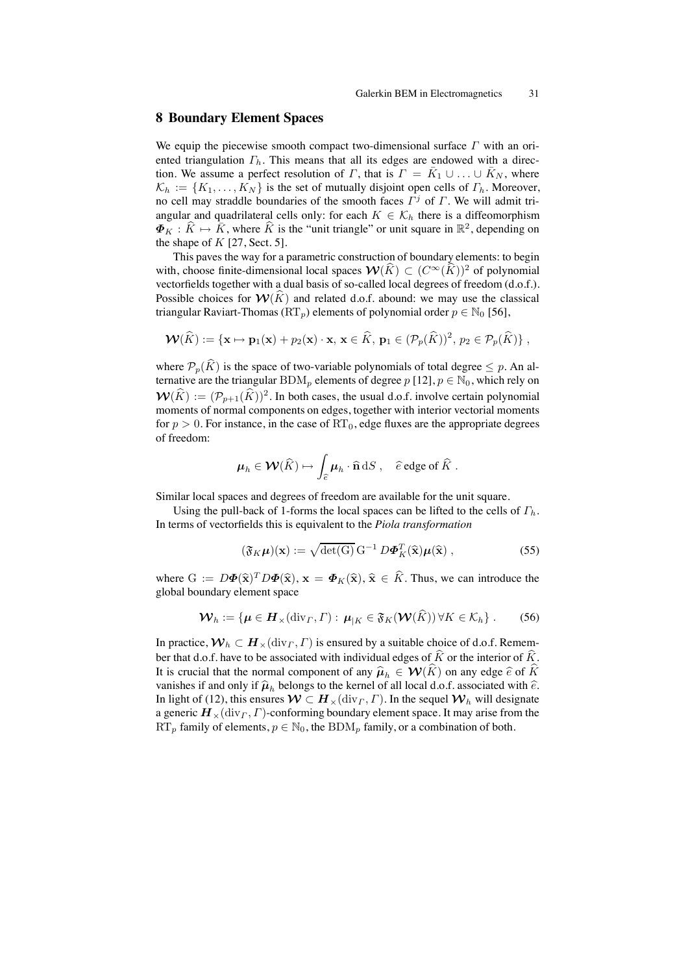# **8 Boundary Element Spaces**

We equip the piecewise smooth compact two-dimensional surface  $\Gamma$  with an oriented triangulation  $\Gamma_h$ . This means that all its edges are endowed with a direction. We assume a perfect resolution of  $\Gamma$ , that is  $\Gamma = \bar{K}_1 \cup ... \cup \bar{K}_N$ , where  $\mathcal{K}_h := \{K_1, \ldots, K_N\}$  is the set of mutually disjoint open cells of  $\Gamma_h$ . Moreover, no cell may straddle boundaries of the smooth faces  $\Gamma^j$  of  $\Gamma$ . We will admit triangular and quadrilateral cells only: for each  $K \in \mathcal{K}_h$  there is a diffeomorphism  $\Phi_K : \hat{K} \mapsto \bar{K}$ , where  $\hat{K}$  is the "unit triangle" or unit square in  $\mathbb{R}^2$ , depending on the shape of  $K$  [27, Sect. 5].

This paves the way for a parametric construction of boundary elements: to begin with, choose finite-dimensional local spaces  $\mathcal{W}(\widehat{K}) \subset (C^{\infty}(\widehat{K}))^2$  of polynomial vectorfields together with a dual basis of so-called local degrees of freedom (d.o.f.). Possible choices for  $W(K)$  and related d.o.f. abound: we may use the classical triangular Raviart-Thomas (RT<sub>p</sub>) elements of polynomial order  $p \in \mathbb{N}_0$  [56],

$$
\mathbf{W}(\widehat{K}) := \{ \mathbf{x} \mapsto \mathbf{p}_1(\mathbf{x}) + p_2(\mathbf{x}) \cdot \mathbf{x}, \, \mathbf{x} \in \widehat{K}, \, \mathbf{p}_1 \in (\mathcal{P}_p(\widehat{K}))^2, \, p_2 \in \mathcal{P}_p(\widehat{K}) \},
$$

where  $\mathcal{P}_p(\widehat{K})$  is the space of two-variable polynomials of total degree  $\leq p$ . An alternative are the triangular BDM<sub>p</sub> elements of degree p [12],  $p \in \mathbb{N}_0$ , which rely on  $\mathcal{W}(\widehat{K}) := (\mathcal{P}_{p+1}(\widehat{K}))^2$ . In both cases, the usual d.o.f. involve certain polynomial moments of normal components on edges, together with interior vectorial moments for  $p > 0$ . For instance, in the case of  $RT_0$ , edge fluxes are the appropriate degrees of freedom:

$$
\mu_h \in \mathcal{W}(\widehat{K}) \mapsto \int_{\widehat{e}} \mu_h \cdot \widehat{\mathbf{n}} \, \mathrm{d}S \ , \quad \widehat{e} \text{ edge of } \widehat{K} \ .
$$

Similar local spaces and degrees of freedom are available for the unit square.

Using the pull-back of 1-forms the local spaces can be lifted to the cells of  $\Gamma_h$ . In terms of vectorfields this is equivalent to the *Piola transformation*

$$
(\mathfrak{F}_K \boldsymbol{\mu})(\mathbf{x}) := \sqrt{\det(\mathbf{G})} \, \mathbf{G}^{-1} \, D \boldsymbol{\Phi}_K^T(\widehat{\mathbf{x}}) \boldsymbol{\mu}(\widehat{\mathbf{x}}) \,, \tag{55}
$$

where  $G := D\Phi(\hat{\mathbf{x}})^T D\Phi(\hat{\mathbf{x}}), \mathbf{x} = \Phi_K(\hat{\mathbf{x}}), \hat{\mathbf{x}} \in \hat{K}$ . Thus, we can introduce the global boundary element space

$$
\mathcal{W}_h := \{ \boldsymbol{\mu} \in \boldsymbol{H}_\times(\text{div}_\Gamma, \Gamma) : \boldsymbol{\mu}_{|K} \in \mathfrak{F}_K(\mathcal{W}(\widehat{K})) \,\forall K \in \mathcal{K}_h \} \ . \tag{56}
$$

In practice,  $W_h \subset H_{\times}(\text{div}_\Gamma, \Gamma)$  is ensured by a suitable choice of d.o.f. Remember that d.o.f. have to be associated with individual edges of  $\hat{K}$  or the interior of  $\hat{K}$ . It is crucial that the normal component of any  $\hat{\mu}_h \in \mathcal{W}(\hat{K})$  on any edge  $\hat{e}$  of  $\hat{K}$ vanishes if and only if  $\hat{\mu}_h$  belongs to the kernel of all local d.o.f. associated with  $\hat{e}$ . In light of (12), this ensures  $W \subset H_{\times}(\text{div}_\Gamma, \Gamma)$ . In the sequel  $W_h$  will designate a generic  $\mathbf{H}_{\times}(\text{div}_{\Gamma}, \Gamma)$ -conforming boundary element space. It may arise from the  $RT_p$  family of elements,  $p \in \mathbb{N}_0$ , the  $BDM_p$  family, or a combination of both.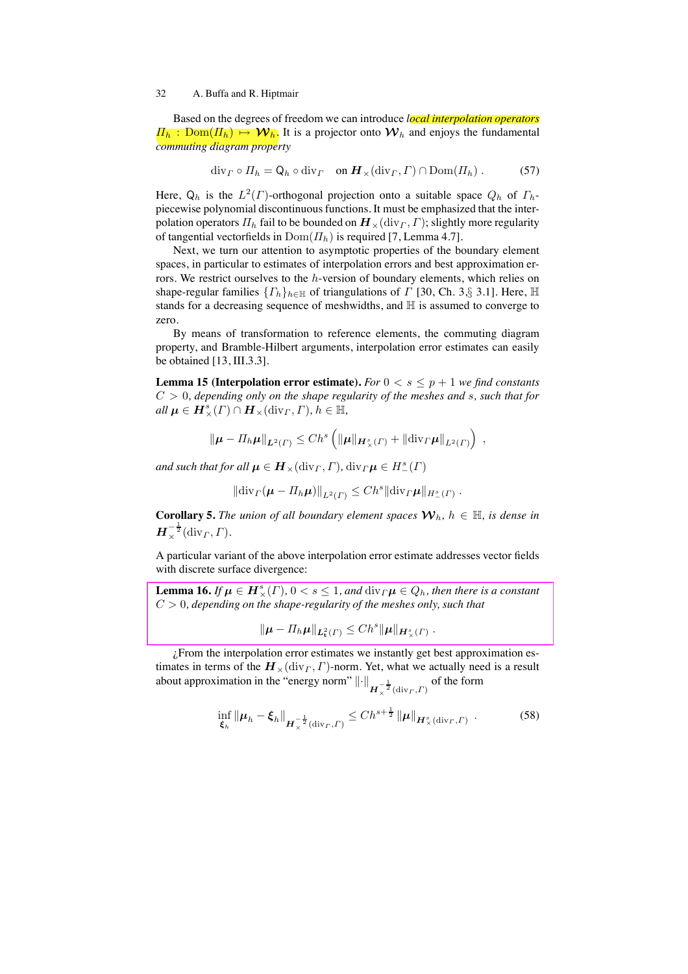Based on the degrees of freedom we can introduce *local interpolation operators*  $\Pi_h : \text{Dom}(\Pi_h) \mapsto \mathcal{W}_h$ . It is a projector onto  $\mathcal{W}_h$  and enjoys the fundamental *commuting diagram property*

$$
\operatorname{div}_{\Gamma} \circ \Pi_h = \mathsf{Q}_h \circ \operatorname{div}_{\Gamma} \quad \text{on } \mathbf{H}_{\times}(\operatorname{div}_{\Gamma}, \Gamma) \cap \operatorname{Dom}(\Pi_h) \ . \tag{57}
$$

Here,  $Q_h$  is the  $L^2(\Gamma)$ -orthogonal projection onto a suitable space  $Q_h$  of  $\Gamma_h$ piecewise polynomial discontinuous functions. It must be emphasized that the interpolation operators  $\Pi_h$  fail to be bounded on  $\mathbf{H}_{\times}(\text{div}_\Gamma, \Gamma)$ ; slightly more regularity of tangential vectorfields in  $Dom(\Pi_h)$  is required [7, Lemma 4.7].

Next, we turn our attention to asymptotic properties of the boundary element spaces, in particular to estimates of interpolation errors and best approximation errors. We restrict ourselves to the  $h$ -version of boundary elements, which relies on shape-regular families  $\{ \Gamma_h \}_{h \in \mathbb{H}}$  of triangulations of  $\Gamma$  [30, Ch. 3, § 3.1]. Here,  $\mathbb H$ stands for a decreasing sequence of meshwidths, and  $\mathbb H$  is assumed to converge to zero.

By means of transformation to reference elements, the commuting diagram property, and Bramble-Hilbert arguments, interpolation error estimates can easily be obtained [13, III.3.3].

**Lemma 15 (Interpolation error estimate).** For  $0 < s \leq p + 1$  we find constants C > 0*, depending only on the shape regularity of the meshes and* s*, such that for*  $all \mu \in H^s_\times(\Gamma) \cap H_\times(\text{div}_\Gamma, \Gamma), h \in \mathbb{H},$ 

$$
\|\boldsymbol{\mu}-\Pi_h\boldsymbol{\mu}\|_{\boldsymbol{L}^2(\Gamma)}\leq Ch^s\left(\|\boldsymbol{\mu}\|_{\boldsymbol{H}^s_{\times}(T)}+\|\mathrm{div}_{\Gamma}\boldsymbol{\mu}\|_{L^2(\Gamma)}\right)\;,
$$

*and such that for all*  $\boldsymbol{\mu} \in \boldsymbol{H}_{\times}({\rm div}_\varGamma, \varGamma)$ ,  ${\rm div}_\varGamma \boldsymbol{\mu} \in H^s_-(\varGamma)$ 

$$
\|\mathrm{div}_{\Gamma}(\boldsymbol{\mu}-\Pi_h\boldsymbol{\mu})\|_{L^2(\Gamma)}\leq Ch^s\|\mathrm{div}_{\Gamma}\boldsymbol{\mu}\|_{H^s_-(\Gamma)}.
$$

**Corollary 5.** *The union of all boundary element spaces*  $W_h$ ,  $h \in \mathbb{H}$ , *is dense in*  $\boldsymbol{H}_{\times}^{-\frac{1}{2}}(\text{div}_\varGamma, \varGamma).$ 

A particular variant of the above interpolation error estimate addresses vector fields with discrete surface divergence:

**Lemma 16.** *If*  $\mu \in H_{\times}^{s}(\Gamma)$ ,  $0 < s \leq 1$ , and  $\text{div}_{\Gamma}\mu \in Q_h$ , then there is a constant C > 0*, depending on the shape-regularity of the meshes only, such that*

 $\|\mu - \Pi_h \mu\|_{L^2_t(\Gamma)} \leq C h^s \|\mu\|_{H^s_{\times}(\Gamma)}.$ 

 $i$ From the interpolation error estimates we instantly get best approximation estimates in terms of the  $H_{\times}$ (div<sub>Γ</sub>, Γ)-norm. Yet, what we actually need is a result about approximation in the "energy norm"  $\left\| \cdot \right\|_{\mathbf{H}^{-\frac{1}{2}}_{\times}(\text{div}_\mathbf{\Gamma}, \mathbf{\Gamma})}$  of the form

$$
\inf_{\xi_h} \|\boldsymbol{\mu}_h - \boldsymbol{\xi}_h\|_{\boldsymbol{H}_{\times}^{-\frac{1}{2}}(\text{div}_\Gamma, \Gamma)} \le C h^{s + \frac{1}{2}} \|\boldsymbol{\mu}\|_{\boldsymbol{H}_{\times}^s(\text{div}_\Gamma, \Gamma)} . \tag{58}
$$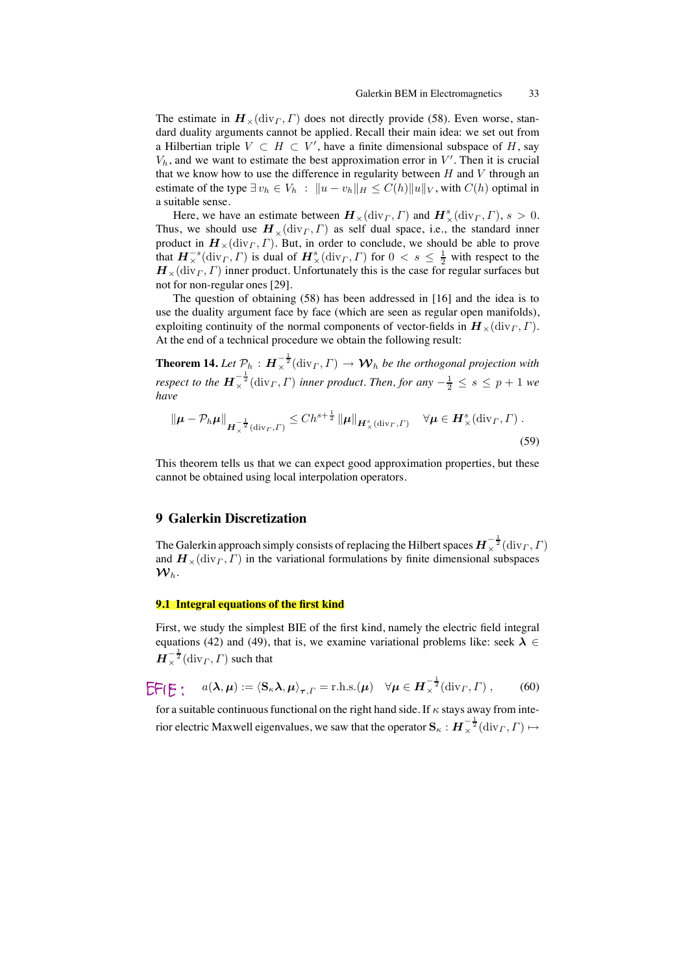The estimate in  $H_*(\text{div}_\Gamma, \Gamma)$  does not directly provide (58). Even worse, standard duality arguments cannot be applied. Recall their main idea: we set out from a Hilbertian triple  $V \subset H \subset V'$ , have a finite dimensional subspace of H, say  $V<sub>h</sub>$ , and we want to estimate the best approximation error in  $V'$ . Then it is crucial that we know how to use the difference in regularity between  $H$  and  $V$  through an estimate of the type  $\exists v_h \in V_h : ||u - v_h||_H \leq C(h) ||u||_V$ , with  $C(h)$  optimal in a suitable sense.

Here, we have an estimate between  $\boldsymbol{H}_{\times}(\text{div}_{\Gamma}, \Gamma)$  and  $\boldsymbol{H}_{\times}^s(\text{div}_{\Gamma}, \Gamma), s > 0$ . Thus, we should use  $H_*(\text{div}_\Gamma, \Gamma)$  as self dual space, i.e., the standard inner product in  $\mathbf{H}_{\times}(\text{div}_\Gamma, \Gamma)$ . But, in order to conclude, we should be able to prove that  $H^{-s}_{\times}(\text{div}_\Gamma, \Gamma)$  is dual of  $H^s_{\times}(\text{div}_\Gamma, \Gamma)$  for  $0 < s \leq \frac{1}{2}$  with respect to the  $\mathbf{H}_{\times}(\text{div}_\Gamma, \Gamma)$  inner product. Unfortunately this is the case for regular surfaces but not for non-regular ones [29].

The question of obtaining (58) has been addressed in [16] and the idea is to use the duality argument face by face (which are seen as regular open manifolds), exploiting continuity of the normal components of vector-fields in  $\mathbf{H}_{\times}(\text{div}_{\Gamma}, \Gamma)$ . At the end of a technical procedure we obtain the following result:

**Theorem 14.** Let  $\mathcal{P}_h$  :  $\bm{H}_{\times}^{-\frac{1}{2}}(\text{div}_\Gamma,\Gamma) \rightarrow \bm{\mathcal{W}}_h$  be the orthogonal projection with *respect to the*  $H_{\times}^{-\frac{1}{2}}(\text{div}_\Gamma, \Gamma)$  *inner product. Then, for any*  $-\frac{1}{2} \leq s \leq p+1$  *we have*

$$
\|\boldsymbol{\mu} - \mathcal{P}_h \boldsymbol{\mu}\|_{\boldsymbol{H}_\times^{-\frac{1}{2}}(\text{div}_\Gamma, \Gamma)} \le C h^{s + \frac{1}{2}} \|\boldsymbol{\mu}\|_{\boldsymbol{H}_\times^s(\text{div}_\Gamma, \Gamma)} \quad \forall \boldsymbol{\mu} \in \boldsymbol{H}_\times^s(\text{div}_\Gamma, \Gamma) .
$$
\n(59)

This theorem tells us that we can expect good approximation properties, but these cannot be obtained using local interpolation operators.

# **9 Galerkin Discretization**

The Galerkin approach simply consists of replacing the Hilbert spaces  $\bm{H}_{\times}^{-\frac{1}{2}}(\mathrm{div}_\varGamma,\varGamma)$ and  $\mathbf{H}_{\times}$ (div<sub>Γ</sub>,Γ) in the variational formulations by finite dimensional subspaces  $\boldsymbol{\mathcal{W}}_h.$ 

# **9.1 Integral equations of the first kind**

First, we study the simplest BIE of the first kind, namely the electric field integral equations (42) and (49), that is, we examine variational problems like: seek  $\lambda \in$  $\boldsymbol{H}_{\times}^{-\frac{1}{2}}(\mathrm{div}_\varGamma,\varGamma)$  such that

$$
\widehat{\mathsf{C}}\mathsf{F}(\mathsf{E}: \quad a(\boldsymbol{\lambda},\boldsymbol{\mu}) := \langle \mathbf{S}_{\kappa}\boldsymbol{\lambda},\boldsymbol{\mu}\rangle_{\boldsymbol{\tau},\Gamma} = \text{r.h.s.}(\boldsymbol{\mu}) \quad \forall \boldsymbol{\mu} \in \boldsymbol{H}_{\times}^{-\frac{1}{2}}(\text{div}_{\Gamma},\Gamma) , \qquad (60)
$$

for a suitable continuous functional on the right hand side. If  $\kappa$  stays away from interior electric Maxwell eigenvalues, we saw that the operator  $\mathbf{S}_{\kappa}: \bm{H}_\times^{-\frac{1}{2}}(\mathrm{div}_\varGamma,\varGamma)\mapsto$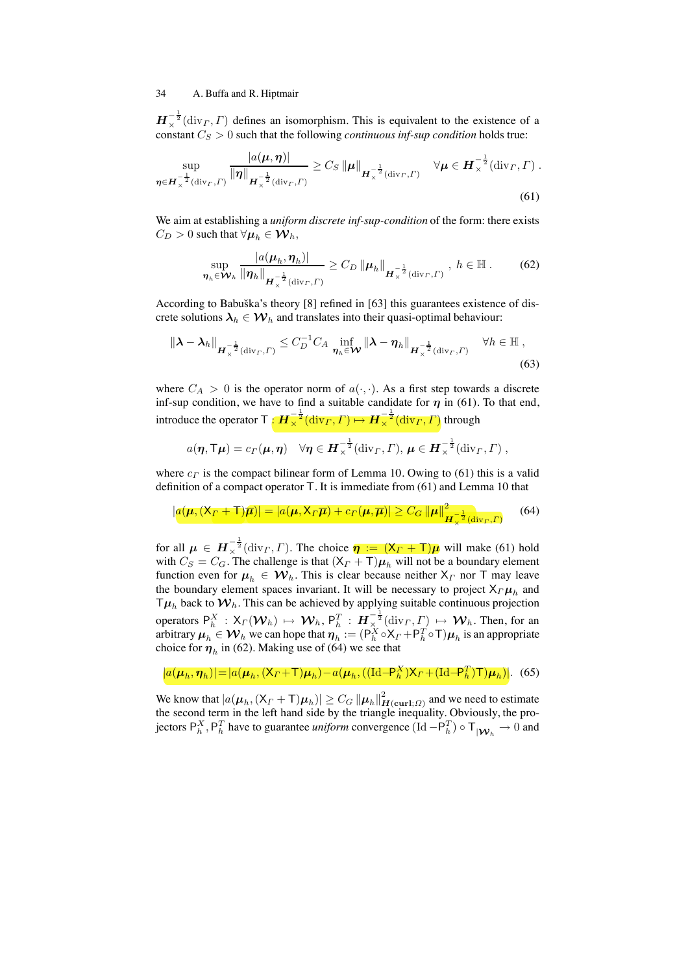$\mathbf{H}_{\times}^{-\frac{1}{2}}(\text{div}_{\Gamma}, \Gamma)$  defines an isomorphism. This is equivalent to the existence of a constant  $C_S > 0$  such that the following *continuous inf-sup condition* holds true:

$$
\sup_{\boldsymbol{\eta} \in \boldsymbol{H}_{\times}^{-\frac{1}{2}}(\text{div}_{\boldsymbol{\Gamma}},\boldsymbol{\Gamma})} \frac{|a(\boldsymbol{\mu},\boldsymbol{\eta})|}{\|\boldsymbol{\eta}\|_{\boldsymbol{H}_{\times}^{-\frac{1}{2}}(\text{div}_{\boldsymbol{\Gamma}},\boldsymbol{\Gamma})}} \geq C_{S} \|\boldsymbol{\mu}\|_{\boldsymbol{H}_{\times}^{-\frac{1}{2}}(\text{div}_{\boldsymbol{\Gamma}},\boldsymbol{\Gamma})} \quad \forall \boldsymbol{\mu} \in \boldsymbol{H}_{\times}^{-\frac{1}{2}}(\text{div}_{\boldsymbol{\Gamma}},\boldsymbol{\Gamma}) .
$$
\n(61)

We aim at establishing a *uniform discrete inf-sup-condition* of the form: there exists  $C_D > 0$  such that  $\forall \mu_h \in \mathcal{W}_h$ ,

$$
\sup_{\boldsymbol{\eta}_h \in \mathcal{W}_h} \frac{|a(\boldsymbol{\mu}_h, \boldsymbol{\eta}_h)|}{\|\boldsymbol{\eta}_h\|_{\boldsymbol{H}^{-\frac{1}{2}}_x(\text{div}_\Gamma, \Gamma)}} \ge C_D \|\boldsymbol{\mu}_h\|_{\boldsymbol{H}^{-\frac{1}{2}}_x(\text{div}_\Gamma, \Gamma)}, \ h \in \mathbb{H}. \tag{62}
$$

According to Babuška's theory  $[8]$  refined in  $[63]$  this guarantees existence of discrete solutions  $\lambda_h \in \mathcal{W}_h$  and translates into their quasi-optimal behaviour:

$$
\|\boldsymbol{\lambda} - \boldsymbol{\lambda}_h\|_{\boldsymbol{H}_{\times}^{-\frac{1}{2}}(\text{div}_\Gamma, \Gamma)} \leq C_D^{-1} C_A \inf_{\boldsymbol{\eta}_h \in \mathcal{W}} \|\boldsymbol{\lambda} - \boldsymbol{\eta}_h\|_{\boldsymbol{H}_{\times}^{-\frac{1}{2}}(\text{div}_\Gamma, \Gamma)} \quad \forall h \in \mathbb{H},
$$
\n(63)

where  $C_A > 0$  is the operator norm of  $a(\cdot, \cdot)$ . As a first step towards a discrete inf-sup condition, we have to find a suitable candidate for  $\eta$  in (61). To that end, introduce the operator  $\top : H_{\times}^{-\frac{1}{2}}(\text{div}_\Gamma, \Gamma) \mapsto H_{\times}^{-\frac{1}{2}}(\text{div}_\Gamma, \Gamma)$  through

$$
a(\eta, \mathsf{T}\mu) = c_{\Gamma}(\mu, \eta) \quad \forall \eta \in \mathbf{H}_{\times}^{-\frac{1}{2}}(\mathrm{div}_{\Gamma}, \Gamma), \, \mu \in \mathbf{H}_{\times}^{-\frac{1}{2}}(\mathrm{div}_{\Gamma}, \Gamma) ,
$$

where  $c_F$  is the compact bilinear form of Lemma 10. Owing to (61) this is a valid definition of a compact operator T. It is immediate from (61) and Lemma 10 that

$$
|a(\boldsymbol{\mu}, (\mathsf{X}_{\Gamma} + \mathsf{T})\overline{\boldsymbol{\mu}})| = |a(\boldsymbol{\mu}, \mathsf{X}_{\Gamma}\overline{\boldsymbol{\mu}}) + c_{\Gamma}(\boldsymbol{\mu}, \overline{\boldsymbol{\mu}})| \ge C_G \left\| \boldsymbol{\mu} \right\|_{\boldsymbol{H}_{\chi}^{-\frac{1}{2}}(\text{div}_{\Gamma}, \Gamma)}^2 \tag{64}
$$

for all  $\mu \in H_{\times}^{-\frac{1}{2}}(\text{div}_\Gamma, \Gamma)$ . The choice  $\eta := (X_{\Gamma} + \Gamma)\mu$  will make (61) hold with  $C_S = C_G$ . The challenge is that  $(X_F + T)\mu_h$  will not be a boundary element function even for  $\mu_h \in \mathcal{W}_h$ . This is clear because neither  $X_F$  nor T may leave the boundary element spaces invariant. It will be necessary to project  $X_{\Gamma}\mu_h$  and  $T\mu_h$  back to  $\mathcal{W}_h$ . This can be achieved by applying suitable continuous projection operators  $P_h^X$  :  $X_\Gamma(\mathcal{W}_h) \mapsto \mathcal{W}_h$ ,  $P_h^T$  :  $H_{\infty}^{-\frac{1}{2}}(\text{div}_\Gamma, \Gamma) \mapsto \mathcal{W}_h$ . Then, for an arbitrary  $\mu_h\in\mathcal{W}_h$  we can hope that  $\bm\eta_h:=(\mathsf{P}_h^X\circ\mathsf{X}_\varGamma+\mathsf{P}_h^T\circ\mathsf{T})\bm\mu_h$  is an appropriate choice for  $\eta_h$  in (62). Making use of (64) we see that

 $|a(\mu_h, \eta_h)| = |a(\mu_h, (X_\Gamma + \mathsf{T})\mu_h) - a(\mu_h, ((\mathrm{Id}-\mathsf{P}_h^X)X_\Gamma + (\mathrm{Id}-\mathsf{P}_h^T)\mathsf{T})\mu_h)|.$  (65)

We know that  $|a(\mu_h, (\mathsf{X}_\Gamma+\mathsf{T})\mu_h)| \geq C_G \left\|\mu_h\right\|_{\boldsymbol{H}(\boldsymbol{\mathrm{curl}};\varOmega)}^2$  and we need to estimate the second term in the left hand side by the triangle inequality. Obviously, the projectors  $P_h^X$ ,  $P_h^T$  have to guarantee *uniform* convergence (Id  $-P_h^T$ )  $\circ$  T<sub>|W<sub>h</sub></sub>  $\to$  0 and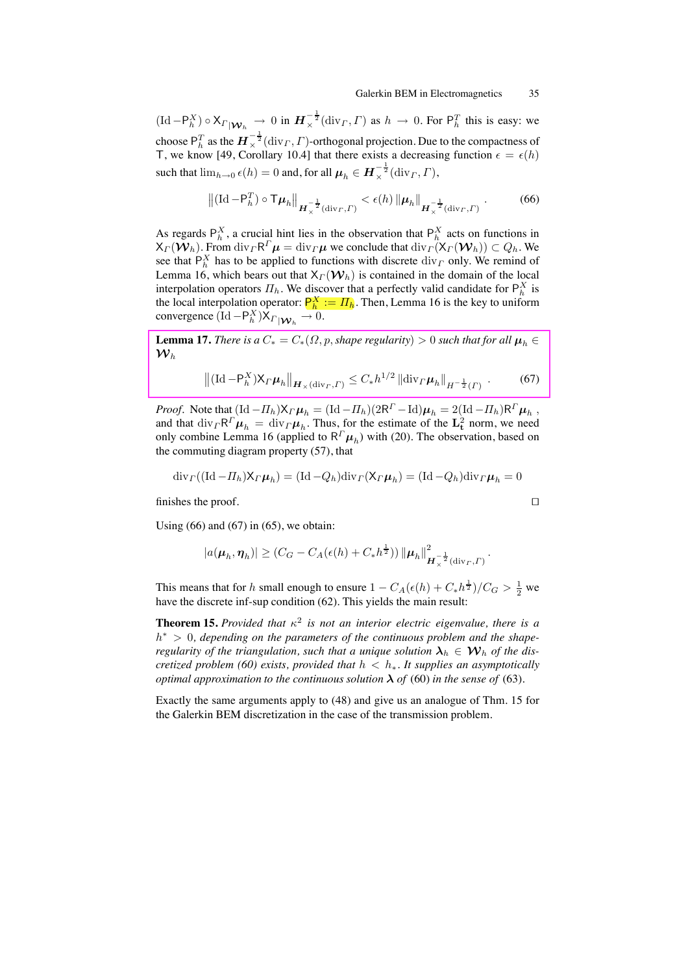$(\mathrm{Id}-P_h^X) \circ X_{\Gamma|\mathcal{W}_h} \to 0$  in  $\mathbf{H}_{\times}^{-\frac{1}{2}}(\mathrm{div}_\Gamma, \Gamma)$  as  $h \to 0$ . For  $P_h^T$  this is easy: we choose  ${\sf P}^T_h$  as the  $\bm H_\times^{-\frac{1}{2}}(\mathrm{div}_\varGamma,\varGamma)$ -orthogonal projection. Due to the compactness of T, we know [49, Corollary 10.4] that there exists a decreasing function  $\epsilon = \epsilon(h)$ such that  $\lim_{h\to 0} \epsilon(h) = 0$  and, for all  $\mu_h \in H^{-\frac{1}{2}}_{\times}(\text{div}_\Gamma, \Gamma)$ ,

$$
\left\| (\mathrm{Id}-\mathsf{P}_h^T) \circ \mathsf{T} \boldsymbol{\mu}_h \right\|_{\boldsymbol{H}_{\times}^{-\frac{1}{2}}(\mathrm{div}_\varGamma, \varGamma)} < \epsilon(h) \left\| \boldsymbol{\mu}_h \right\|_{\boldsymbol{H}_{\times}^{-\frac{1}{2}}(\mathrm{div}_\varGamma, \varGamma)} . \tag{66}
$$

As regards  $P_h^X$ , a crucial hint lies in the observation that  $P_h^X$  acts on functions in  $X_{\Gamma}(\mathbf{W}_h)$ . From div $_{\Gamma}R^{\Gamma}\mu = \text{div}_{\Gamma}\mu$  we conclude that  $\text{div}_{\Gamma}(X_{\Gamma}(\mathbf{W}_h)) \subset Q_h$ . We see that  $P_h^X$  has to be applied to functions with discrete  $\text{div}_\Gamma$  only. We remind of Lemma 16, which bears out that  $X_{\Gamma}(\mathcal{W}_h)$  is contained in the domain of the local interpolation operators  $\Pi_h$ . We discover that a perfectly valid candidate for  $P_h^X$  is the local interpolation operator:  $P_h^X := \Pi_h$ . Then, Lemma 16 is the key to uniform convergence  $(\mathrm{Id}-\mathsf{P}_h^X)\mathsf{X}_{\Gamma|\mathcal{W}_h} \to 0.$ 

**Lemma 17.** *There is a*  $C_* = C_*(\Omega, p, shape regularity) > 0$  *such that for all*  $\mu_h \in$  ${\cal W}_h$ 

$$
\left\| (\text{Id} - \mathsf{P}_{h}^{X}) \mathsf{X}_{\Gamma} \boldsymbol{\mu}_{h} \right\|_{\boldsymbol{H}_{\times}(\text{div}_{\Gamma}, \Gamma)} \leq C_{*} h^{1/2} \left\| \text{div}_{\Gamma} \boldsymbol{\mu}_{h} \right\|_{H^{-\frac{1}{2}}(\Gamma)} . \tag{67}
$$

*Proof.* Note that  $(\text{Id} - \Pi_h)X_{\Gamma}\mu_h = (\text{Id} - \Pi_h)(2R^{\Gamma} - \text{Id})\mu_h = 2(\text{Id} - \Pi_h)R^{\Gamma}\mu_h$ , and that  $\text{div}_\Gamma \mathsf{R}^\Gamma \mu_h = \text{div}_\Gamma \mu_h$ . Thus, for the estimate of the  $\mathbf{L}^2_{\mathbf{t}}$  norm, we need only combine Lemma 16 (applied to  $R^T \mu_h$ ) with (20). The observation, based on the commuting diagram property (57), that

$$
\mathrm{div}_{\Gamma}((\mathrm{Id}-\Pi_h)\mathsf{X}_{\Gamma}\boldsymbol{\mu}_h)=(\mathrm{Id}-Q_h)\mathrm{div}_{\Gamma}(\mathsf{X}_{\Gamma}\boldsymbol{\mu}_h)=(\mathrm{Id}-Q_h)\mathrm{div}_{\Gamma}\boldsymbol{\mu}_h=0
$$

finishes the proof. □

Using  $(66)$  and  $(67)$  in  $(65)$ , we obtain:

$$
|a(\boldsymbol{\mu}_h, \boldsymbol{\eta}_h)| \geq (C_G - C_A(\epsilon(h) + C_* h^{\frac{1}{2}})) \|\boldsymbol{\mu}_h\|_{\boldsymbol{H}^{-\frac{1}{2}}_{\times}(\text{div}_\varGamma, \varGamma)}^2.
$$

This means that for h small enough to ensure  $1 - C_A(\epsilon(h) + C_*h^{\frac{1}{2}})/C_G > \frac{1}{2}$  we have the discrete inf-sup condition (62). This yields the main result:

**Theorem 15.** *Provided that*  $\kappa^2$  *is not an interior electric eigenvalue, there is a* h<sup>∗</sup> > 0*, depending on the parameters of the continuous problem and the shaperegularity of the triangulation, such that a unique solution*  $\lambda_h \in W_h$  *of the discretized problem (60) exists, provided that*  $h < h_∗$ *. It supplies an asymptotically optimal approximation to the continuous solution*  $\lambda$  *of* (60) *in the sense of* (63).

Exactly the same arguments apply to (48) and give us an analogue of Thm. 15 for the Galerkin BEM discretization in the case of the transmission problem.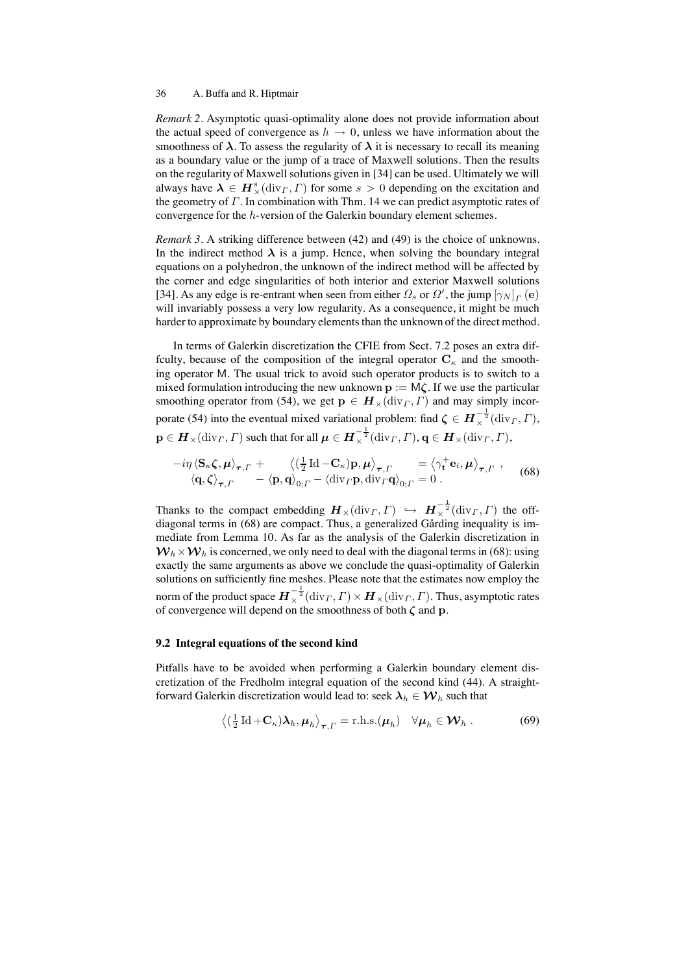*Remark 2.* Asymptotic quasi-optimality alone does not provide information about the actual speed of convergence as  $h \to 0$ , unless we have information about the smoothness of  $\lambda$ . To assess the regularity of  $\lambda$  it is necessary to recall its meaning as a boundary value or the jump of a trace of Maxwell solutions. Then the results on the regularity of Maxwell solutions given in [34] can be used. Ultimately we will always have  $\lambda \in H^s_{\times}(\text{div}_\Gamma, \Gamma)$  for some  $s > 0$  depending on the excitation and the geometry of  $\Gamma$ . In combination with Thm. 14 we can predict asymptotic rates of convergence for the h-version of the Galerkin boundary element schemes.

*Remark 3.* A striking difference between (42) and (49) is the choice of unknowns. In the indirect method  $\lambda$  is a jump. Hence, when solving the boundary integral equations on a polyhedron, the unknown of the indirect method will be affected by the corner and edge singularities of both interior and exterior Maxwell solutions [34]. As any edge is re-entrant when seen from either  $\Omega_s$  or  $\Omega'$ , the jump  $[\gamma_N]_P$  (e) will invariably possess a very low regularity. As a consequence, it might be much harder to approximate by boundary elements than the unknown of the direct method.

In terms of Galerkin discretization the CFIE from Sect. 7.2 poses an extra diffculty, because of the composition of the integral operator  $C_{\kappa}$  and the smoothing operator M. The usual trick to avoid such operator products is to switch to a mixed formulation introducing the new unknown  $p := M\zeta$ . If we use the particular smoothing operator from (54), we get  $p \in H_{\times}(\text{div}_{\Gamma}, \Gamma)$  and may simply incorporate (54) into the eventual mixed variational problem: find  $\zeta \in H^{-\frac{1}{2}}_{\times}(\text{div}_{\Gamma}, \Gamma)$ ,  $\mathbf{p}\in \boldsymbol{H}_{\times}(\mathrm{div}_\varGamma,\varGamma)$  such that for all  $\boldsymbol{\mu}\in \boldsymbol{H}^{-\frac{1}{2}}_{\times}(\mathrm{div}_\varGamma,\varGamma), \mathbf{q}\in \boldsymbol{H}_{\times}(\mathrm{div}_\varGamma,\varGamma),$ 

$$
-i\eta \langle \mathbf{S}_{\kappa}\boldsymbol{\zeta}, \boldsymbol{\mu} \rangle_{\boldsymbol{\tau},\Gamma} + \langle (\frac{1}{2}\operatorname{Id} - \mathbf{C}_{\kappa})\mathbf{p}, \boldsymbol{\mu} \rangle_{\boldsymbol{\tau},\Gamma} = \langle \gamma_{\mathbf{t}}^+ \mathbf{e}_i, \boldsymbol{\mu} \rangle_{\boldsymbol{\tau},\Gamma},
$$
  
\n
$$
\langle \mathbf{q}, \boldsymbol{\zeta} \rangle_{\boldsymbol{\tau},\Gamma} - \langle \mathbf{p}, \mathbf{q} \rangle_{0;\Gamma} - \langle \operatorname{div}_{\Gamma} \mathbf{p}, \operatorname{div}_{\Gamma} \mathbf{q} \rangle_{0;\Gamma} = 0.
$$
 (68)

Thanks to the compact embedding  $H_\times(\text{div}_\Gamma, \Gamma) \hookrightarrow H_\times^{-\frac{1}{2}}(\text{div}_\Gamma, \Gamma)$  the offdiagonal terms in (68) are compact. Thus, a generalized Gårding inequality is immediate from Lemma 10. As far as the analysis of the Galerkin discretization in  $W_h \times W_h$  is concerned, we only need to deal with the diagonal terms in (68): using exactly the same arguments as above we conclude the quasi-optimality of Galerkin solutions on sufficiently fine meshes. Please note that the estimates now employ the norm of the product space  $\bm{H}_{\times}^{-\frac{1}{2}}(\mathrm{div}_\varGamma,\varGamma)\times\bm{H}_{\times}(\mathrm{div}_\varGamma,\varGamma).$  Thus, asymptotic rates of convergence will depend on the smoothness of both  $\zeta$  and  $p$ .

#### **9.2 Integral equations of the second kind**

Pitfalls have to be avoided when performing a Galerkin boundary element discretization of the Fredholm integral equation of the second kind (44). A straightforward Galerkin discretization would lead to: seek  $\lambda_h \in \mathcal{W}_h$  such that

$$
\langle (\frac{1}{2} \operatorname{Id} + \mathbf{C}_{\kappa}) \boldsymbol{\lambda}_h, \boldsymbol{\mu}_h \rangle_{\boldsymbol{\tau}, \Gamma} = \text{r.h.s.}(\boldsymbol{\mu}_h) \quad \forall \boldsymbol{\mu}_h \in \mathcal{W}_h .
$$
 (69)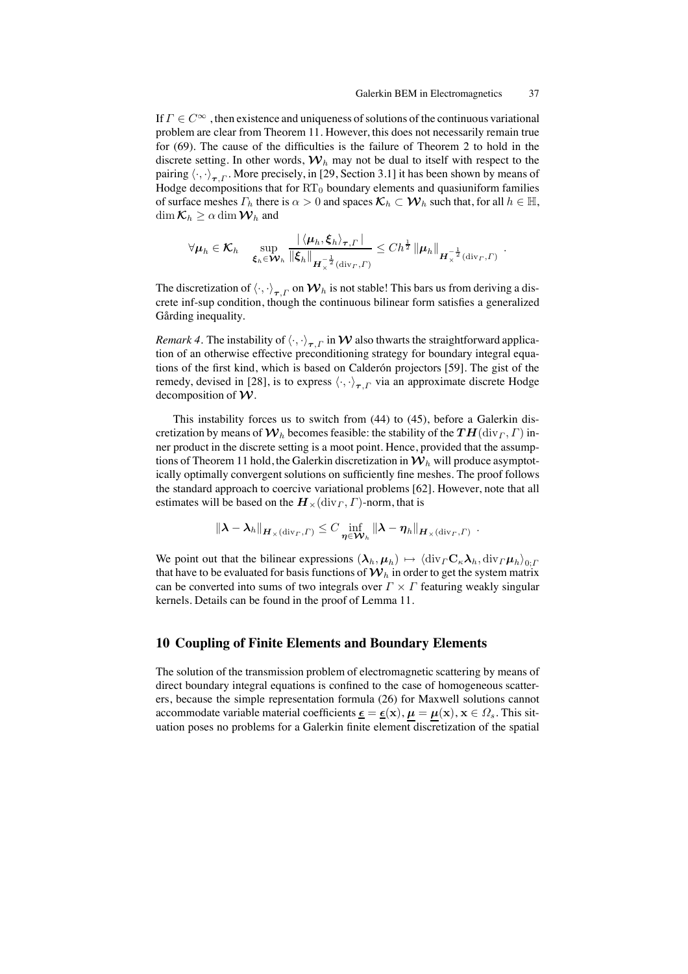If  $\Gamma \in C^{\infty}$ , then existence and uniqueness of solutions of the continuous variational problem are clear from Theorem 11. However, this does not necessarily remain true for (69). The cause of the difficulties is the failure of Theorem 2 to hold in the discrete setting. In other words,  $W<sub>h</sub>$  may not be dual to itself with respect to the pairing  $\langle \cdot, \cdot \rangle_{\tau}$ . More precisely, in [29, Section 3.1] it has been shown by means of Hodge decompositions that for  $RT_0$  boundary elements and quasiuniform families of surface meshes  $\Gamma_h$  there is  $\alpha > 0$  and spaces  $\mathcal{K}_h \subset \mathcal{W}_h$  such that, for all  $h \in \mathbb{H}$ ,  $\dim \mathcal{K}_h \geq \alpha \dim \mathcal{W}_h$  and

$$
\forall \mu_h \in \mathcal{K}_h \quad \sup_{\boldsymbol{\xi}_h \in \mathcal{W}_h} \frac{|\langle \mu_h, \boldsymbol{\xi}_h \rangle_{\boldsymbol{\tau}, \Gamma}|}{\|\boldsymbol{\xi}_h\|_{\boldsymbol{H}^{-\frac{1}{2}}_{\times}(\text{div}_\Gamma, \Gamma)}} \leq C h^{\frac{1}{2}} \|\mu_h\|_{\boldsymbol{H}^{-\frac{1}{2}}_{\times}(\text{div}_\Gamma, \Gamma)}.
$$

The discretization of  $\langle \cdot, \cdot \rangle_{\tau,\Gamma}$  on  $\mathcal{W}_h$  is not stable! This bars us from deriving a discrete inf-sup condition, though the continuous bilinear form satisfies a generalized Gårding inequality.

*Remark 4.* The instability of  $\langle \cdot, \cdot \rangle_{\tau, \Gamma}$  in W also thwarts the straightforward application of an otherwise effective preconditioning strategy for boundary integral equations of the first kind, which is based on Calderón projectors [59]. The gist of the remedy, devised in [28], is to express  $\langle \cdot, \cdot \rangle_{\tau}$  via an approximate discrete Hodge decomposition of  $W$ .

This instability forces us to switch from (44) to (45), before a Galerkin discretization by means of  $\mathcal{W}_h$  becomes feasible: the stability of the  $TH(\text{div}_\Gamma, \Gamma)$  inner product in the discrete setting is a moot point. Hence, provided that the assumptions of Theorem 11 hold, the Galerkin discretization in  $\mathcal{W}_h$  will produce asymptotically optimally convergent solutions on sufficiently fine meshes. The proof follows the standard approach to coercive variational problems [62]. However, note that all estimates will be based on the  $H_*(\text{div}_\Gamma, \Gamma)$ -norm, that is

$$
\|\boldsymbol{\lambda}-\boldsymbol{\lambda}_h\|_{\boldsymbol{H}_\times(\mathrm{div}_\varGamma,\varGamma)}\leq C\inf_{\boldsymbol{\eta}\in\boldsymbol{\mathcal{W}}_h}\|\boldsymbol{\lambda}-\boldsymbol{\eta}_h\|_{\boldsymbol{H}_\times(\mathrm{div}_\varGamma,\varGamma)}.
$$

We point out that the bilinear expressions  $(\lambda_h, \mu_h) \mapsto \langle \text{div}_{\Gamma} C_{\kappa} \lambda_h, \text{div}_{\Gamma} \mu_h \rangle_{0; \Gamma}$ that have to be evaluated for basis functions of  $\mathcal{W}_h$  in order to get the system matrix can be converted into sums of two integrals over  $\Gamma \times \Gamma$  featuring weakly singular kernels. Details can be found in the proof of Lemma 11.

# **10 Coupling of Finite Elements and Boundary Elements**

The solution of the transmission problem of electromagnetic scattering by means of direct boundary integral equations is confined to the case of homogeneous scatterers, because the simple representation formula (26) for Maxwell solutions cannot accommodate variable material coefficients  $\underline{\epsilon} = \underline{\epsilon}(x), \mu = \mu(x), x \in \Omega_s$ . This situation poses no problems for a Galerkin finite element discretization of the spatial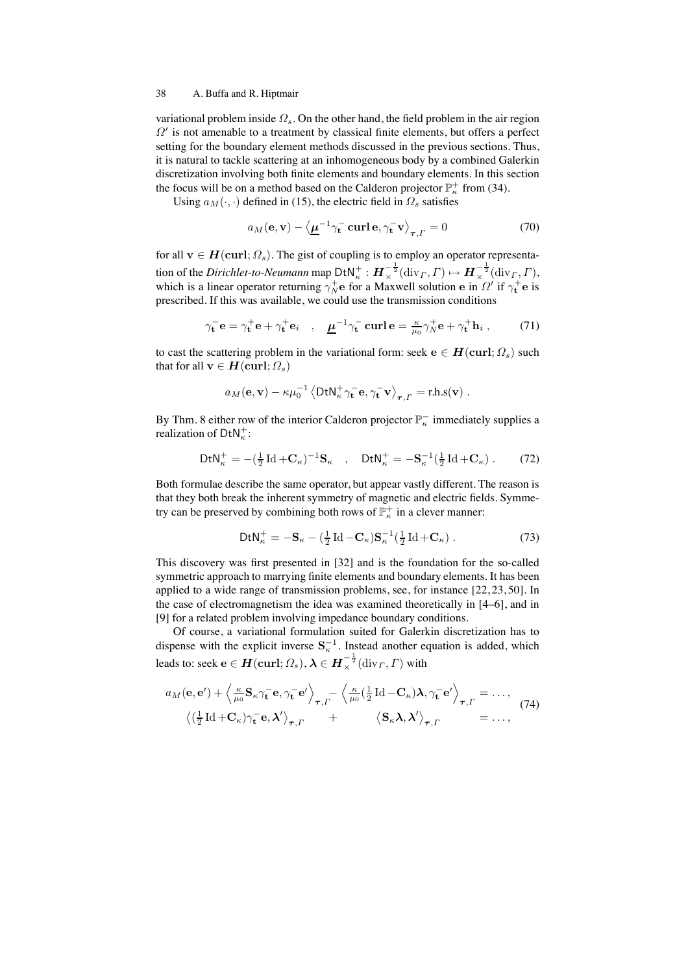variational problem inside  $\Omega_s$ . On the other hand, the field problem in the air region  $\Omega'$  is not amenable to a treatment by classical finite elements, but offers a perfect setting for the boundary element methods discussed in the previous sections. Thus, it is natural to tackle scattering at an inhomogeneous body by a combined Galerkin discretization involving both finite elements and boundary elements. In this section the focus will be on a method based on the Calderon projector  $\mathbb{P}^+_{\kappa}$  from (34).

Using  $a_M(\cdot, \cdot)$  defined in (15), the electric field in  $\Omega_s$  satisfies

$$
a_M(\mathbf{e}, \mathbf{v}) - \langle \underline{\mu}^{-1} \gamma_\mathbf{t}^- \operatorname{curl} \mathbf{e}, \gamma_\mathbf{t}^- \mathbf{v} \rangle_{\tau, \Gamma} = 0 \tag{70}
$$

for all  $\mathbf{v} \in H(\text{curl}; \Omega_s)$ . The gist of coupling is to employ an operator representation of the *Dirichlet-to-Neumann* map  $DtN_{\kappa}^+ : H_{\times}^{-\frac{1}{2}}(\text{div}_\Gamma, \Gamma) \mapsto H_{\times}^{-\frac{1}{2}}(\text{div}_\Gamma, \Gamma),$ which is a linear operator returning  $\gamma_N^+$ e for a Maxwell solution e in  $\Omega'$  if  $\gamma_t^+$ e is prescribed. If this was available, we could use the transmission conditions

$$
\gamma_t^- \mathbf{e} = \gamma_t^+ \mathbf{e} + \gamma_t^+ \mathbf{e}_i \quad , \quad \underline{\mu}^{-1} \gamma_t^- \operatorname{curl} \mathbf{e} = \frac{\kappa}{\mu_0} \gamma_N^+ \mathbf{e} + \gamma_t^+ \mathbf{h}_i \; , \tag{71}
$$

to cast the scattering problem in the variational form: seek  $e \in H(\text{curl}; \Omega_s)$  such that for all  $\mathbf{v} \in H(\text{curl}; \Omega_s)$ 

$$
a_M(\mathbf{e}, \mathbf{v}) - \kappa \mu_0^{-1} \langle \mathrm{DtN}_{\kappa}^+ \gamma_{\mathbf{t}}^- \mathbf{e}, \gamma_{\mathbf{t}}^- \mathbf{v} \rangle_{\boldsymbol{\tau}, \Gamma} = \text{r.h.s}(\mathbf{v})
$$
.

By Thm. 8 either row of the interior Calderon projector  $\mathbb{P}^-$  immediately supplies a realization of  $DtN_{\kappa}^+$ :

$$
\mathsf{DtN}_{\kappa}^{+} = -\left(\frac{1}{2}\operatorname{Id} + \mathbf{C}_{\kappa}\right)^{-1}\mathbf{S}_{\kappa} \quad , \quad \mathsf{DtN}_{\kappa}^{+} = -\mathbf{S}_{\kappa}^{-1}\left(\frac{1}{2}\operatorname{Id} + \mathbf{C}_{\kappa}\right). \tag{72}
$$

Both formulae describe the same operator, but appear vastly different. The reason is that they both break the inherent symmetry of magnetic and electric fields. Symmetry can be preserved by combining both rows of  $\mathbb{P}^+_{\kappa}$  in a clever manner:

$$
\mathrm{DtN}_{\kappa}^{+} = -\mathbf{S}_{\kappa} - \left(\frac{1}{2}\operatorname{Id} - \mathbf{C}_{\kappa}\right)\mathbf{S}_{\kappa}^{-1}\left(\frac{1}{2}\operatorname{Id} + \mathbf{C}_{\kappa}\right). \tag{73}
$$

This discovery was first presented in [32] and is the foundation for the so-called symmetric approach to marrying finite elements and boundary elements. It has been applied to a wide range of transmission problems, see, for instance [22, 23, 50]. In the case of electromagnetism the idea was examined theoretically in [4–6], and in [9] for a related problem involving impedance boundary conditions.

Of course, a variational formulation suited for Galerkin discretization has to dispense with the explicit inverse  $S<sub>\kappa</sub>$ <sup>-1</sup>. Instead another equation is added, which leads to: seek  $\mathbf{e} \in \bm{H}(\mathbf{curl};\Omega_s), \bm{\lambda} \in \bm{H}^{-\frac{1}{2}}_{\times}(\mathrm{div}_\Gamma,\Gamma)$  with

$$
a_M(\mathbf{e}, \mathbf{e}') + \left\langle \frac{\kappa}{\mu_0} \mathbf{S}_{\kappa} \gamma_\mathbf{t}^- \mathbf{e}, \gamma_\mathbf{t}^- \mathbf{e}' \right\rangle_{\boldsymbol{\tau}, \Gamma} - \left\langle \frac{\kappa}{\mu_0} (\frac{1}{2} \operatorname{Id} - \mathbf{C}_{\kappa}) \boldsymbol{\lambda}, \gamma_\mathbf{t}^- \mathbf{e}' \right\rangle_{\boldsymbol{\tau}, \Gamma} = \dots, \tag{74}
$$

$$
\left\langle (\frac{1}{2} \operatorname{Id} + \mathbf{C}_{\kappa}) \gamma_\mathbf{t}^- \mathbf{e}, \boldsymbol{\lambda}' \right\rangle_{\boldsymbol{\tau}, \Gamma} + \left\langle \mathbf{S}_{\kappa} \boldsymbol{\lambda}, \boldsymbol{\lambda}' \right\rangle_{\boldsymbol{\tau}, \Gamma} = \dots,
$$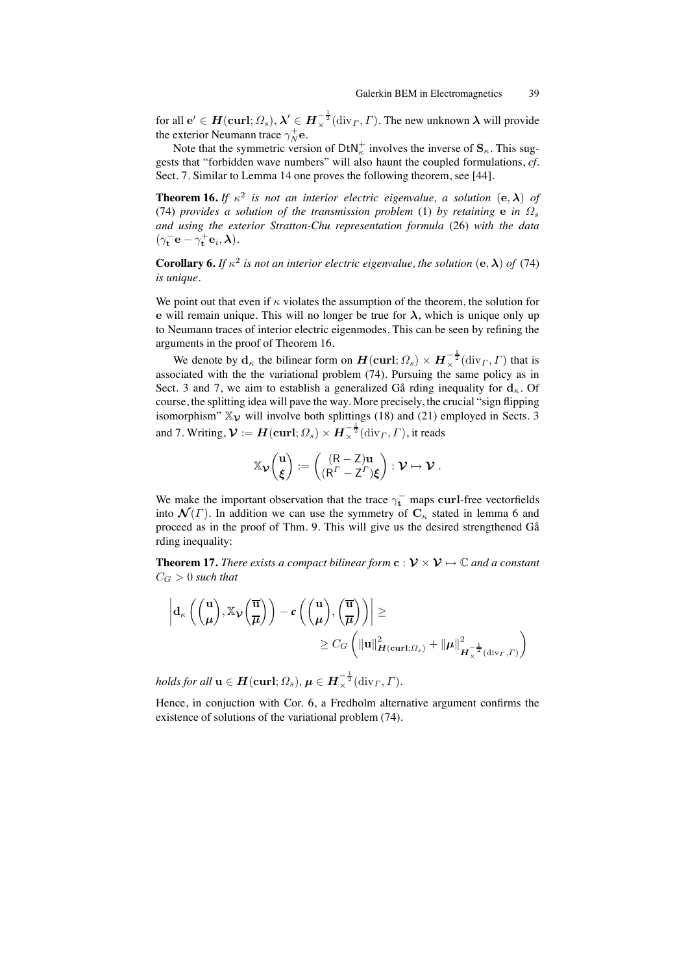for all  $\mathbf{e}' \in \bm{H}(\mathbf{curl};\Omega_s), \bm{\lambda}' \in \bm{H}_\times^{-\frac{1}{2}}(\mathrm{div}_\Gamma,\Gamma).$  The new unknown  $\bm{\lambda}$  will provide the exterior Neumann trace  $\gamma_N^+$ e.

Note that the symmetric version of  $DtN_{\kappa}^+$  involves the inverse of  $S_{\kappa}$ . This suggests that "forbidden wave numbers" will also haunt the coupled formulations, *cf.* Sect. 7. Similar to Lemma 14 one proves the following theorem, see [44].

**Theorem 16.** *If*  $\kappa^2$  *is not an interior electric eigenvalue, a solution* (e,  $\lambda$ ) *of* (74) *provides a solution of the transmission problem* (1) *by retaining e in*  $\Omega_s$ *and using the exterior Stratton-Chu representation formula* (26) *with the data*  $(\gamma_{\mathbf{t}}^{-}\mathbf{e} - \gamma_{\mathbf{t}}^{+}\mathbf{e}_i, \boldsymbol{\lambda}).$ 

**Corollary 6.** *If*  $\kappa^2$  *is not an interior electric eigenvalue, the solution* (e,  $\lambda$ ) *of* (74) *is unique.*

We point out that even if  $\kappa$  violates the assumption of the theorem, the solution for e will remain unique. This will no longer be true for  $\lambda$ , which is unique only up to Neumann traces of interior electric eigenmodes. This can be seen by refining the arguments in the proof of Theorem 16.

We denote by  $\mathbf{d}_{\kappa}$  the bilinear form on  $\boldsymbol{H}(\textbf{curl}; \Omega_s) \times \boldsymbol{H}_{\times}^{-\frac{1}{2}}(\text{div}_{\Gamma}, \Gamma)$  that is associated with the the variational problem (74). Pursuing the same policy as in Sect. 3 and 7, we aim to establish a generalized Gå rding inequality for  $d_{\kappa}$ . Of course, the splitting idea will pave the way. More precisely, the crucial "sign flipping isomorphism"  $\mathbb{X}_{\mathcal{V}}$  will involve both splittings (18) and (21) employed in Sects. 3 and 7. Writing,  $\mathcal{V}:=\bm H(\mathbf{curl};\Omega_s)\times \bm H_\times^{-\frac{1}{2}}(\mathrm{div}_\varGamma,\varGamma),$  it reads

$$
\mathbb{X}_{\boldsymbol{\mathcal{V}}}\binom{\mathbf{u}}{\boldsymbol{\xi}}:=\binom{(R-Z)\mathbf{u}}{(R^{\varGamma}-Z^{\varGamma})\boldsymbol{\xi}}:\boldsymbol{\mathcal{V}}\mapsto\boldsymbol{\mathcal{V}}\;.
$$

We make the important observation that the trace  $\gamma_t^-$  maps curl-free vectorfields into  $\mathcal{N}(\Gamma)$ . In addition we can use the symmetry of  $C_{\kappa}$  stated in lemma 6 and proceed as in the proof of Thm. 9. This will give us the desired strengthened Gå rding inequality:

**Theorem 17.** *There exists a compact bilinear form*  $\mathbf{c}: \mathcal{V} \times \mathcal{V} \mapsto \mathbb{C}$  *and a constant*  $C_G > 0$  such that

$$
\left| d_{\kappa}\left(\binom{\mathbf{u}}{\mu}, \mathbb{X}_{\mathcal{V}}\left(\frac{\overline{\mathbf{u}}}{\mu}\right)\right) - c\left(\binom{\mathbf{u}}{\mu}, \binom{\overline{\mathbf{u}}}{\mu}\right) \right| \geq \newline \geq C_G \left( \|\mathbf{u}\|_{H(\mathrm{curl};\Omega_s)}^2 + \|\mu\|_{H_{\chi}^{-\frac{1}{2}}(\mathrm{div}_\Gamma, \Gamma)}^2 \right)
$$

*holds for all*  $\mathbf{u} \in \mathbf{H}(\mathbf{curl};\Omega_s), \mathbf{\mu} \in \mathbf{H}^{-\frac{1}{2}}_{\times}(\mathrm{div}_\Gamma, \Gamma).$ 

Hence, in conjuction with Cor. 6, a Fredholm alternative argument confirms the existence of solutions of the variational problem (74).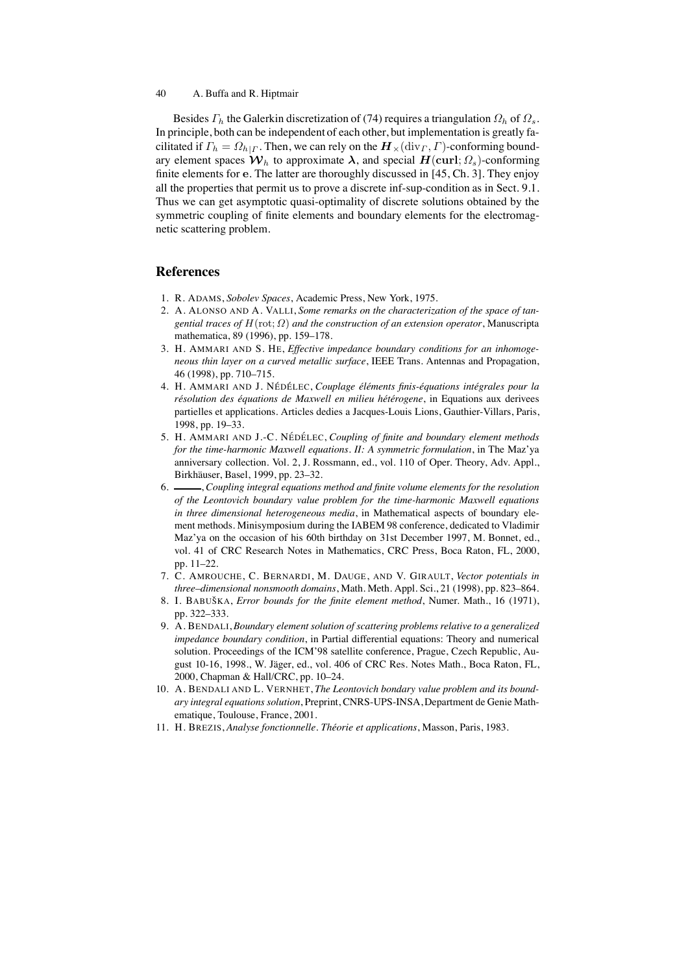Besides  $\Gamma_h$  the Galerkin discretization of (74) requires a triangulation  $\Omega_h$  of  $\Omega_s$ . In principle, both can be independent of each other, but implementation is greatly facilitated if  $\Gamma_h = \Omega_{h|\Gamma}$ . Then, we can rely on the  $\mathbf{H}_{\times}(\text{div}_\Gamma, \Gamma)$ -conforming boundary element spaces  $W_h$  to approximate  $\lambda$ , and special  $H(\text{curl}; \Omega_s)$ -conforming finite elements for e. The latter are thoroughly discussed in [45, Ch. 3]. They enjoy all the properties that permit us to prove a discrete inf-sup-condition as in Sect. 9.1. Thus we can get asymptotic quasi-optimality of discrete solutions obtained by the symmetric coupling of finite elements and boundary elements for the electromagnetic scattering problem.

# **References**

- 1. R. ADAMS, *Sobolev Spaces*, Academic Press, New York, 1975.
- 2. A. ALONSO AND A. VALLI, *Some remarks on the characterization of the space of tangential traces of* H(rot; Ω) *and the construction of an extension operator*, Manuscripta mathematica, 89 (1996), pp. 159–178.
- 3. H. AMMARI AND S. HE, *Effective impedance boundary conditions for an inhomogeneous thin layer on a curved metallic surface*, IEEE Trans. Antennas and Propagation, 46 (1998), pp. 710–715.
- 4. H. AMMARI AND J. NÉDÉLEC, Couplage éléments finis-équations intégrales pour la résolution des équations de Maxwell en milieu hétérogene, in Equations aux derivees partielles et applications. Articles dedies a Jacques-Louis Lions, Gauthier-Villars, Paris, 1998, pp. 19–33.
- 5. H. AMMARI AND J.-C. NÉDÉLEC, *Coupling of finite and boundary element methods for the time-harmonic Maxwell equations. II: A symmetric formulation*, in The Maz'ya anniversary collection. Vol. 2, J. Rossmann, ed., vol. 110 of Oper. Theory, Adv. Appl., Birkhäuser, Basel, 1999, pp. 23-32.
- 6. , *Coupling integral equations method and finite volume elements for the resolution of the Leontovich boundary value problem for the time-harmonic Maxwell equations in three dimensional heterogeneous media*, in Mathematical aspects of boundary element methods. Minisymposium during the IABEM 98 conference, dedicated to Vladimir Maz'ya on the occasion of his 60th birthday on 31st December 1997, M. Bonnet, ed., vol. 41 of CRC Research Notes in Mathematics, CRC Press, Boca Raton, FL, 2000, pp. 11–22.
- 7. C. AMROUCHE, C. BERNARDI, M. DAUGE, AND V. GIRAULT, *Vector potentials in three–dimensional nonsmooth domains*, Math. Meth. Appl. Sci., 21 (1998), pp. 823–864.
- 8. I. BABUŠKA, *Error bounds for the finite element method*, Numer. Math., 16 (1971), pp. 322–333.
- 9. A. BENDALI, *Boundary element solution of scattering problems relative to a generalized impedance boundary condition*, in Partial differential equations: Theory and numerical solution. Proceedings of the ICM'98 satellite conference, Prague, Czech Republic, August 10-16, 1998., W. Jäger, ed., vol. 406 of CRC Res. Notes Math., Boca Raton, FL, 2000, Chapman & Hall/CRC, pp. 10–24.
- 10. A. BENDALI AND L. VERNHET, *The Leontovich bondary value problem and its boundary integral equations solution*, Preprint, CNRS-UPS-INSA, Department de Genie Mathematique, Toulouse, France, 2001.
- 11. H. BREZIS, *Analyse fonctionnelle. Th´eorie et applications*, Masson, Paris, 1983.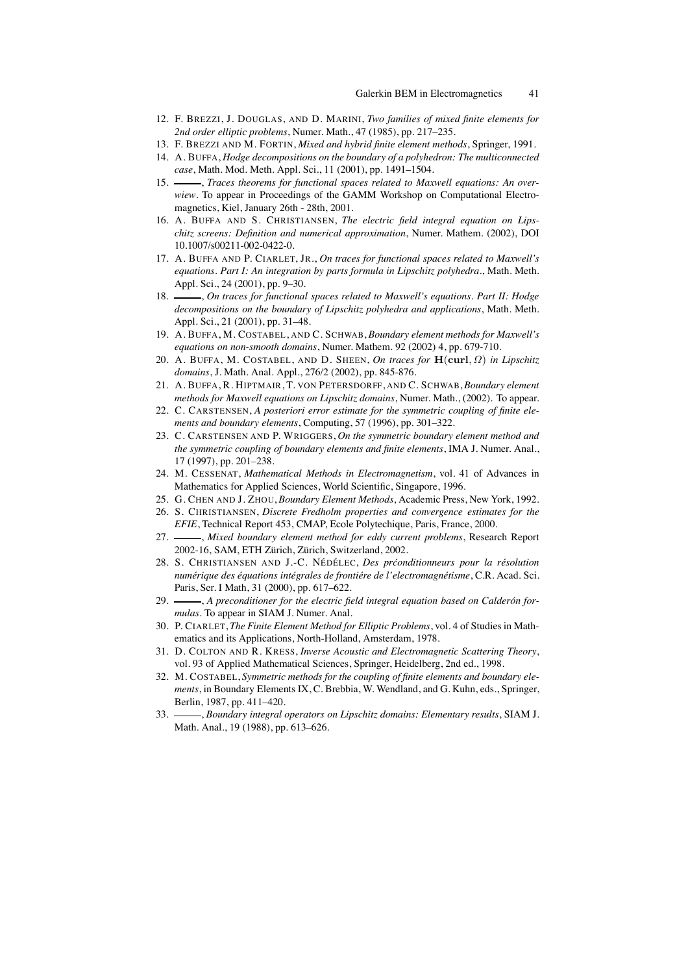- 12. F. BREZZI, J. DOUGLAS, AND D. MARINI, *Two families of mixed finite elements for 2nd order elliptic problems*, Numer. Math., 47 (1985), pp. 217–235.
- 13. F. BREZZI AND M. FORTIN, *Mixed and hybrid finite element methods*, Springer, 1991.
- 14. A. BUFFA, *Hodge decompositions on the boundary of a polyhedron: The multiconnected case*, Math. Mod. Meth. Appl. Sci., 11 (2001), pp. 1491–1504.
- 15. Traces theorems for functional spaces related to Maxwell equations: An over*wiew*. To appear in Proceedings of the GAMM Workshop on Computational Electromagnetics, Kiel, January 26th - 28th, 2001.
- 16. A. BUFFA AND S. CHRISTIANSEN, *The electric field integral equation on Lipschitz screens: Definition and numerical approximation*, Numer. Mathem. (2002), DOI 10.1007/s00211-002-0422-0.
- 17. A. BUFFA AND P. CIARLET, JR., *On traces for functional spaces related to Maxwell's equations. Part I: An integration by parts formula in Lipschitz polyhedra.*, Math. Meth. Appl. Sci., 24 (2001), pp. 9–30.
- 18.  $\_\_\_\_$ , On traces for functional spaces related to Maxwell's equations. Part II: Hodge *decompositions on the boundary of Lipschitz polyhedra and applications*, Math. Meth. Appl. Sci., 21 (2001), pp. 31–48.
- 19. A. BUFFA, M. COSTABEL, AND C. SCHWAB, *Boundary element methods for Maxwell's equations on non-smooth domains*, Numer. Mathem. 92 (2002) 4, pp. 679-710.
- 20. A. BUFFA, M. COSTABEL, AND D. SHEEN, *On traces for* H(curl, Ω) *in Lipschitz domains*, J. Math. Anal. Appl., 276/2 (2002), pp. 845-876.
- 21. A. BUFFA, R. HIPTMAIR, T. VON PETERSDORFF, AND C. SCHWAB, *Boundary element methods for Maxwell equations on Lipschitz domains*, Numer. Math., (2002). To appear.
- 22. C. CARSTENSEN, *A posteriori error estimate for the symmetric coupling of finite elements and boundary elements*, Computing, 57 (1996), pp. 301–322.
- 23. C. CARSTENSEN AND P. WRIGGERS, *On the symmetric boundary element method and the symmetric coupling of boundary elements and finite elements*, IMA J. Numer. Anal., 17 (1997), pp. 201–238.
- 24. M. CESSENAT, *Mathematical Methods in Electromagnetism*, vol. 41 of Advances in Mathematics for Applied Sciences, World Scientific, Singapore, 1996.
- 25. G. CHEN AND J. ZHOU, *Boundary Element Methods*, Academic Press, New York, 1992.
- 26. S. CHRISTIANSEN, *Discrete Fredholm properties and convergence estimates for the EFIE*, Technical Report 453, CMAP, Ecole Polytechique, Paris, France, 2000.
- 27. *Mixed boundary element method for eddy current problems*, Research Report 2002-16, SAM, ETH Zürich, Zürich, Switzerland, 2002.
- 28. S. CHRISTIANSEN AND J.-C. NÉDÉLEC, *Des préonditionneurs pour la résolution numérique des équations intégrales de frontiére de l'electromagnétisme*, C.R. Acad. Sci. Paris, Ser. I Math, 31 (2000), pp. 617–622.
- 29. —, A preconditioner for the electric field integral equation based on Calderón for*mulas*. To appear in SIAM J. Numer. Anal.
- 30. P. CIARLET, *The Finite Element Method for Elliptic Problems*, vol. 4 of Studies in Mathematics and its Applications, North-Holland, Amsterdam, 1978.
- 31. D. COLTON AND R. KRESS, *Inverse Acoustic and Electromagnetic Scattering Theory*, vol. 93 of Applied Mathematical Sciences, Springer, Heidelberg, 2nd ed., 1998.
- 32. M. COSTABEL, *Symmetric methods for the coupling of finite elements and boundary elements*, in Boundary Elements IX, C. Brebbia, W. Wendland, and G. Kuhn, eds., Springer, Berlin, 1987, pp. 411–420.
- 33. , *Boundary integral operators on Lipschitz domains: Elementary results*, SIAM J. Math. Anal., 19 (1988), pp. 613–626.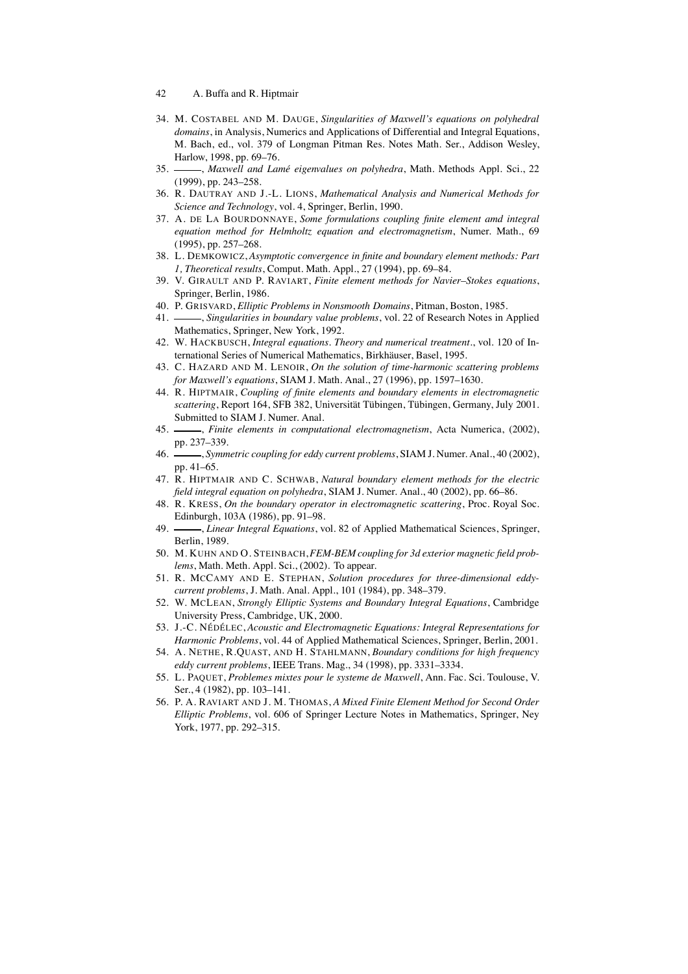- 42 A. Buffa and R. Hiptmair
- 34. M. COSTABEL AND M. DAUGE, *Singularities of Maxwell's equations on polyhedral domains*, in Analysis, Numerics and Applications of Differential and Integral Equations, M. Bach, ed., vol. 379 of Longman Pitman Res. Notes Math. Ser., Addison Wesley, Harlow, 1998, pp. 69–76.<br>35. *\_\_\_\_\_*, *Maxwell and Lar*
- $\rightarrow$ , *Maxwell and Lamé eigenvalues on polyhedra*, Math. Methods Appl. Sci., 22 (1999), pp. 243–258.
- 36. R. DAUTRAY AND J.-L. LIONS, *Mathematical Analysis and Numerical Methods for Science and Technology*, vol. 4, Springer, Berlin, 1990.
- 37. A. DE LA BOURDONNAYE, *Some formulations coupling finite element amd integral equation method for Helmholtz equation and electromagnetism*, Numer. Math., 69 (1995), pp. 257–268.
- 38. L. DEMKOWICZ, *Asymptotic convergence in finite and boundary element methods: Part 1, Theoretical results*, Comput. Math. Appl., 27 (1994), pp. 69–84.
- 39. V. GIRAULT AND P. RAVIART, *Finite element methods for Navier–Stokes equations*, Springer, Berlin, 1986.
- 40. P. GRISVARD, *Elliptic Problems in Nonsmooth Domains*, Pitman, Boston, 1985.
- 41. , *Singularities in boundary value problems*, vol. 22 of Research Notes in Applied Mathematics, Springer, New York, 1992.
- 42. W. HACKBUSCH, *Integral equations. Theory and numerical treatment.*, vol. 120 of International Series of Numerical Mathematics, Birkhäuser, Basel, 1995.
- 43. C. HAZARD AND M. LENOIR, *On the solution of time-harmonic scattering problems for Maxwell's equations*, SIAM J. Math. Anal., 27 (1996), pp. 1597–1630.
- 44. R. HIPTMAIR, *Coupling of finite elements and boundary elements in electromagnetic scattering*, Report 164, SFB 382, Universität Tübingen, Tübingen, Germany, July 2001. Submitted to SIAM J. Numer. Anal.
- 45. , *Finite elements in computational electromagnetism*, Acta Numerica, (2002), pp. 237–339.
- 46. , *Symmetric coupling for eddy current problems*, SIAM J. Numer. Anal., 40 (2002), pp. 41–65.
- 47. R. HIPTMAIR AND C. SCHWAB, *Natural boundary element methods for the electric field integral equation on polyhedra*, SIAM J. Numer. Anal., 40 (2002), pp. 66–86.
- 48. R. KRESS, *On the boundary operator in electromagnetic scattering*, Proc. Royal Soc. Edinburgh, 103A (1986), pp. 91–98.
- 49.  $\frac{1}{2}$ , *Linear Integral Equations*, vol. 82 of Applied Mathematical Sciences, Springer, Berlin, 1989.
- 50. M. KUHN AND O. STEINBACH,*FEM-BEM coupling for 3d exterior magnetic field problems*, Math. Meth. Appl. Sci., (2002). To appear.
- 51. R. MCCAMY AND E. STEPHAN, *Solution procedures for three-dimensional eddycurrent problems*, J. Math. Anal. Appl., 101 (1984), pp. 348–379.
- 52. W. MCLEAN, *Strongly Elliptic Systems and Boundary Integral Equations*, Cambridge University Press, Cambridge, UK, 2000.
- 53. J.-C. NÉDÉLEC, Acoustic and Electromagnetic Equations: Integral Representations for *Harmonic Problems*, vol. 44 of Applied Mathematical Sciences, Springer, Berlin, 2001.
- 54. A. NETHE, R.QUAST, AND H. STAHLMANN, *Boundary conditions for high frequency eddy current problems*, IEEE Trans. Mag., 34 (1998), pp. 3331–3334.
- 55. L. PAQUET, *Problemes mixtes pour le systeme de Maxwell*, Ann. Fac. Sci. Toulouse, V. Ser., 4 (1982), pp. 103–141.
- 56. P. A. RAVIART AND J. M. THOMAS, *A Mixed Finite Element Method for Second Order Elliptic Problems*, vol. 606 of Springer Lecture Notes in Mathematics, Springer, Ney York, 1977, pp. 292–315.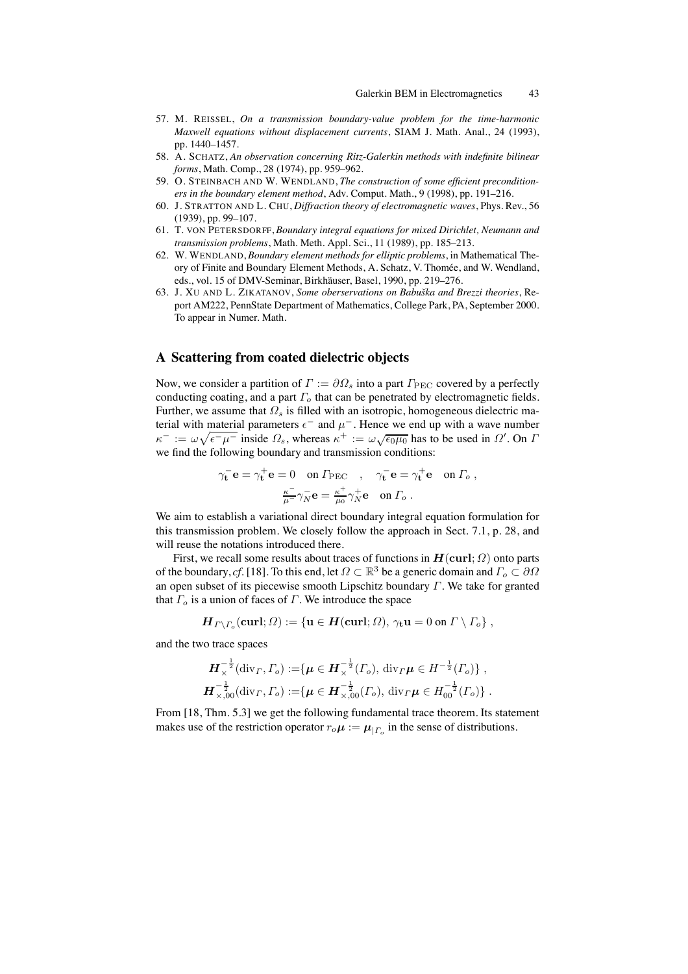- 57. M. REISSEL, *On a transmission boundary-value problem for the time-harmonic Maxwell equations without displacement currents*, SIAM J. Math. Anal., 24 (1993), pp. 1440–1457.
- 58. A. SCHATZ, *An observation concerning Ritz-Galerkin methods with indefinite bilinear forms*, Math. Comp., 28 (1974), pp. 959–962.
- 59. O. STEINBACH AND W. WENDLAND, *The construction of some efficient preconditioners in the boundary element method*, Adv. Comput. Math., 9 (1998), pp. 191–216.
- 60. J. STRATTON AND L. CHU, *Diffraction theory of electromagnetic waves*, Phys. Rev., 56 (1939), pp. 99–107.
- 61. T. VON PETERSDORFF, *Boundary integral equations for mixed Dirichlet, Neumann and transmission problems*, Math. Meth. Appl. Sci., 11 (1989), pp. 185–213.
- 62. W. WENDLAND, *Boundary element methods for elliptic problems*, in Mathematical Theory of Finite and Boundary Element Methods, A. Schatz, V. Thomée, and W. Wendland, eds., vol. 15 of DMV-Seminar, Birkhäuser, Basel, 1990, pp. 219–276.
- 63. J. XU AND L. ZIKATANOV, *Some oberservations on Babuˇska and Brezzi theories*, Report AM222, PennState Department of Mathematics, College Park, PA, September 2000. To appear in Numer. Math.

# **A Scattering from coated dielectric objects**

Now, we consider a partition of  $\Gamma := \partial \Omega_s$  into a part  $\Gamma_{\text{PEC}}$  covered by a perfectly conducting coating, and a part  $\Gamma_o$  that can be penetrated by electromagnetic fields. Further, we assume that  $\Omega_s$  is filled with an isotropic, homogeneous dielectric material with material parameters  $\epsilon^-$  and  $\mu^-$ . Hence we end up with a wave number  $\kappa^- := \omega \sqrt{\epsilon^- \mu^-}$  inside  $\Omega_s$ , whereas  $\kappa^+ := \omega \sqrt{\epsilon_0 \mu_0}$  has to be used in  $\Omega'$ . On  $\Gamma$ we find the following boundary and transmission conditions:

$$
\gamma_{\mathbf{t}}^-\mathbf{e} = \gamma_{\mathbf{t}}^+\mathbf{e} = 0 \quad \text{on } \Gamma_{\text{PEC}} \quad , \quad \gamma_{\mathbf{t}}^-\mathbf{e} = \gamma_{\mathbf{t}}^+\mathbf{e} \quad \text{on } \Gamma_o ,
$$

$$
\frac{\kappa^-}{\mu^-} \gamma_N^-\mathbf{e} = \frac{\kappa^+}{\mu_0} \gamma_N^+\mathbf{e} \quad \text{on } \Gamma_o .
$$

We aim to establish a variational direct boundary integral equation formulation for this transmission problem. We closely follow the approach in Sect. 7.1, p. 28, and will reuse the notations introduced there.

First, we recall some results about traces of functions in  $H(\text{curl}; \Omega)$  onto parts of the boundary, *cf*. [18]. To this end, let  $\Omega \subset \mathbb{R}^3$  be a generic domain and  $\Gamma_o \subset \partial \Omega$ an open subset of its piecewise smooth Lipschitz boundary  $\Gamma$ . We take for granted that  $\Gamma_o$  is a union of faces of  $\Gamma$ . We introduce the space

$$
\boldsymbol{H}_{\boldsymbol{\varGamma}\setminus\boldsymbol{\varGamma}_o}(\mathbf{curl};\Omega):=\{\mathbf{u}\in\boldsymbol{H}(\mathbf{curl};\Omega),\,\gamma_\mathbf{t}\mathbf{u}=0\text{ on }\boldsymbol{\varGamma}\setminus\boldsymbol{\varGamma}_o\}\;,
$$

and the two trace spaces

$$
\boldsymbol{H}_{\times}^{-\frac{1}{2}}(\mathrm{div}_{\Gamma}, \Gamma_o) := \{ \boldsymbol{\mu} \in \boldsymbol{H}_{\times}^{-\frac{1}{2}}(\Gamma_o), \, \mathrm{div}_{\Gamma} \boldsymbol{\mu} \in H^{-\frac{1}{2}}(\Gamma_o) \},
$$
\n
$$
\boldsymbol{H}_{\times,00}^{-\frac{1}{2}}(\mathrm{div}_{\Gamma}, \Gamma_o) := \{ \boldsymbol{\mu} \in \boldsymbol{H}_{\times,00}^{-\frac{1}{2}}(\Gamma_o), \, \mathrm{div}_{\Gamma} \boldsymbol{\mu} \in H_{00}^{-\frac{1}{2}}(\Gamma_o) \}.
$$

From [18, Thm. 5.3] we get the following fundamental trace theorem. Its statement makes use of the restriction operator  $r_o\mu := \mu_{|\Gamma_o}$  in the sense of distributions.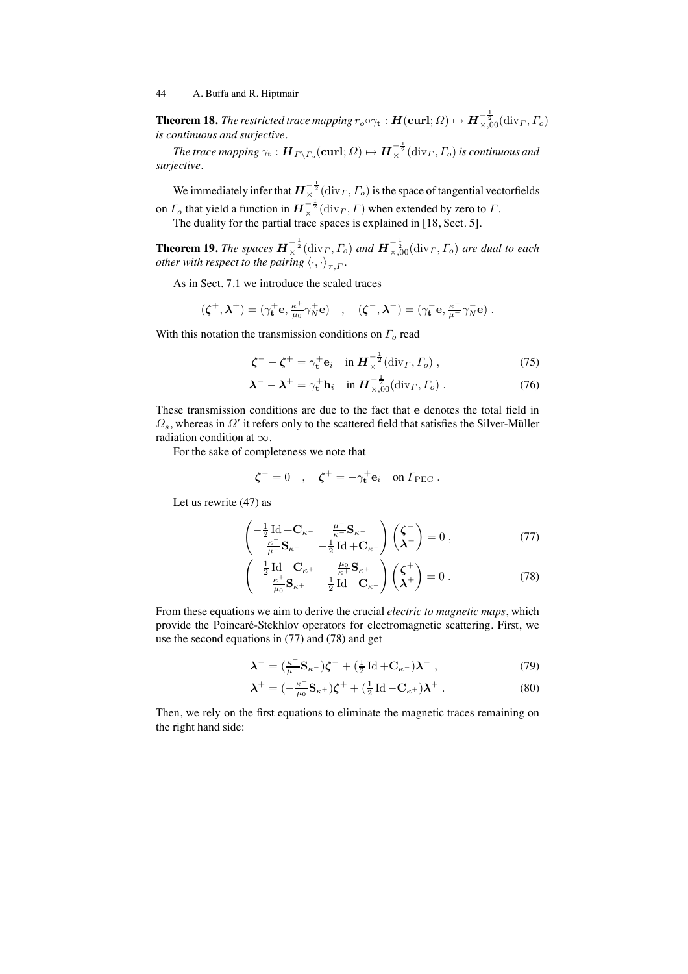**Theorem 18.** *The restricted trace mapping*  $r_o \circ \gamma_{\bf t} : \bm{H}(\mathbf{curl};\Omega) \mapsto \bm{H}_{\times,00}^{-\frac{1}{2}}(\mathrm{div}_\varGamma,\varGamma_o)$ *is continuous and surjective.*

The trace mapping  $\gamma_{\bf t} : \bm H_{\varGamma\setminus\varGamma_o}(\mathbf{curl};\varOmega) \mapsto \bm H_\times^{-\frac{1}{2}}(\mathrm{div}_\varGamma,\varGamma_o)$  is continuous and *surjective.*

We immediately infer that  $\bm{H}_{\times}^{-\frac{1}{2}}(\mathrm{div}_\varGamma,\varGamma_o)$  is the space of tangential vectorfields on  $\varGamma_o$  that yield a function in  $\bm{H}_{\times}^{-\frac{1}{2}}(\mathrm{div}_\varGamma,\varGamma)$  when extended by zero to  $\varGamma.$ The duality for the partial trace spaces is explained in [18, Sect. 5].

**Theorem 19.** *The spaces*  $\bm{H}_{\times}^{-\frac{1}{2}}(\text{div}_\Gamma, \Gamma_o)$  and  $\bm{H}_{\times,00}^{-\frac{1}{2}}(\text{div}_\Gamma, \Gamma_o)$  are dual to each *other with respect to the pairing*  $\langle \cdot, \cdot \rangle_{\bm{\tau},\Gamma}.$ 

As in Sect. 7.1 we introduce the scaled traces

$$
(\zeta^+, \lambda^+) = (\gamma_{\mathbf{t}}^+ \mathbf{e}, \tfrac{\kappa^+}{\mu_0} \gamma_N^+ \mathbf{e}) \quad , \quad (\zeta^-, \lambda^-) = (\gamma_{\mathbf{t}}^- \mathbf{e}, \tfrac{\kappa^-}{\mu^-} \gamma_N^- \mathbf{e}) \ .
$$

With this notation the transmission conditions on  $\Gamma_o$  read

$$
\zeta^- - \zeta^+ = \gamma_t^+ \mathbf{e}_i \quad \text{in } \mathbf{H}_\times^{-\frac{1}{2}}(\text{div}_\Gamma, \Gamma_o) , \tag{75}
$$

$$
\boldsymbol{\lambda}^- - \boldsymbol{\lambda}^+ = \gamma_t^+ \mathbf{h}_i \quad \text{in } \mathbf{H}_{\times,00}^{-\frac{1}{2}}(\text{div}_\Gamma, \Gamma_o) \,. \tag{76}
$$

These transmission conditions are due to the fact that e denotes the total field in  $\Omega_s$ , whereas in  $\Omega'$  it refers only to the scattered field that satisfies the Silver-Müller radiation condition at  $\infty$ .

For the sake of completeness we note that

$$
\boldsymbol{\zeta}^- = 0 \quad , \quad \boldsymbol{\zeta}^+ = -\gamma_\mathbf{t}^+ \mathbf{e}_i \quad \text{on } \Gamma_{\text{PEC}} \ .
$$

Let us rewrite (47) as

$$
\begin{pmatrix}\n-\frac{1}{2}\operatorname{Id} + \mathbf{C}_{\kappa^-} & \frac{\mu^-}{\kappa^-} \mathbf{S}_{\kappa^-} \\
\frac{\kappa^-}{\mu^-} \mathbf{S}_{\kappa^-} & -\frac{1}{2}\operatorname{Id} + \mathbf{C}_{\kappa^-}\n\end{pmatrix}\n\begin{pmatrix}\n\zeta^- \\
\lambda^-\n\end{pmatrix} = 0 ,
$$
\n(77)

$$
\begin{pmatrix} -\frac{1}{2} \operatorname{Id} - \mathbf{C}_{\kappa^+} & -\frac{\mu_0}{\kappa^+} \mathbf{S}_{\kappa^+} \\ -\frac{\kappa^+}{\mu_0} \mathbf{S}_{\kappa^+} & -\frac{1}{2} \operatorname{Id} - \mathbf{C}_{\kappa^+} \end{pmatrix} \begin{pmatrix} \zeta^+ \\ \lambda^+ \end{pmatrix} = 0 \tag{78}
$$

From these equations we aim to derive the crucial *electric to magnetic maps*, which provide the Poincaré-Stekhlov operators for electromagnetic scattering. First, we use the second equations in (77) and (78) and get

$$
\boldsymbol{\lambda}^- = (\frac{\kappa^-}{\mu^-} \mathbf{S}_{\kappa^-}) \boldsymbol{\zeta}^- + (\frac{1}{2} \operatorname{Id} + \mathbf{C}_{\kappa^-}) \boldsymbol{\lambda}^- \,, \tag{79}
$$

$$
\boldsymbol{\lambda}^+ = \left(-\frac{\kappa^+}{\mu_0} \mathbf{S}_{\kappa^+}\right) \boldsymbol{\zeta}^+ + \left(\frac{1}{2} \operatorname{Id} - \mathbf{C}_{\kappa^+}\right) \boldsymbol{\lambda}^+ \,. \tag{80}
$$

Then, we rely on the first equations to eliminate the magnetic traces remaining on the right hand side: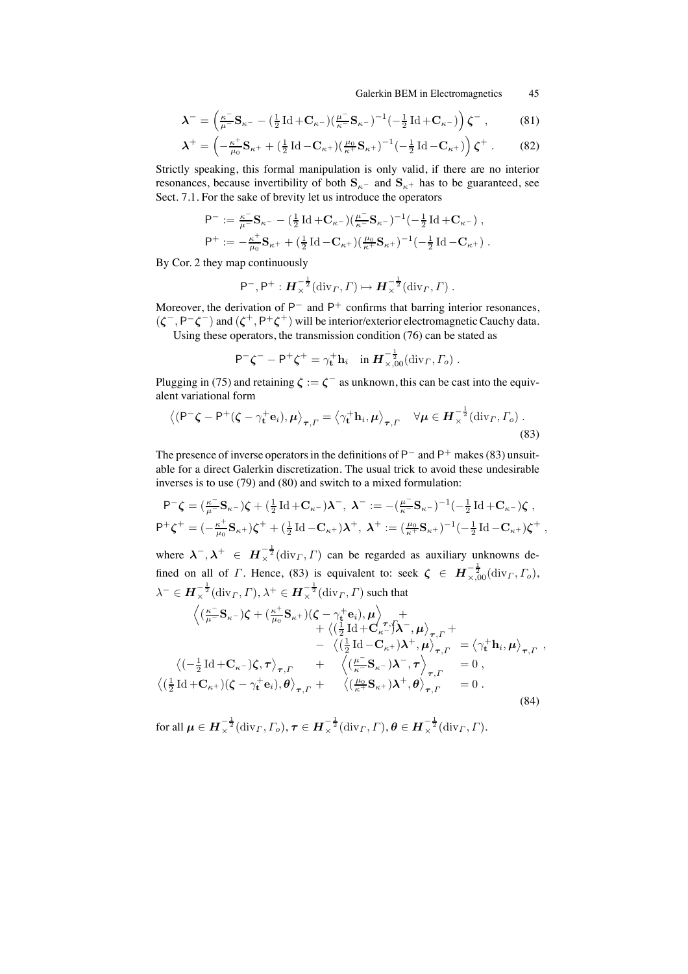Galerkin BEM in Electromagnetics 45

$$
\lambda^{-} = \left(\frac{\kappa^{-}}{\mu^{-}}\mathbf{S}_{\kappa^{-}} - \left(\frac{1}{2}\operatorname{Id} + \mathbf{C}_{\kappa^{-}}\right)\left(\frac{\mu^{-}}{\kappa^{-}}\mathbf{S}_{\kappa^{-}}\right)^{-1}\left(-\frac{1}{2}\operatorname{Id} + \mathbf{C}_{\kappa^{-}}\right)\right)\zeta^{-},\tag{81}
$$

$$
\boldsymbol{\lambda}^+ = \left(-\frac{\kappa^+}{\mu_0} \mathbf{S}_{\kappa^+} + \left(\frac{1}{2} \operatorname{Id} - \mathbf{C}_{\kappa^+}\right) \left(\frac{\mu_0}{\kappa^+} \mathbf{S}_{\kappa^+}\right)^{-1} \left(-\frac{1}{2} \operatorname{Id} - \mathbf{C}_{\kappa^+}\right)\right) \boldsymbol{\zeta}^+ \ . \tag{82}
$$

Strictly speaking, this formal manipulation is only valid, if there are no interior resonances, because invertibility of both  $S_{\kappa^-}$  and  $S_{\kappa^+}$  has to be guaranteed, see Sect. 7.1. For the sake of brevity let us introduce the operators

$$
\begin{aligned} \mathsf{P}^-&:=\tfrac{\kappa^-}{\mu^-} \mathbf{S}_{\kappa^-} - \big(\tfrac12 \operatorname{Id} + \mathbf{C}_{\kappa^-}\big) \big(\tfrac{\mu^-}{\kappa^-} \mathbf{S}_{\kappa^-}\big)^{-1} \big(-\tfrac12 \operatorname{Id} + \mathbf{C}_{\kappa^-}\big)\,, \\ \mathsf{P}^+&:= -\tfrac{\kappa^+}{\mu_0} \mathbf{S}_{\kappa^+} + \big(\tfrac12 \operatorname{Id} - \mathbf{C}_{\kappa^+}\big) \big(\tfrac{\mu_0}{\kappa^+} \mathbf{S}_{\kappa^+}\big)^{-1} \big(-\tfrac12 \operatorname{Id} - \mathbf{C}_{\kappa^+}\big)\,. \end{aligned}
$$

By Cor. 2 they map continuously

$$
P^-, P^+: \boldsymbol{H}_{\times}^{-\frac{1}{2}}(\text{div}_{\Gamma}, \Gamma) \mapsto \boldsymbol{H}_{\times}^{-\frac{1}{2}}(\text{div}_{\Gamma}, \Gamma) .
$$

Moreover, the derivation of  $P^-$  and  $P^+$  confirms that barring interior resonances,  $(\zeta^-, P^-\zeta^-)$  and  $(\zeta^+, P^+\zeta^+)$  will be interior/exterior electromagnetic Cauchy data. Using these operators, the transmission condition (76) can be stated as

$$
\mathsf{P}^{-}\zeta^{-}-\mathsf{P}^{+}\zeta^{+}=\gamma_{\mathbf{t}}^{+}\mathbf{h}_{i}\quad\text{in}\ \mathbf{H}_{\times,00}^{-\frac{1}{2}}(\text{div}_{\Gamma},\Gamma_{o})\ .
$$

Plugging in (75) and retaining  $\zeta := \zeta^-$  as unknown, this can be cast into the equivalent variational form

$$
\left\langle (\mathsf{P}^{-}\boldsymbol{\zeta} - \mathsf{P}^{+}(\boldsymbol{\zeta} - \gamma_{\mathbf{t}}^{+}\mathbf{e}_{i}), \boldsymbol{\mu} \right\rangle_{\boldsymbol{\tau},\boldsymbol{\varGamma}} = \left\langle \gamma_{\mathbf{t}}^{+}\mathbf{h}_{i}, \boldsymbol{\mu} \right\rangle_{\boldsymbol{\tau},\boldsymbol{\varGamma}} \quad \forall \boldsymbol{\mu} \in \boldsymbol{H}_{\times}^{-\frac{1}{2}}(\text{div}_{\boldsymbol{\varGamma}}, \boldsymbol{\varGamma}_{o}) .
$$
\n(83)

The presence of inverse operators in the definitions of  $P^-$  and  $P^+$  makes (83) unsuitable for a direct Galerkin discretization. The usual trick to avoid these undesirable inverses is to use (79) and (80) and switch to a mixed formulation:

$$
\begin{split} \mathsf{P}^{-}\boldsymbol{\zeta} &= \left(\tfrac{\kappa^{-}}{\mu^{-}}\mathbf{S}_{\kappa^{-}}\right)\boldsymbol{\zeta} + \left(\tfrac{1}{2}\operatorname{Id} + \mathbf{C}_{\kappa^{-}}\right)\boldsymbol{\lambda}^{-}, \ \boldsymbol{\lambda}^{-} := -\left(\tfrac{\mu^{-}}{\kappa^{-}}\mathbf{S}_{\kappa^{-}}\right)^{-1}\left(-\tfrac{1}{2}\operatorname{Id} + \mathbf{C}_{\kappa^{-}}\right)\boldsymbol{\zeta} \ ,\\ \mathsf{P}^{+}\boldsymbol{\zeta}^{+} &= \left(-\tfrac{\kappa^{+}}{\mu_{0}}\mathbf{S}_{\kappa^{+}}\right)\boldsymbol{\zeta}^{+} + \left(\tfrac{1}{2}\operatorname{Id} - \mathbf{C}_{\kappa^{+}}\right)\boldsymbol{\lambda}^{+}, \ \boldsymbol{\lambda}^{+} := \left(\tfrac{\mu_{0}}{\kappa^{+}}\mathbf{S}_{\kappa^{+}}\right)^{-1}\left(-\tfrac{1}{2}\operatorname{Id} - \mathbf{C}_{\kappa^{+}}\right)\boldsymbol{\zeta}^{+} \ , \end{split}
$$

where  $\lambda^{-}, \lambda^{+} \in H_{\times}^{-\frac{1}{2}}(\text{div}_{\Gamma}, \Gamma)$  can be regarded as auxiliary unknowns defined on all of  $\Gamma$ . Hence, (83) is equivalent to: seek  $\zeta \in H^{-\frac{1}{2}}_{\times,00}(\text{div}_\Gamma, \Gamma_o)$ ,  $\lambda^- \in H^{-\frac{1}{2}}_{\times}(\mathrm{div}_\varGamma,\varGamma), \lambda^+ \in H^{-\frac{1}{2}}_{\times}(\mathrm{div}_\varGamma,\varGamma)$  such that

$$
\begin{split}\n&\left\langle \left( \frac{\kappa^-}{\mu^-} \mathbf{S}_{\kappa^-} \right) \zeta + \left( \frac{\kappa^+}{\mu_0} \mathbf{S}_{\kappa^+} \right) \left( \zeta - \gamma_t^+ \mathbf{e}_i \right), \mu \right\rangle_{\tau} + \\
&\quad + \left\langle \left( \frac{1}{2} \operatorname{Id} + \mathbf{C}_{\kappa^-} \right) \mathbf{\hat{\lambda}}^-, \mu \right\rangle_{\tau, \Gamma} + \\
&\quad - \left\langle \left( \frac{1}{2} \operatorname{Id} - \mathbf{C}_{\kappa^+} \right) \mathbf{\lambda}^+, \mu \right\rangle_{\tau, \Gamma} = \left\langle \gamma_t^+ \mathbf{h}_i, \mu \right\rangle_{\tau, \Gamma}, \\
&\left\langle \left( -\frac{1}{2} \operatorname{Id} + \mathbf{C}_{\kappa^-} \right) \zeta, \tau \right\rangle_{\tau, \Gamma} + \left\langle \left( \frac{\mu^-}{\kappa^-} \mathbf{S}_{\kappa^-} \right) \mathbf{\lambda}^-, \tau \right\rangle_{\tau, \Gamma} = 0, \\
&\left\langle \left( \frac{1}{2} \operatorname{Id} + \mathbf{C}_{\kappa^+} \right) \left( \zeta - \gamma_t^+ \mathbf{e}_i \right), \theta \right\rangle_{\tau, \Gamma} + \left\langle \left( \frac{\mu_0}{\kappa^+} \mathbf{S}_{\kappa^+} \right) \mathbf{\lambda}^+, \theta \right\rangle_{\tau, \Gamma} = 0. \\
&\quad (84)\n\end{split}
$$

for all  $\boldsymbol{\mu} \in \boldsymbol{H}^{-\frac{1}{2}}_{\times}(\mathrm{div}_\varGamma, \varGamma_o), \boldsymbol{\tau} \in \boldsymbol{H}^{-\frac{1}{2}}_{\times}(\mathrm{div}_\varGamma, \varGamma), \boldsymbol{\theta} \in \boldsymbol{H}^{-\frac{1}{2}}_{\times}(\mathrm{div}_\varGamma, \varGamma).$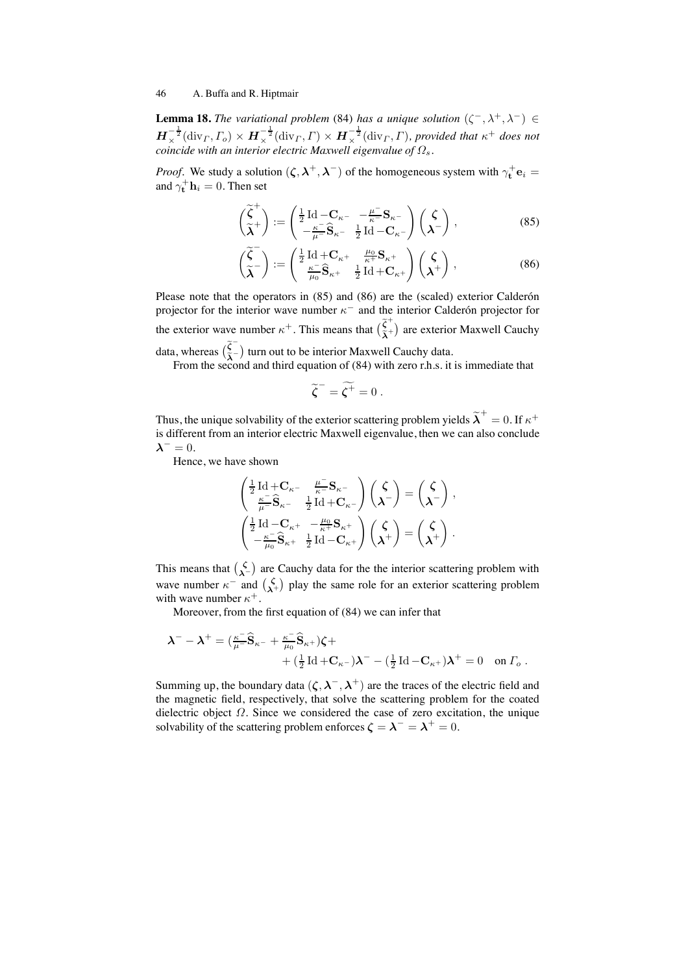**Lemma 18.** *The variational problem* (84) *has a unique solution*  $(\zeta^-, \lambda^+, \lambda^-) \in$  $H_{\times}^{-\frac{1}{2}}(\text{div}_\Gamma, \Gamma_o) \times H_{\times}^{-\frac{1}{2}}(\text{div}_\Gamma, \Gamma) \times H_{\times}^{-\frac{1}{2}}(\text{div}_\Gamma, \Gamma)$ , provided that  $\kappa^+$  does not *coincide with an interior electric Maxwell eigenvalue of* Ωs*.*

*Proof.* We study a solution  $(\zeta, \lambda^+, \lambda^-)$  of the homogeneous system with  $\gamma_t^+ e_i =$ and  $\gamma_{\mathbf{t}}^{+} \mathbf{h}_{i} = 0$ . Then set

$$
\begin{pmatrix} \widetilde{\zeta}^+ \\ \widetilde{\lambda}^+ \end{pmatrix} := \begin{pmatrix} \frac{1}{2} \operatorname{Id} - \mathbf{C}_{\kappa^-} & -\frac{\mu^-}{\kappa^-} \mathbf{S}_{\kappa^-} \\ -\frac{\kappa^-}{\mu^-} \widehat{\mathbf{S}}_{\kappa^-} & \frac{1}{2} \operatorname{Id} - \mathbf{C}_{\kappa^-} \end{pmatrix} \begin{pmatrix} \zeta \\ \lambda^- \end{pmatrix},
$$
(85)

$$
\begin{pmatrix}\n\widetilde{\zeta}^-\n\\
\widetilde{\lambda}^-\n\end{pmatrix} := \begin{pmatrix}\n\frac{1}{2}\operatorname{Id} + \mathbf{C}_{\kappa^+} & \frac{\mu_0}{\kappa^+} \mathbf{S}_{\kappa^+} \\
\frac{\kappa^-}{\mu_0} \widehat{\mathbf{S}}_{\kappa^+} & \frac{1}{2}\operatorname{Id} + \mathbf{C}_{\kappa^+}\n\end{pmatrix} \begin{pmatrix}\n\zeta \\
\lambda^+\n\end{pmatrix},
$$
\n(86)

Please note that the operators in  $(85)$  and  $(86)$  are the (scaled) exterior Calderón projector for the interior wave number  $\kappa^-$  and the interior Calder on projector for the exterior wave number  $\kappa^+$ . This means that  $(\tilde{\xi}_\lambda^+)$  are exterior Maxwell Cauchy data, whereas  $(\tilde{\tilde{\lambda}}^{-})$  turn out to be interior Maxwell Cauchy data.

From the second and third equation of (84) with zero r.h.s. it is immediate that

$$
\widetilde{\zeta}^- = \widetilde{\zeta^+} = 0 \ .
$$

Thus, the unique solvability of the exterior scattering problem yields  $\widetilde{\bm{\lambda}}^+=0.$  If  $\kappa^+$ is different from an interior electric Maxwell eigenvalue, then we can also conclude  $\lambda^- = 0.$ 

Hence, we have shown

$$
\begin{pmatrix}\frac{1}{2} \operatorname{Id} + \mathbf{C}_{\kappa^-} & \frac{\mu^-}{\kappa^-} \mathbf{S}_{\kappa^-} \\ \frac{\kappa^-}{\mu^-} \widehat{\mathbf{S}}_{\kappa^-} & \frac{1}{2} \operatorname{Id} + \mathbf{C}_{\kappa^-} \end{pmatrix} \begin{pmatrix} \zeta \\ \lambda^- \end{pmatrix} = \begin{pmatrix} \zeta \\ \lambda^- \end{pmatrix} \,,
$$
\n
$$
\begin{pmatrix}\frac{1}{2} \operatorname{Id} - \mathbf{C}_{\kappa^+} & -\frac{\mu_0}{\kappa^+} \mathbf{S}_{\kappa^+} \\ -\frac{\kappa^-}{\mu_0} \widehat{\mathbf{S}}_{\kappa^+} & \frac{1}{2} \operatorname{Id} - \mathbf{C}_{\kappa^+} \end{pmatrix} \begin{pmatrix} \zeta \\ \lambda^+ \end{pmatrix} = \begin{pmatrix} \zeta \\ \lambda^+ \end{pmatrix} \,.
$$

This means that  $\binom{\zeta}{\lambda}$  are Cauchy data for the the interior scattering problem with wave number  $\kappa^-$  and  $\binom{\zeta}{\lambda^+}$  play the same role for an exterior scattering problem with wave number  $\kappa^+$ .

Moreover, from the first equation of (84) we can infer that

$$
\lambda^{-} - \lambda^{+} = \left(\frac{\kappa^{-}}{\mu^{-}}\widehat{S}_{\kappa^{-}} + \frac{\kappa^{-}}{\mu_{0}}\widehat{S}_{\kappa^{+}}\right)\zeta + \right.
$$
  
+ 
$$
\left(\frac{1}{2}\operatorname{Id} + C_{\kappa^{-}}\right)\lambda^{-} - \left(\frac{1}{2}\operatorname{Id} - C_{\kappa^{+}}\right)\lambda^{+} = 0 \quad \text{on } \Gamma_{o}.
$$

Summing up, the boundary data  $(\zeta, \lambda^-, \lambda^+)$  are the traces of the electric field and the magnetic field, respectively, that solve the scattering problem for the coated dielectric object  $\Omega$ . Since we considered the case of zero excitation, the unique solvability of the scattering problem enforces  $\zeta = \lambda^- = \lambda^+ = 0$ .